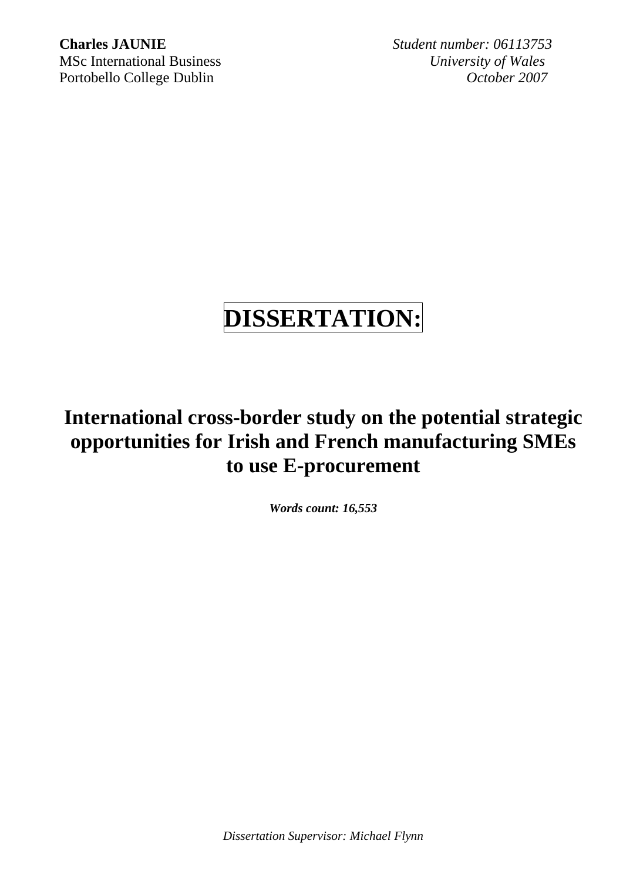**Charles JAUNIE** *Student number: 06113753* MSc International Business *University of Wales* Portobello College Dublin *October 2007*

# **DISSERTATION:**

## **International cross-border study on the potential strategic opportunities for Irish and French manufacturing SMEs to use E-procurement**

*Words count: 16,553* 

*Dissertation Supervisor: Michael Flynn*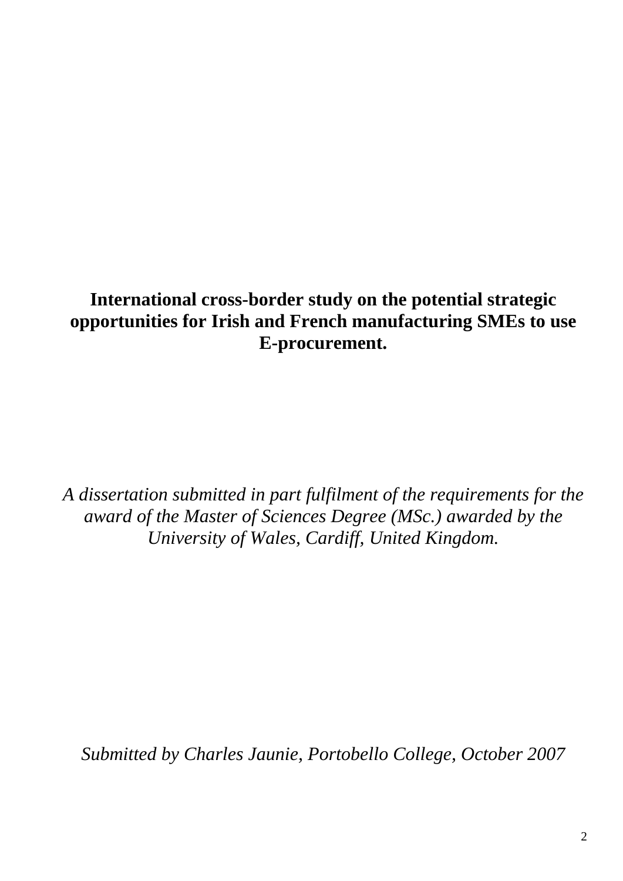## **International cross-border study on the potential strategic opportunities for Irish and French manufacturing SMEs to use E-procurement.**

*A dissertation submitted in part fulfilment of the requirements for the award of the Master of Sciences Degree (MSc.) awarded by the University of Wales, Cardiff, United Kingdom.* 

*Submitted by Charles Jaunie, Portobello College, October 2007*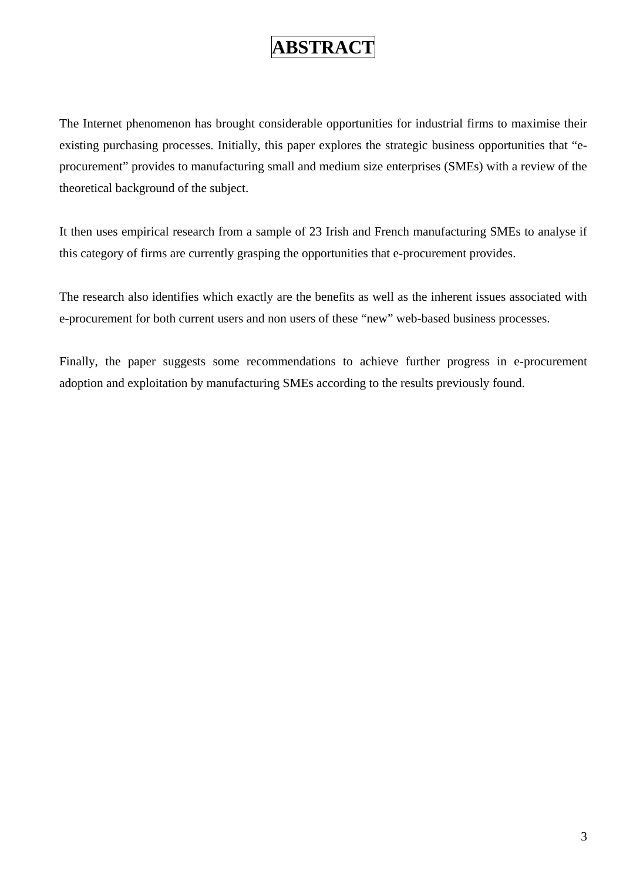## **ABSTRACT**

<span id="page-2-0"></span>The Internet phenomenon has brought considerable opportunities for industrial firms to maximise their existing purchasing processes. Initially, this paper explores the strategic business opportunities that "eprocurement" provides to manufacturing small and medium size enterprises (SMEs) with a review of the theoretical background of the subject.

It then uses empirical research from a sample of 23 Irish and French manufacturing SMEs to analyse if this category of firms are currently grasping the opportunities that e-procurement provides.

The research also identifies which exactly are the benefits as well as the inherent issues associated with e-procurement for both current users and non users of these "new" web-based business processes.

Finally, the paper suggests some recommendations to achieve further progress in e-procurement adoption and exploitation by manufacturing SMEs according to the results previously found.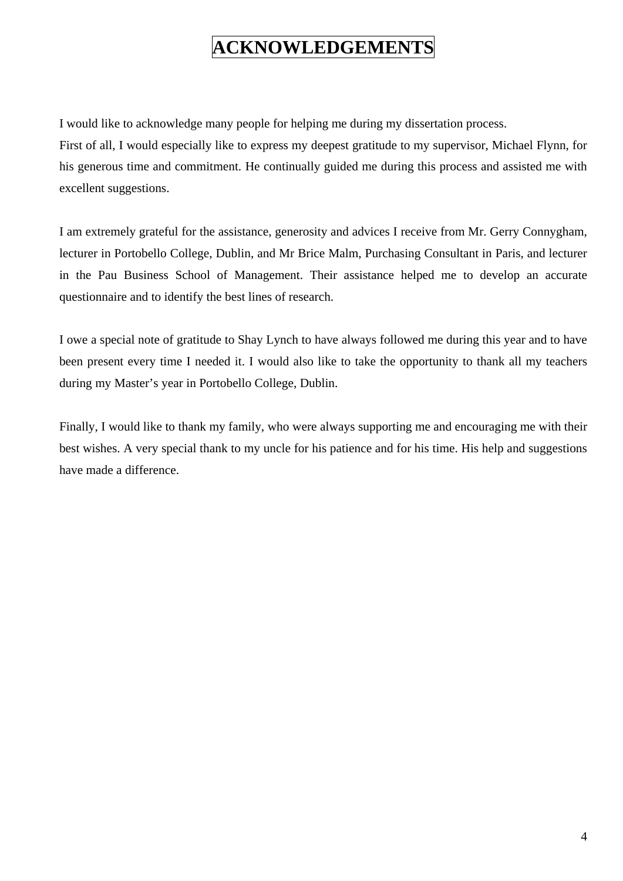## **ACKNOWLEDGEMENTS**

<span id="page-3-0"></span>I would like to acknowledge many people for helping me during my dissertation process.

First of all, I would especially like to express my deepest gratitude to my supervisor, Michael Flynn, for his generous time and commitment. He continually guided me during this process and assisted me with excellent suggestions.

I am extremely grateful for the assistance, generosity and advices I receive from Mr. Gerry Connygham, lecturer in Portobello College, Dublin, and Mr Brice Malm, Purchasing Consultant in Paris, and lecturer in the Pau Business School of Management. Their assistance helped me to develop an accurate questionnaire and to identify the best lines of research.

I owe a special note of gratitude to Shay Lynch to have always followed me during this year and to have been present every time I needed it. I would also like to take the opportunity to thank all my teachers during my Master's year in Portobello College, Dublin.

Finally, I would like to thank my family, who were always supporting me and encouraging me with their best wishes. A very special thank to my uncle for his patience and for his time. His help and suggestions have made a difference.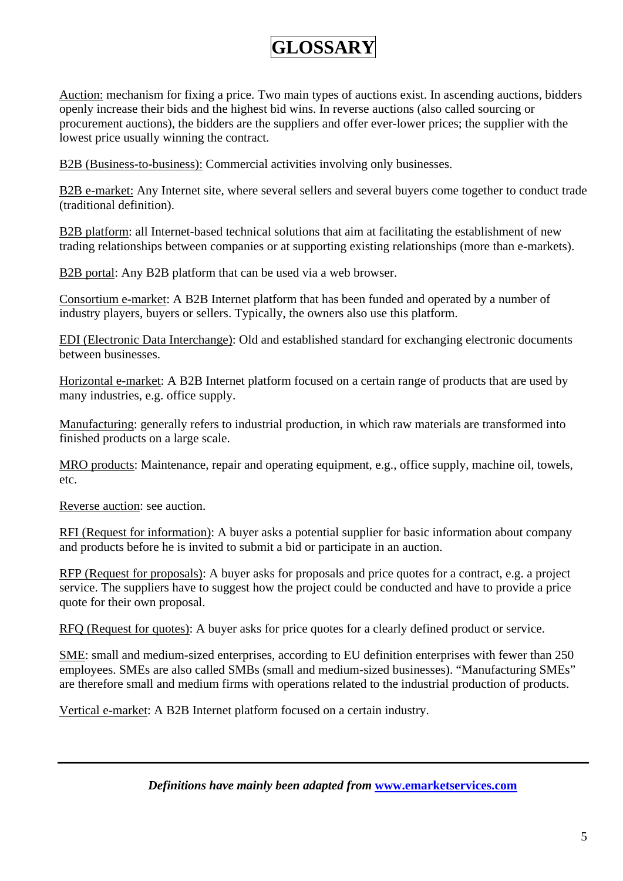## **GLOSSARY**

<span id="page-4-0"></span>Auction: mechanism for fixing a price. Two main types of auctions exist. In ascending auctions, bidders openly increase their bids and the highest bid wins. In reverse auctions (also called sourcing or procurement auctions), the bidders are the suppliers and offer ever-lower prices; the supplier with the lowest price usually winning the contract.

B2B (Business-to-business): Commercial activities involving only businesses.

B2B e-market: Any Internet site, where several sellers and several buyers come together to conduct trade (traditional definition).

B2B platform: all Internet-based technical solutions that aim at facilitating the establishment of new trading relationships between companies or at supporting existing relationships (more than e-markets).

B2B portal: Any B2B platform that can be used via a web browser.

Consortium e-market: A B2B Internet platform that has been funded and operated by a number of industry players, buyers or sellers. Typically, the owners also use this platform.

EDI (Electronic Data Interchange): Old and established standard for exchanging electronic documents between businesses.

Horizontal e-market: A B2B Internet platform focused on a certain range of products that are used by many industries, e.g. office supply.

Manufacturing: generally refers to industrial production, in which raw materials are transformed into finished products on a large scale.

MRO products: Maintenance, repair and operating equipment, e.g., office supply, machine oil, towels, etc.

Reverse auction: see auction.

RFI (Request for information): A buyer asks a potential supplier for basic information about company and products before he is invited to submit a bid or participate in an auction.

RFP (Request for proposals): A buyer asks for proposals and price quotes for a contract, e.g. a project service. The suppliers have to suggest how the project could be conducted and have to provide a price quote for their own proposal.

RFQ (Request for quotes): A buyer asks for price quotes for a clearly defined product or service.

SME: small and medium-sized enterprises, according to EU definition enterprises with fewer than 250 employees. SMEs are also called SMBs (small and medium-sized businesses). "Manufacturing SMEs" are therefore small and medium firms with operations related to the industrial production of products.

Vertical e-market: A B2B Internet platform focused on a certain industry.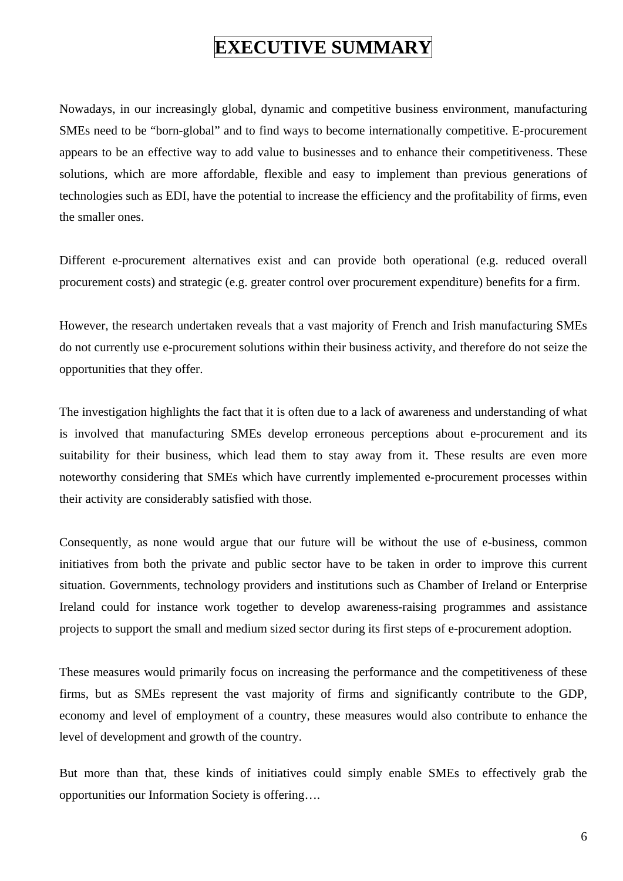## **EXECUTIVE SUMMARY**

<span id="page-5-0"></span>Nowadays, in our increasingly global, dynamic and competitive business environment, manufacturing SMEs need to be "born-global" and to find ways to become internationally competitive. E-procurement appears to be an effective way to add value to businesses and to enhance their competitiveness. These solutions, which are more affordable, flexible and easy to implement than previous generations of technologies such as EDI, have the potential to increase the efficiency and the profitability of firms, even the smaller ones.

Different e-procurement alternatives exist and can provide both operational (e.g. reduced overall procurement costs) and strategic (e.g. greater control over procurement expenditure) benefits for a firm.

However, the research undertaken reveals that a vast majority of French and Irish manufacturing SMEs do not currently use e-procurement solutions within their business activity, and therefore do not seize the opportunities that they offer.

The investigation highlights the fact that it is often due to a lack of awareness and understanding of what is involved that manufacturing SMEs develop erroneous perceptions about e-procurement and its suitability for their business, which lead them to stay away from it. These results are even more noteworthy considering that SMEs which have currently implemented e-procurement processes within their activity are considerably satisfied with those.

Consequently, as none would argue that our future will be without the use of e-business, common initiatives from both the private and public sector have to be taken in order to improve this current situation. Governments, technology providers and institutions such as Chamber of Ireland or Enterprise Ireland could for instance work together to develop awareness-raising programmes and assistance projects to support the small and medium sized sector during its first steps of e-procurement adoption.

These measures would primarily focus on increasing the performance and the competitiveness of these firms, but as SMEs represent the vast majority of firms and significantly contribute to the GDP, economy and level of employment of a country, these measures would also contribute to enhance the level of development and growth of the country.

But more than that, these kinds of initiatives could simply enable SMEs to effectively grab the opportunities our Information Society is offering….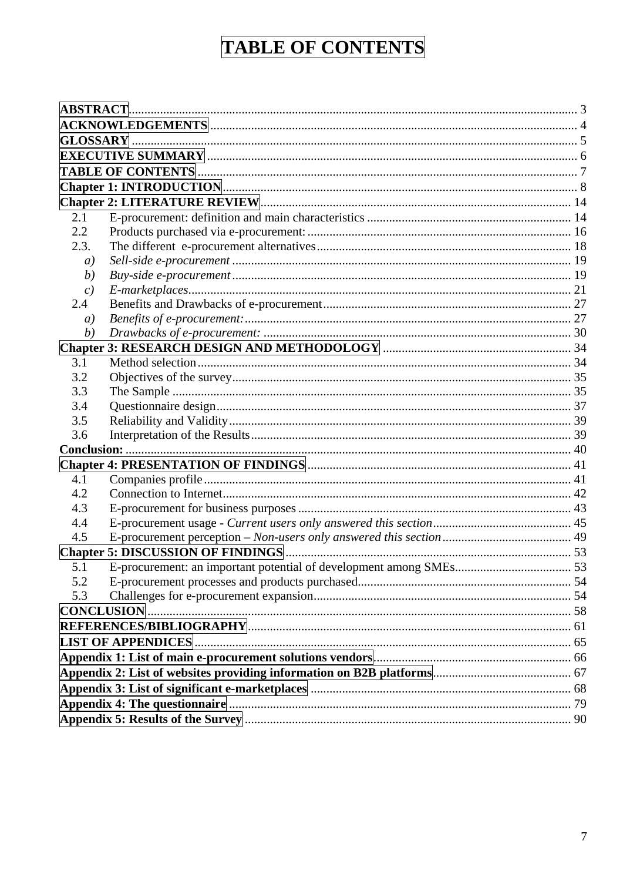# **TABLE OF CONTENTS**

<span id="page-6-0"></span>

| 2.1  |  |  |  |  |
|------|--|--|--|--|
| 2.2  |  |  |  |  |
| 2.3. |  |  |  |  |
| a)   |  |  |  |  |
| (b)  |  |  |  |  |
| c)   |  |  |  |  |
| 2.4  |  |  |  |  |
| a)   |  |  |  |  |
| (b)  |  |  |  |  |
|      |  |  |  |  |
| 3.1  |  |  |  |  |
| 3.2  |  |  |  |  |
| 3.3  |  |  |  |  |
| 3.4  |  |  |  |  |
| 3.5  |  |  |  |  |
| 3.6  |  |  |  |  |
|      |  |  |  |  |
|      |  |  |  |  |
| 4.1  |  |  |  |  |
| 4.2  |  |  |  |  |
| 4.3  |  |  |  |  |
| 4.4  |  |  |  |  |
| 4.5  |  |  |  |  |
|      |  |  |  |  |
| 5.1  |  |  |  |  |
| 5.2  |  |  |  |  |
| 5.3  |  |  |  |  |
|      |  |  |  |  |
|      |  |  |  |  |
|      |  |  |  |  |
|      |  |  |  |  |
|      |  |  |  |  |
|      |  |  |  |  |
|      |  |  |  |  |
|      |  |  |  |  |
|      |  |  |  |  |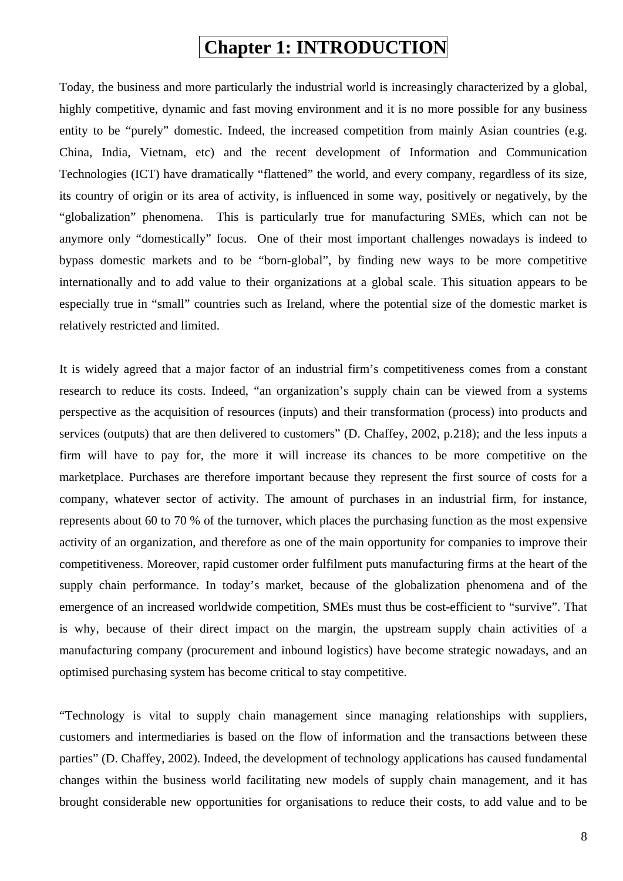## **Chapter 1: INTRODUCTION**

<span id="page-7-0"></span>Today, the business and more particularly the industrial world is increasingly characterized by a global, highly competitive, dynamic and fast moving environment and it is no more possible for any business entity to be "purely" domestic. Indeed, the increased competition from mainly Asian countries (e.g. China, India, Vietnam, etc) and the recent development of Information and Communication Technologies (ICT) have dramatically "flattened" the world, and every company, regardless of its size, its country of origin or its area of activity, is influenced in some way, positively or negatively, by the "globalization" phenomena. This is particularly true for manufacturing SMEs, which can not be anymore only "domestically" focus. One of their most important challenges nowadays is indeed to bypass domestic markets and to be "born-global", by finding new ways to be more competitive internationally and to add value to their organizations at a global scale. This situation appears to be especially true in "small" countries such as Ireland, where the potential size of the domestic market is relatively restricted and limited.

It is widely agreed that a major factor of an industrial firm's competitiveness comes from a constant research to reduce its costs. Indeed, "an organization's supply chain can be viewed from a systems perspective as the acquisition of resources (inputs) and their transformation (process) into products and services (outputs) that are then delivered to customers" (D. Chaffey, 2002, p.218); and the less inputs a firm will have to pay for, the more it will increase its chances to be more competitive on the marketplace. Purchases are therefore important because they represent the first source of costs for a company, whatever sector of activity. The amount of purchases in an industrial firm, for instance, represents about 60 to 70 % of the turnover, which places the purchasing function as the most expensive activity of an organization, and therefore as one of the main opportunity for companies to improve their competitiveness. Moreover, rapid customer order fulfilment puts manufacturing firms at the heart of the supply chain performance. In today's market, because of the globalization phenomena and of the emergence of an increased worldwide competition, SMEs must thus be cost-efficient to "survive". That is why, because of their direct impact on the margin, the upstream supply chain activities of a manufacturing company (procurement and inbound logistics) have become strategic nowadays, and an optimised purchasing system has become critical to stay competitive.

"Technology is vital to supply chain management since managing relationships with suppliers, customers and intermediaries is based on the flow of information and the transactions between these parties" (D. Chaffey, 2002). Indeed, the development of technology applications has caused fundamental changes within the business world facilitating new models of supply chain management, and it has brought considerable new opportunities for organisations to reduce their costs, to add value and to be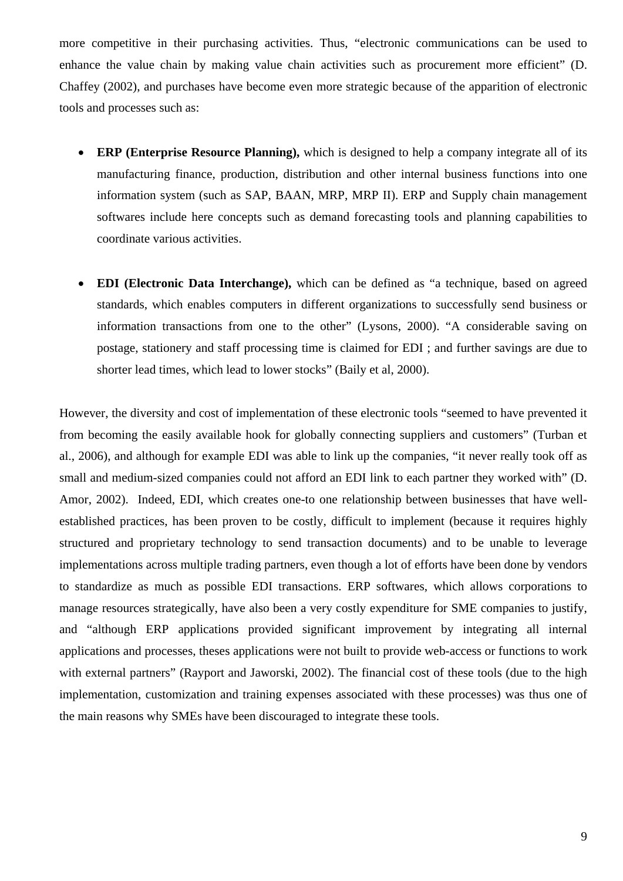more competitive in their purchasing activities. Thus, "electronic communications can be used to enhance the value chain by making value chain activities such as procurement more efficient" (D. Chaffey (2002), and purchases have become even more strategic because of the apparition of electronic tools and processes such as:

- **ERP (Enterprise Resource Planning),** which is designed to help a company integrate all of its manufacturing finance, production, distribution and other internal business functions into one information system (such as SAP, BAAN, MRP, MRP II). ERP and Supply chain management softwares include here concepts such as demand forecasting tools and planning capabilities to coordinate various activities.
- **EDI (Electronic Data Interchange),** which can be defined as "a technique, based on agreed standards, which enables computers in different organizations to successfully send business or information transactions from one to the other" (Lysons, 2000). "A considerable saving on postage, stationery and staff processing time is claimed for EDI ; and further savings are due to shorter lead times, which lead to lower stocks" (Baily et al, 2000).

However, the diversity and cost of implementation of these electronic tools "seemed to have prevented it from becoming the easily available hook for globally connecting suppliers and customers" (Turban et al., 2006), and although for example EDI was able to link up the companies, "it never really took off as small and medium-sized companies could not afford an EDI link to each partner they worked with" (D. Amor, 2002). Indeed, EDI, which creates one-to one relationship between businesses that have wellestablished practices, has been proven to be costly, difficult to implement (because it requires highly structured and proprietary technology to send transaction documents) and to be unable to leverage implementations across multiple trading partners, even though a lot of efforts have been done by vendors to standardize as much as possible EDI transactions. ERP softwares, which allows corporations to manage resources strategically, have also been a very costly expenditure for SME companies to justify, and "although ERP applications provided significant improvement by integrating all internal applications and processes, theses applications were not built to provide web-access or functions to work with external partners" (Rayport and Jaworski, 2002). The financial cost of these tools (due to the high implementation, customization and training expenses associated with these processes) was thus one of the main reasons why SMEs have been discouraged to integrate these tools.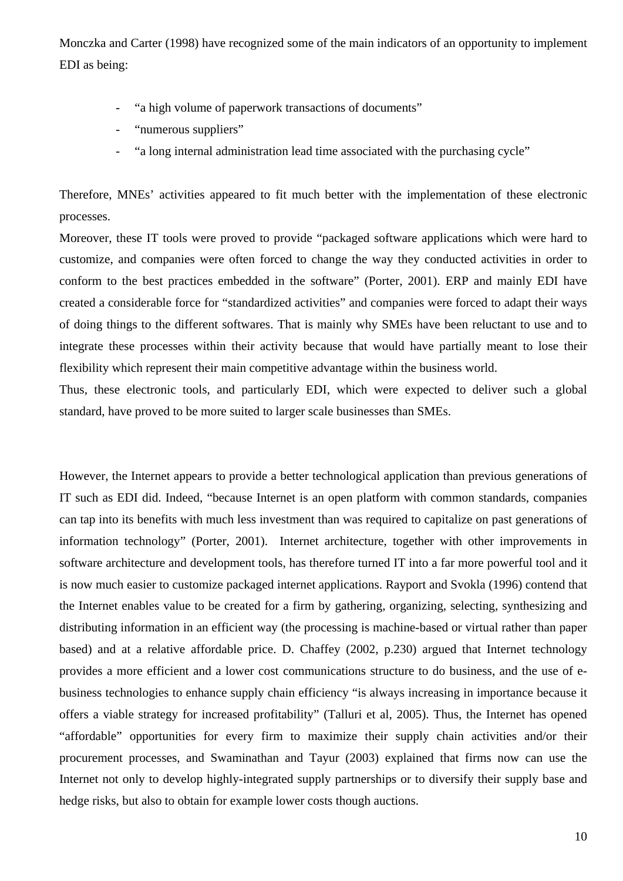Monczka and Carter (1998) have recognized some of the main indicators of an opportunity to implement EDI as being:

- "a high volume of paperwork transactions of documents"
- "numerous suppliers"
- "a long internal administration lead time associated with the purchasing cycle"

Therefore, MNEs' activities appeared to fit much better with the implementation of these electronic processes.

Moreover, these IT tools were proved to provide "packaged software applications which were hard to customize, and companies were often forced to change the way they conducted activities in order to conform to the best practices embedded in the software" (Porter, 2001). ERP and mainly EDI have created a considerable force for "standardized activities" and companies were forced to adapt their ways of doing things to the different softwares. That is mainly why SMEs have been reluctant to use and to integrate these processes within their activity because that would have partially meant to lose their flexibility which represent their main competitive advantage within the business world.

Thus, these electronic tools, and particularly EDI, which were expected to deliver such a global standard, have proved to be more suited to larger scale businesses than SMEs.

However, the Internet appears to provide a better technological application than previous generations of IT such as EDI did. Indeed, "because Internet is an open platform with common standards, companies can tap into its benefits with much less investment than was required to capitalize on past generations of information technology" (Porter, 2001). Internet architecture, together with other improvements in software architecture and development tools, has therefore turned IT into a far more powerful tool and it is now much easier to customize packaged internet applications. Rayport and Svokla (1996) contend that the Internet enables value to be created for a firm by gathering, organizing, selecting, synthesizing and distributing information in an efficient way (the processing is machine-based or virtual rather than paper based) and at a relative affordable price. D. Chaffey (2002, p.230) argued that Internet technology provides a more efficient and a lower cost communications structure to do business, and the use of ebusiness technologies to enhance supply chain efficiency "is always increasing in importance because it offers a viable strategy for increased profitability" (Talluri et al, 2005). Thus, the Internet has opened "affordable" opportunities for every firm to maximize their supply chain activities and/or their procurement processes, and Swaminathan and Tayur (2003) explained that firms now can use the Internet not only to develop highly-integrated supply partnerships or to diversify their supply base and hedge risks, but also to obtain for example lower costs though auctions.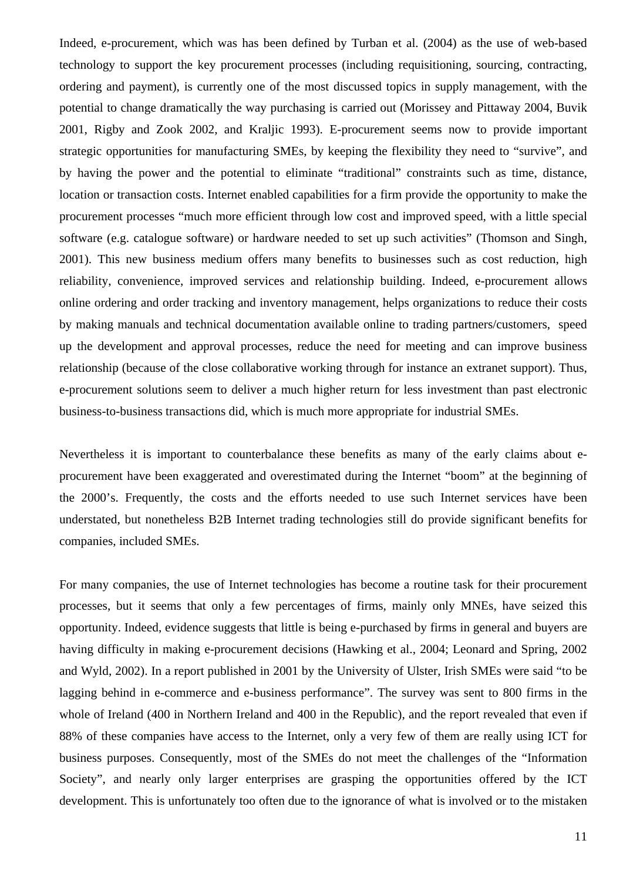Indeed, e-procurement, which was has been defined by Turban et al. (2004) as the use of web-based technology to support the key procurement processes (including requisitioning, sourcing, contracting, ordering and payment), is currently one of the most discussed topics in supply management, with the potential to change dramatically the way purchasing is carried out (Morissey and Pittaway 2004, Buvik 2001, Rigby and Zook 2002, and Kraljic 1993). E-procurement seems now to provide important strategic opportunities for manufacturing SMEs, by keeping the flexibility they need to "survive", and by having the power and the potential to eliminate "traditional" constraints such as time, distance, location or transaction costs. Internet enabled capabilities for a firm provide the opportunity to make the procurement processes "much more efficient through low cost and improved speed, with a little special software (e.g. catalogue software) or hardware needed to set up such activities" (Thomson and Singh, 2001). This new business medium offers many benefits to businesses such as cost reduction, high reliability, convenience, improved services and relationship building. Indeed, e-procurement allows online ordering and order tracking and inventory management, helps organizations to reduce their costs by making manuals and technical documentation available online to trading partners/customers, speed up the development and approval processes, reduce the need for meeting and can improve business relationship (because of the close collaborative working through for instance an extranet support). Thus, e-procurement solutions seem to deliver a much higher return for less investment than past electronic business-to-business transactions did, which is much more appropriate for industrial SMEs.

Nevertheless it is important to counterbalance these benefits as many of the early claims about eprocurement have been exaggerated and overestimated during the Internet "boom" at the beginning of the 2000's. Frequently, the costs and the efforts needed to use such Internet services have been understated, but nonetheless B2B Internet trading technologies still do provide significant benefits for companies, included SMEs.

For many companies, the use of Internet technologies has become a routine task for their procurement processes, but it seems that only a few percentages of firms, mainly only MNEs, have seized this opportunity. Indeed, evidence suggests that little is being e-purchased by firms in general and buyers are having difficulty in making e-procurement decisions (Hawking et al., 2004; Leonard and Spring, 2002 and Wyld, 2002). In a report published in 2001 by the University of Ulster, Irish SMEs were said "to be lagging behind in e-commerce and e-business performance". The survey was sent to 800 firms in the whole of Ireland (400 in Northern Ireland and 400 in the Republic), and the report revealed that even if 88% of these companies have access to the Internet, only a very few of them are really using ICT for business purposes. Consequently, most of the SMEs do not meet the challenges of the "Information Society", and nearly only larger enterprises are grasping the opportunities offered by the ICT development. This is unfortunately too often due to the ignorance of what is involved or to the mistaken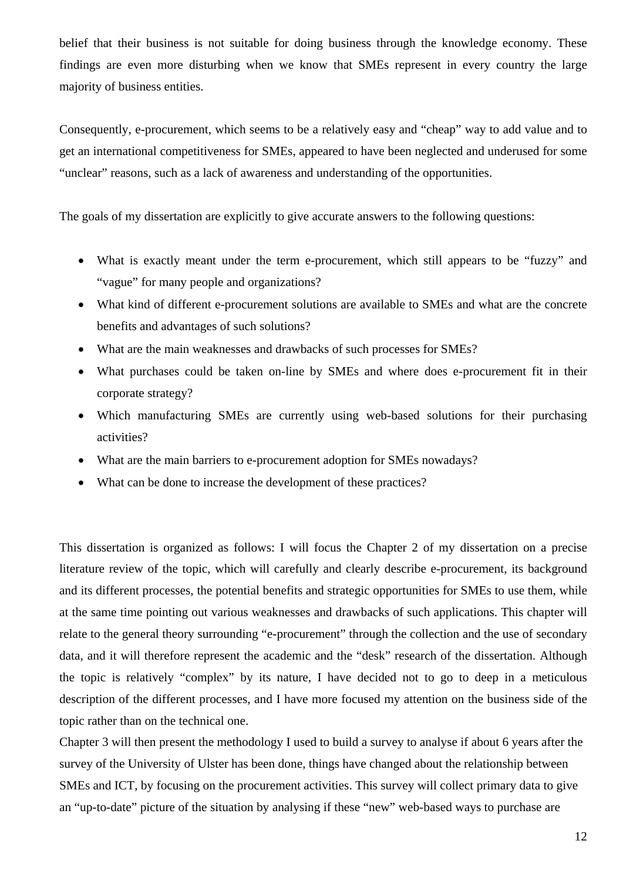belief that their business is not suitable for doing business through the knowledge economy. These findings are even more disturbing when we know that SMEs represent in every country the large majority of business entities.

Consequently, e-procurement, which seems to be a relatively easy and "cheap" way to add value and to get an international competitiveness for SMEs, appeared to have been neglected and underused for some "unclear" reasons, such as a lack of awareness and understanding of the opportunities.

The goals of my dissertation are explicitly to give accurate answers to the following questions:

- What is exactly meant under the term e-procurement, which still appears to be "fuzzy" and "vague" for many people and organizations?
- What kind of different e-procurement solutions are available to SMEs and what are the concrete benefits and advantages of such solutions?
- What are the main weaknesses and drawbacks of such processes for SMEs?
- What purchases could be taken on-line by SMEs and where does e-procurement fit in their corporate strategy?
- Which manufacturing SMEs are currently using web-based solutions for their purchasing activities?
- What are the main barriers to e-procurement adoption for SMEs nowadays?
- What can be done to increase the development of these practices?

This dissertation is organized as follows: I will focus the Chapter 2 of my dissertation on a precise literature review of the topic, which will carefully and clearly describe e-procurement, its background and its different processes, the potential benefits and strategic opportunities for SMEs to use them, while at the same time pointing out various weaknesses and drawbacks of such applications. This chapter will relate to the general theory surrounding "e-procurement" through the collection and the use of secondary data, and it will therefore represent the academic and the "desk" research of the dissertation. Although the topic is relatively "complex" by its nature, I have decided not to go to deep in a meticulous description of the different processes, and I have more focused my attention on the business side of the topic rather than on the technical one.

Chapter 3 will then present the methodology I used to build a survey to analyse if about 6 years after the survey of the University of Ulster has been done, things have changed about the relationship between SMEs and ICT, by focusing on the procurement activities. This survey will collect primary data to give an "up-to-date" picture of the situation by analysing if these "new" web-based ways to purchase are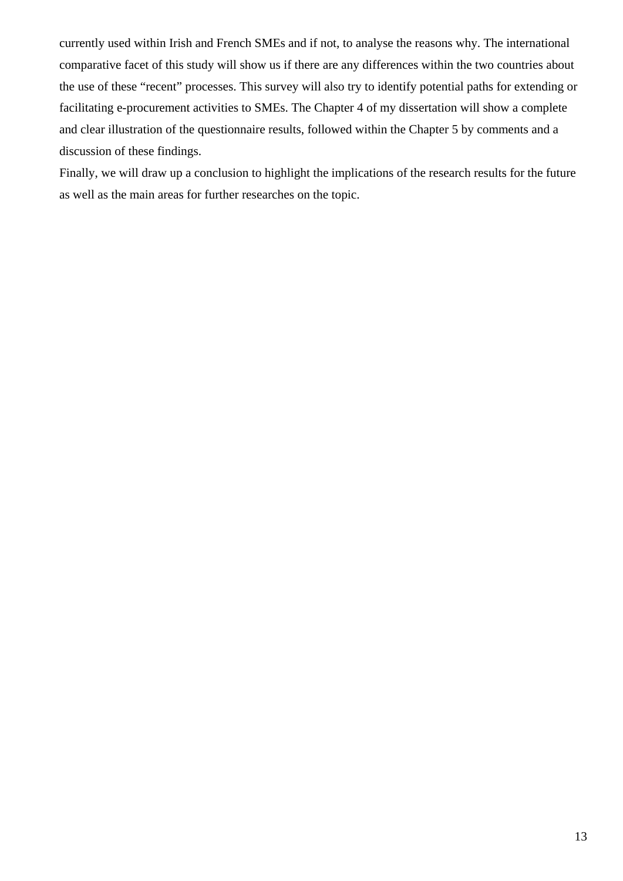currently used within Irish and French SMEs and if not, to analyse the reasons why. The international comparative facet of this study will show us if there are any differences within the two countries about the use of these "recent" processes. This survey will also try to identify potential paths for extending or facilitating e-procurement activities to SMEs. The Chapter 4 of my dissertation will show a complete and clear illustration of the questionnaire results, followed within the Chapter 5 by comments and a discussion of these findings.

Finally, we will draw up a conclusion to highlight the implications of the research results for the future as well as the main areas for further researches on the topic.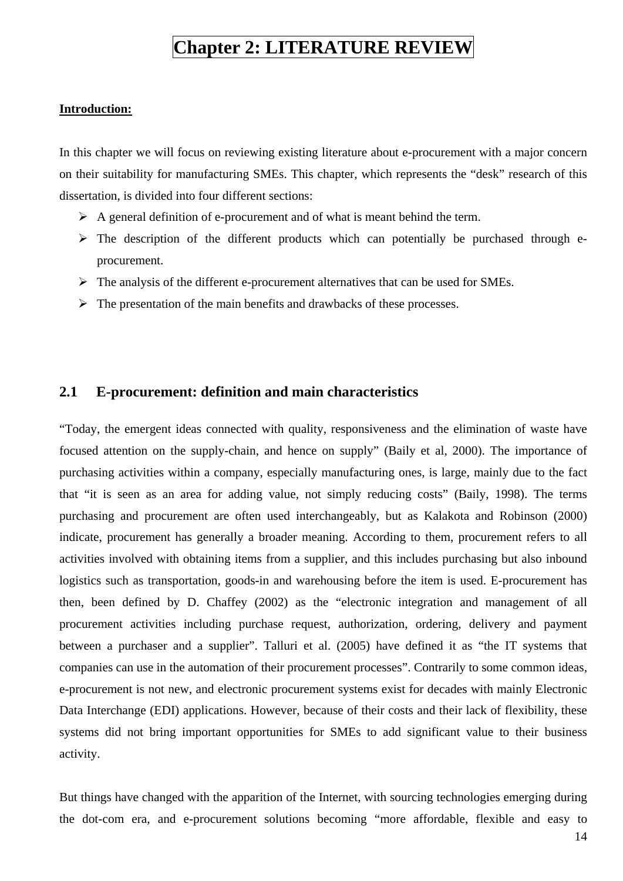## **Chapter 2: LITERATURE REVIEW**

#### <span id="page-13-0"></span>**Introduction:**

In this chapter we will focus on reviewing existing literature about e-procurement with a major concern on their suitability for manufacturing SMEs. This chapter, which represents the "desk" research of this dissertation, is divided into four different sections:

- $\triangleright$  A general definition of e-procurement and of what is meant behind the term.
- $\triangleright$  The description of the different products which can potentially be purchased through eprocurement.
- $\triangleright$  The analysis of the different e-procurement alternatives that can be used for SMEs.
- $\triangleright$  The presentation of the main benefits and drawbacks of these processes.

#### **2.1 E-procurement: definition and main characteristics**

"Today, the emergent ideas connected with quality, responsiveness and the elimination of waste have focused attention on the supply-chain, and hence on supply" (Baily et al, 2000). The importance of purchasing activities within a company, especially manufacturing ones, is large, mainly due to the fact that "it is seen as an area for adding value, not simply reducing costs" (Baily, 1998). The terms purchasing and procurement are often used interchangeably, but as Kalakota and Robinson (2000) indicate, procurement has generally a broader meaning. According to them, procurement refers to all activities involved with obtaining items from a supplier, and this includes purchasing but also inbound logistics such as transportation, goods-in and warehousing before the item is used. E-procurement has then, been defined by D. Chaffey (2002) as the "electronic integration and management of all procurement activities including purchase request, authorization, ordering, delivery and payment between a purchaser and a supplier". Talluri et al. (2005) have defined it as "the IT systems that companies can use in the automation of their procurement processes". Contrarily to some common ideas, e-procurement is not new, and electronic procurement systems exist for decades with mainly Electronic Data Interchange (EDI) applications. However, because of their costs and their lack of flexibility, these systems did not bring important opportunities for SMEs to add significant value to their business activity.

But things have changed with the apparition of the Internet, with sourcing technologies emerging during the dot-com era, and e-procurement solutions becoming "more affordable, flexible and easy to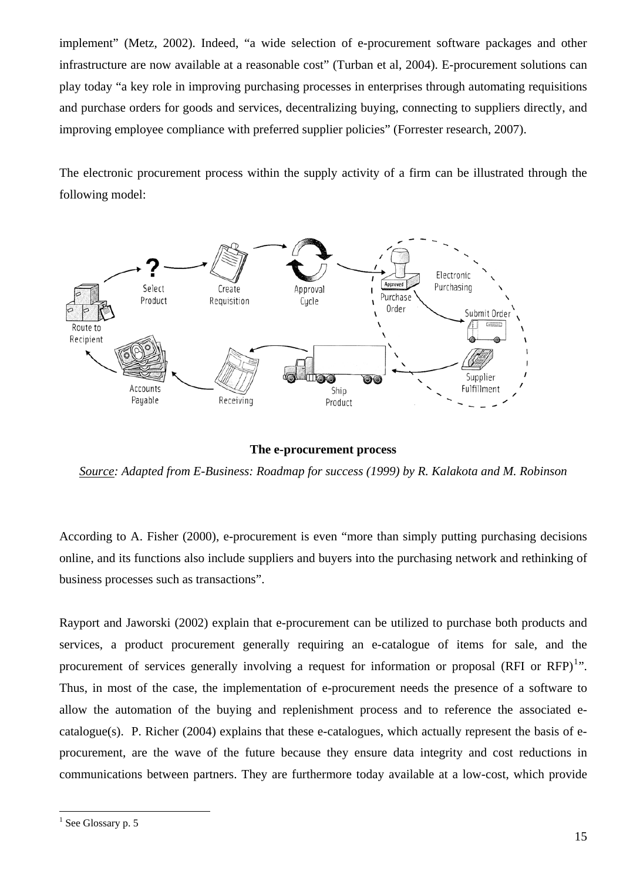implement" (Metz, 2002). Indeed, "a wide selection of e-procurement software packages and other infrastructure are now available at a reasonable cost" (Turban et al, 2004). E-procurement solutions can play today "a key role in improving purchasing processes in enterprises through automating requisitions and purchase orders for goods and services, decentralizing buying, connecting to suppliers directly, and improving employee compliance with preferred supplier policies" (Forrester research, 2007).

The electronic procurement process within the supply activity of a firm can be illustrated through the following model:



**The e-procurement process** 

*Source: Adapted from E-Business: Roadmap for success (1999) by R. Kalakota and M. Robinson* 

According to A. Fisher (2000), e-procurement is even "more than simply putting purchasing decisions online, and its functions also include suppliers and buyers into the purchasing network and rethinking of business processes such as transactions".

Rayport and Jaworski (2002) explain that e-procurement can be utilized to purchase both products and services, a product procurement generally requiring an e-catalogue of items for sale, and the procurement of services generally involving a request for information or proposal (RFI or RFP) $^{1}$  $^{1}$  $^{1}$ ". Thus, in most of the case, the implementation of e-procurement needs the presence of a software to allow the automation of the buying and replenishment process and to reference the associated ecatalogue(s). P. Richer (2004) explains that these e-catalogues, which actually represent the basis of eprocurement, are the wave of the future because they ensure data integrity and cost reductions in communications between partners. They are furthermore today available at a low-cost, which provide

 $\overline{a}$ 

<span id="page-14-0"></span><sup>&</sup>lt;sup>1</sup> See Glossary p. 5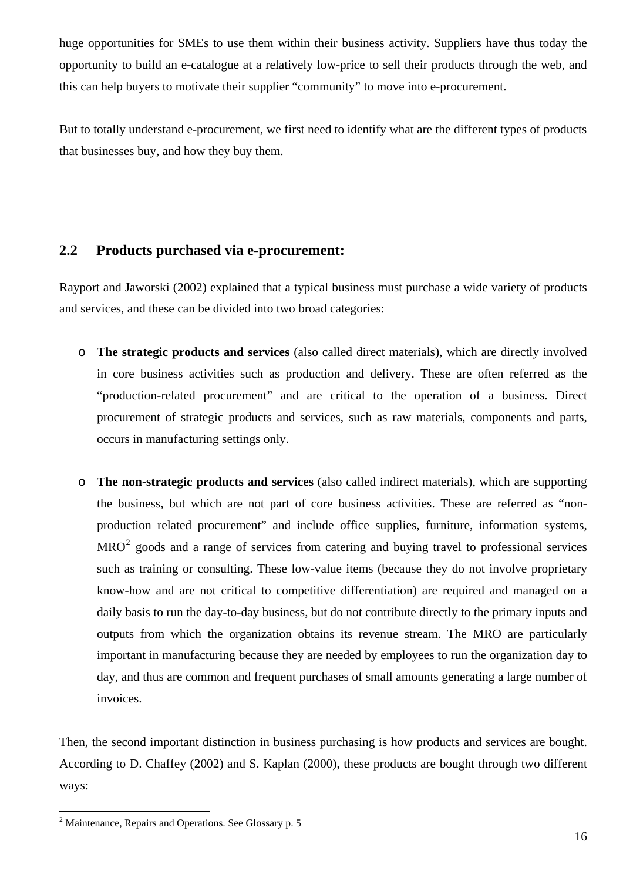<span id="page-15-0"></span>huge opportunities for SMEs to use them within their business activity. Suppliers have thus today the opportunity to build an e-catalogue at a relatively low-price to sell their products through the web, and this can help buyers to motivate their supplier "community" to move into e-procurement.

But to totally understand e-procurement, we first need to identify what are the different types of products that businesses buy, and how they buy them.

### **2.2 Products purchased via e-procurement:**

Rayport and Jaworski (2002) explained that a typical business must purchase a wide variety of products and services, and these can be divided into two broad categories:

- o **The strategic products and services** (also called direct materials), which are directly involved in core business activities such as production and delivery. These are often referred as the "production-related procurement" and are critical to the operation of a business. Direct procurement of strategic products and services, such as raw materials, components and parts, occurs in manufacturing settings only.
- o **The non-strategic products and services** (also called indirect materials), which are supporting the business, but which are not part of core business activities. These are referred as "nonproduction related procurement" and include office supplies, furniture, information systems,  $MRO<sup>2</sup>$  $MRO<sup>2</sup>$  $MRO<sup>2</sup>$  goods and a range of services from catering and buying travel to professional services such as training or consulting. These low-value items (because they do not involve proprietary know-how and are not critical to competitive differentiation) are required and managed on a daily basis to run the day-to-day business, but do not contribute directly to the primary inputs and outputs from which the organization obtains its revenue stream. The MRO are particularly important in manufacturing because they are needed by employees to run the organization day to day, and thus are common and frequent purchases of small amounts generating a large number of invoices.

Then, the second important distinction in business purchasing is how products and services are bought. According to D. Chaffey (2002) and S. Kaplan (2000), these products are bought through two different ways:

 $\overline{a}$ 

<span id="page-15-1"></span> $2$  Maintenance, Repairs and Operations. See Glossary p. 5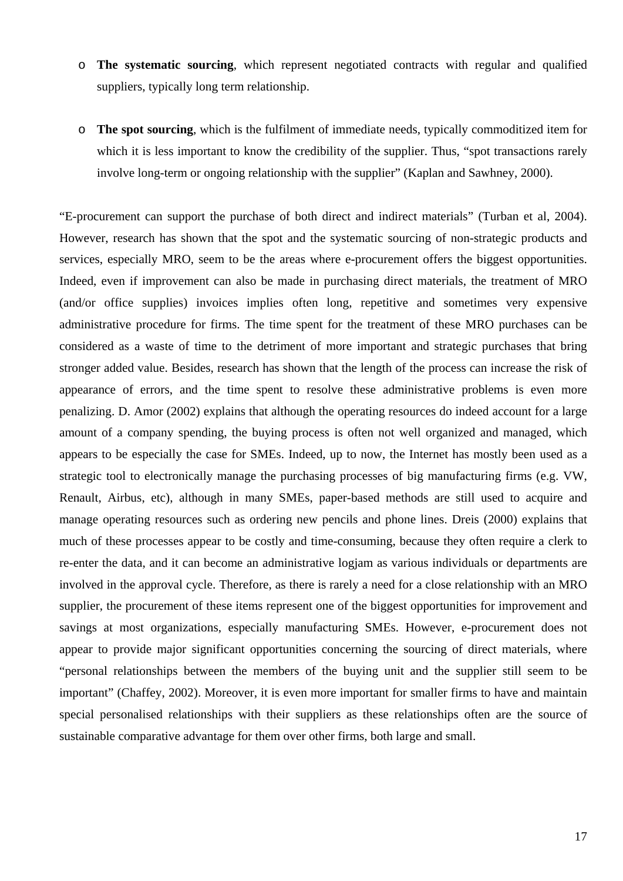- o **The systematic sourcing**, which represent negotiated contracts with regular and qualified suppliers, typically long term relationship.
- o **The spot sourcing**, which is the fulfilment of immediate needs, typically commoditized item for which it is less important to know the credibility of the supplier. Thus, "spot transactions rarely involve long-term or ongoing relationship with the supplier" (Kaplan and Sawhney, 2000).

"E-procurement can support the purchase of both direct and indirect materials" (Turban et al, 2004). However, research has shown that the spot and the systematic sourcing of non-strategic products and services, especially MRO, seem to be the areas where e-procurement offers the biggest opportunities. Indeed, even if improvement can also be made in purchasing direct materials, the treatment of MRO (and/or office supplies) invoices implies often long, repetitive and sometimes very expensive administrative procedure for firms. The time spent for the treatment of these MRO purchases can be considered as a waste of time to the detriment of more important and strategic purchases that bring stronger added value. Besides, research has shown that the length of the process can increase the risk of appearance of errors, and the time spent to resolve these administrative problems is even more penalizing. D. Amor (2002) explains that although the operating resources do indeed account for a large amount of a company spending, the buying process is often not well organized and managed, which appears to be especially the case for SMEs. Indeed, up to now, the Internet has mostly been used as a strategic tool to electronically manage the purchasing processes of big manufacturing firms (e.g. VW, Renault, Airbus, etc), although in many SMEs, paper-based methods are still used to acquire and manage operating resources such as ordering new pencils and phone lines. Dreis (2000) explains that much of these processes appear to be costly and time-consuming, because they often require a clerk to re-enter the data, and it can become an administrative logjam as various individuals or departments are involved in the approval cycle. Therefore, as there is rarely a need for a close relationship with an MRO supplier, the procurement of these items represent one of the biggest opportunities for improvement and savings at most organizations, especially manufacturing SMEs. However, e-procurement does not appear to provide major significant opportunities concerning the sourcing of direct materials, where "personal relationships between the members of the buying unit and the supplier still seem to be important" (Chaffey, 2002). Moreover, it is even more important for smaller firms to have and maintain special personalised relationships with their suppliers as these relationships often are the source of sustainable comparative advantage for them over other firms, both large and small.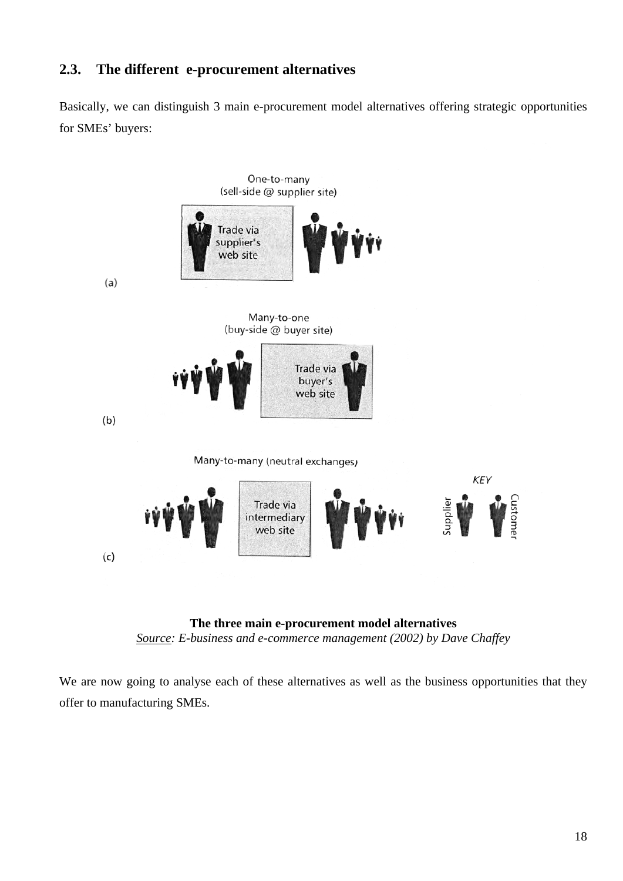## <span id="page-17-0"></span>**2.3. The different e-procurement alternatives**

Basically, we can distinguish 3 main e-procurement model alternatives offering strategic opportunities for SMEs' buyers:



**The three main e-procurement model alternatives**  *Source: E-business and e-commerce management (2002) by Dave Chaffey* 

We are now going to analyse each of these alternatives as well as the business opportunities that they offer to manufacturing SMEs.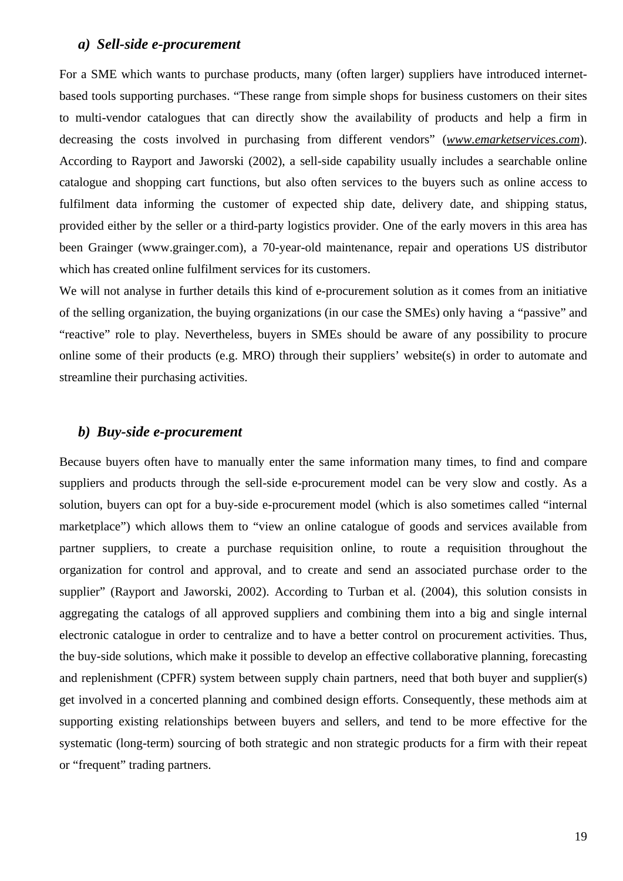#### <span id="page-18-0"></span>*a) Sell-side e-procurement*

For a SME which wants to purchase products, many (often larger) suppliers have introduced internetbased tools supporting purchases. "These range from simple shops for business customers on their sites to multi-vendor catalogues that can directly show the availability of products and help a firm in decreasing the costs involved in purchasing from different vendors" (*www.emarketservices.com*). According to Rayport and Jaworski (2002), a sell-side capability usually includes a searchable online catalogue and shopping cart functions, but also often services to the buyers such as online access to fulfilment data informing the customer of expected ship date, delivery date, and shipping status, provided either by the seller or a third-party logistics provider. One of the early movers in this area has been Grainger (www.grainger.com), a 70-year-old maintenance, repair and operations US distributor which has created online fulfilment services for its customers.

We will not analyse in further details this kind of e-procurement solution as it comes from an initiative of the selling organization, the buying organizations (in our case the SMEs) only having a "passive" and "reactive" role to play. Nevertheless, buyers in SMEs should be aware of any possibility to procure online some of their products (e.g. MRO) through their suppliers' website(s) in order to automate and streamline their purchasing activities.

### *b) Buy-side e-procurement*

Because buyers often have to manually enter the same information many times, to find and compare suppliers and products through the sell-side e-procurement model can be very slow and costly. As a solution, buyers can opt for a buy-side e-procurement model (which is also sometimes called "internal marketplace") which allows them to "view an online catalogue of goods and services available from partner suppliers, to create a purchase requisition online, to route a requisition throughout the organization for control and approval, and to create and send an associated purchase order to the supplier" (Rayport and Jaworski, 2002). According to Turban et al. (2004), this solution consists in aggregating the catalogs of all approved suppliers and combining them into a big and single internal electronic catalogue in order to centralize and to have a better control on procurement activities. Thus, the buy-side solutions, which make it possible to develop an effective collaborative planning, forecasting and replenishment (CPFR) system between supply chain partners, need that both buyer and supplier(s) get involved in a concerted planning and combined design efforts. Consequently, these methods aim at supporting existing relationships between buyers and sellers, and tend to be more effective for the systematic (long-term) sourcing of both strategic and non strategic products for a firm with their repeat or "frequent" trading partners.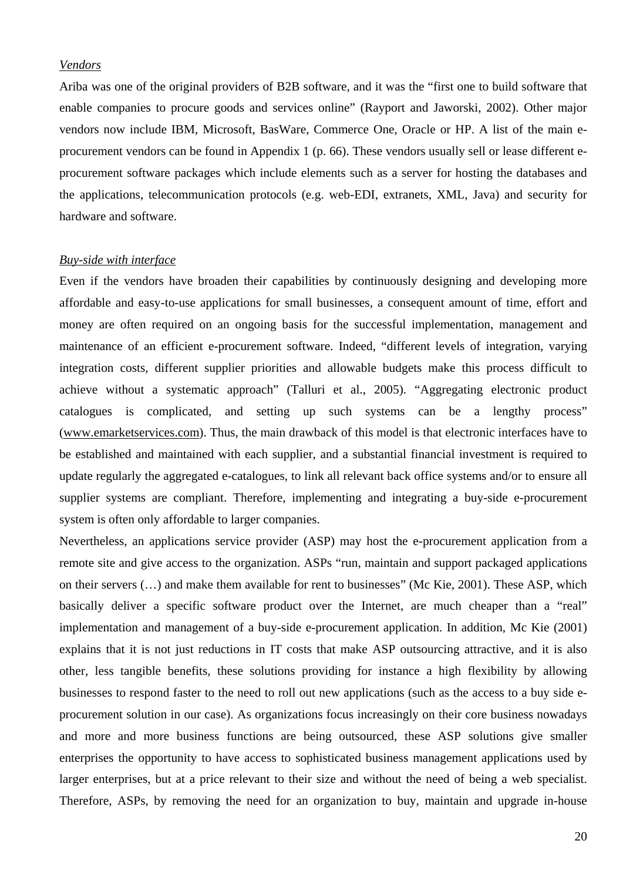### *Vendors*

Ariba was one of the original providers of B2B software, and it was the "first one to build software that enable companies to procure goods and services online" (Rayport and Jaworski, 2002). Other major vendors now include IBM, Microsoft, BasWare, Commerce One, Oracle or HP. A list of the main eprocurement vendors can be found in Appendix 1 (p. 66). These vendors usually sell or lease different eprocurement software packages which include elements such as a server for hosting the databases and the applications, telecommunication protocols (e.g. web-EDI, extranets, XML, Java) and security for hardware and software.

#### *Buy-side with interface*

Even if the vendors have broaden their capabilities by continuously designing and developing more affordable and easy-to-use applications for small businesses, a consequent amount of time, effort and money are often required on an ongoing basis for the successful implementation, management and maintenance of an efficient e-procurement software. Indeed, "different levels of integration, varying integration costs, different supplier priorities and allowable budgets make this process difficult to achieve without a systematic approach" (Talluri et al., 2005). "Aggregating electronic product catalogues is complicated, and setting up such systems can be a lengthy process" ([www.emarketservices.com\)](http://www.emarketservices.com/). Thus, the main drawback of this model is that electronic interfaces have to be established and maintained with each supplier, and a substantial financial investment is required to update regularly the aggregated e-catalogues, to link all relevant back office systems and/or to ensure all supplier systems are compliant. Therefore, implementing and integrating a buy-side e-procurement system is often only affordable to larger companies.

Nevertheless, an applications service provider (ASP) may host the e-procurement application from a remote site and give access to the organization. ASPs "run, maintain and support packaged applications on their servers (…) and make them available for rent to businesses" (Mc Kie, 2001). These ASP, which basically deliver a specific software product over the Internet, are much cheaper than a "real" implementation and management of a buy-side e-procurement application. In addition, Mc Kie (2001) explains that it is not just reductions in IT costs that make ASP outsourcing attractive, and it is also other, less tangible benefits, these solutions providing for instance a high flexibility by allowing businesses to respond faster to the need to roll out new applications (such as the access to a buy side eprocurement solution in our case). As organizations focus increasingly on their core business nowadays and more and more business functions are being outsourced, these ASP solutions give smaller enterprises the opportunity to have access to sophisticated business management applications used by larger enterprises, but at a price relevant to their size and without the need of being a web specialist. Therefore, ASPs, by removing the need for an organization to buy, maintain and upgrade in-house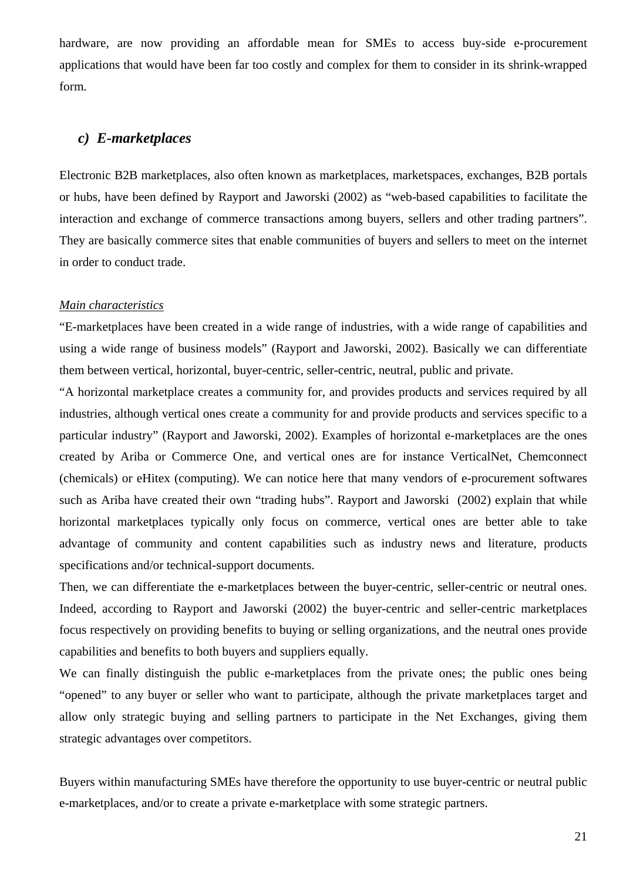<span id="page-20-0"></span>hardware, are now providing an affordable mean for SMEs to access buy-side e-procurement applications that would have been far too costly and complex for them to consider in its shrink-wrapped form.

## *c) E-marketplaces*

Electronic B2B marketplaces, also often known as marketplaces, marketspaces, exchanges, B2B portals or hubs, have been defined by Rayport and Jaworski (2002) as "web-based capabilities to facilitate the interaction and exchange of commerce transactions among buyers, sellers and other trading partners". They are basically commerce sites that enable communities of buyers and sellers to meet on the internet in order to conduct trade.

#### *Main characteristics*

"E-marketplaces have been created in a wide range of industries, with a wide range of capabilities and using a wide range of business models" (Rayport and Jaworski, 2002). Basically we can differentiate them between vertical, horizontal, buyer-centric, seller-centric, neutral, public and private.

"A horizontal marketplace creates a community for, and provides products and services required by all industries, although vertical ones create a community for and provide products and services specific to a particular industry" (Rayport and Jaworski, 2002). Examples of horizontal e-marketplaces are the ones created by Ariba or Commerce One, and vertical ones are for instance VerticalNet, Chemconnect (chemicals) or eHitex (computing). We can notice here that many vendors of e-procurement softwares such as Ariba have created their own "trading hubs". Rayport and Jaworski (2002) explain that while horizontal marketplaces typically only focus on commerce, vertical ones are better able to take advantage of community and content capabilities such as industry news and literature, products specifications and/or technical-support documents.

Then, we can differentiate the e-marketplaces between the buyer-centric, seller-centric or neutral ones. Indeed, according to Rayport and Jaworski (2002) the buyer-centric and seller-centric marketplaces focus respectively on providing benefits to buying or selling organizations, and the neutral ones provide capabilities and benefits to both buyers and suppliers equally.

We can finally distinguish the public e-marketplaces from the private ones; the public ones being "opened" to any buyer or seller who want to participate, although the private marketplaces target and allow only strategic buying and selling partners to participate in the Net Exchanges, giving them strategic advantages over competitors.

Buyers within manufacturing SMEs have therefore the opportunity to use buyer-centric or neutral public e-marketplaces, and/or to create a private e-marketplace with some strategic partners.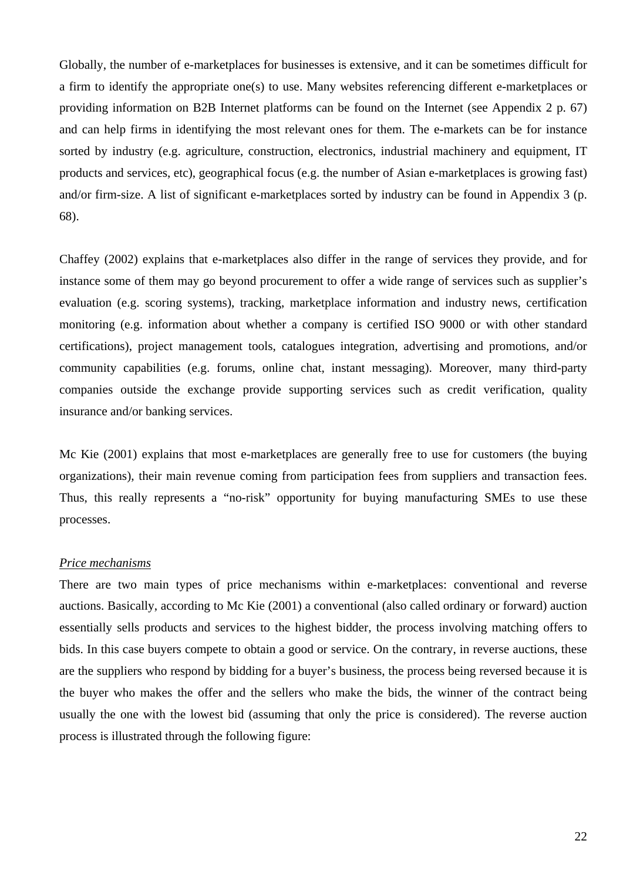Globally, the number of e-marketplaces for businesses is extensive, and it can be sometimes difficult for a firm to identify the appropriate one(s) to use. Many websites referencing different e-marketplaces or providing information on B2B Internet platforms can be found on the Internet (see Appendix 2 p. 67) and can help firms in identifying the most relevant ones for them. The e-markets can be for instance sorted by industry (e.g. agriculture, construction, electronics, industrial machinery and equipment, IT products and services, etc), geographical focus (e.g. the number of Asian e-marketplaces is growing fast) and/or firm-size. A list of significant e-marketplaces sorted by industry can be found in Appendix 3 (p. 68).

Chaffey (2002) explains that e-marketplaces also differ in the range of services they provide, and for instance some of them may go beyond procurement to offer a wide range of services such as supplier's evaluation (e.g. scoring systems), tracking, marketplace information and industry news, certification monitoring (e.g. information about whether a company is certified ISO 9000 or with other standard certifications), project management tools, catalogues integration, advertising and promotions, and/or community capabilities (e.g. forums, online chat, instant messaging). Moreover, many third-party companies outside the exchange provide supporting services such as credit verification, quality insurance and/or banking services.

Mc Kie (2001) explains that most e-marketplaces are generally free to use for customers (the buying organizations), their main revenue coming from participation fees from suppliers and transaction fees. Thus, this really represents a "no-risk" opportunity for buying manufacturing SMEs to use these processes.

#### *Price mechanisms*

There are two main types of price mechanisms within e-marketplaces: conventional and reverse auctions. Basically, according to Mc Kie (2001) a conventional (also called ordinary or forward) auction essentially sells products and services to the highest bidder, the process involving matching offers to bids. In this case buyers compete to obtain a good or service. On the contrary, in reverse auctions, these are the suppliers who respond by bidding for a buyer's business, the process being reversed because it is the buyer who makes the offer and the sellers who make the bids, the winner of the contract being usually the one with the lowest bid (assuming that only the price is considered). The reverse auction process is illustrated through the following figure: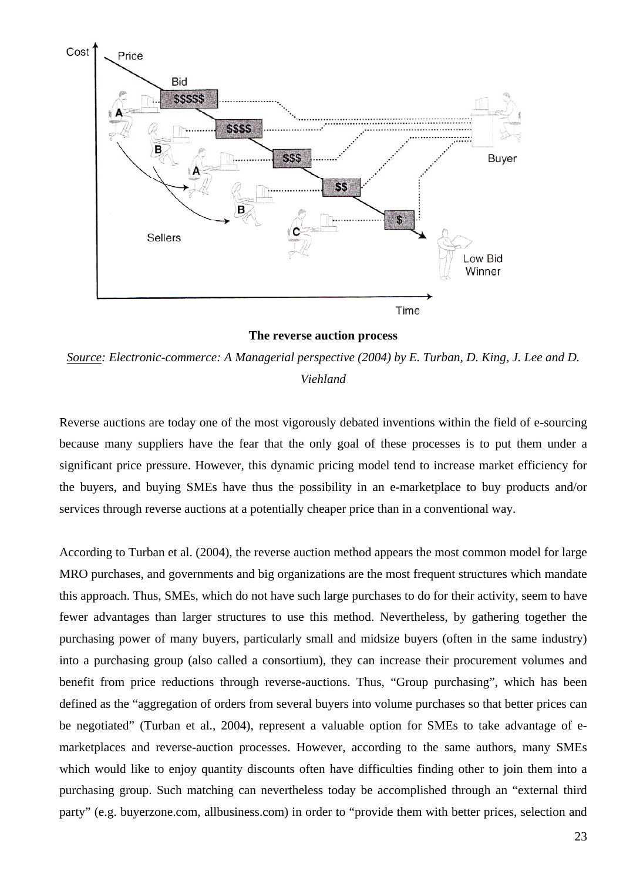

**The reverse auction process** 

*Source: Electronic-commerce: A Managerial perspective (2004) by E. Turban, D. King, J. Lee and D. Viehland*

Reverse auctions are today one of the most vigorously debated inventions within the field of e-sourcing because many suppliers have the fear that the only goal of these processes is to put them under a significant price pressure. However, this dynamic pricing model tend to increase market efficiency for the buyers, and buying SMEs have thus the possibility in an e-marketplace to buy products and/or services through reverse auctions at a potentially cheaper price than in a conventional way.

According to Turban et al. (2004), the reverse auction method appears the most common model for large MRO purchases, and governments and big organizations are the most frequent structures which mandate this approach. Thus, SMEs, which do not have such large purchases to do for their activity, seem to have fewer advantages than larger structures to use this method. Nevertheless, by gathering together the purchasing power of many buyers, particularly small and midsize buyers (often in the same industry) into a purchasing group (also called a consortium), they can increase their procurement volumes and benefit from price reductions through reverse-auctions. Thus, "Group purchasing", which has been defined as the "aggregation of orders from several buyers into volume purchases so that better prices can be negotiated" (Turban et al., 2004), represent a valuable option for SMEs to take advantage of emarketplaces and reverse-auction processes. However, according to the same authors, many SMEs which would like to enjoy quantity discounts often have difficulties finding other to join them into a purchasing group. Such matching can nevertheless today be accomplished through an "external third party" (e.g. buyerzone.com, allbusiness.com) in order to "provide them with better prices, selection and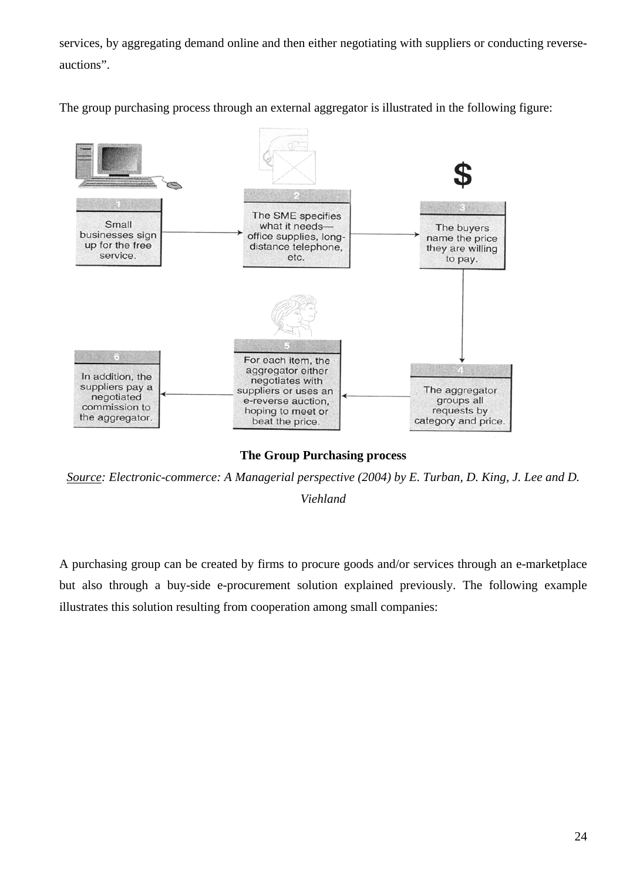services, by aggregating demand online and then either negotiating with suppliers or conducting reverseauctions".

The group purchasing process through an external aggregator is illustrated in the following figure:



**The Group Purchasing process** 

*Source: Electronic-commerce: A Managerial perspective (2004) by E. Turban, D. King, J. Lee and D. Viehland*

A purchasing group can be created by firms to procure goods and/or services through an e-marketplace but also through a buy-side e-procurement solution explained previously. The following example illustrates this solution resulting from cooperation among small companies: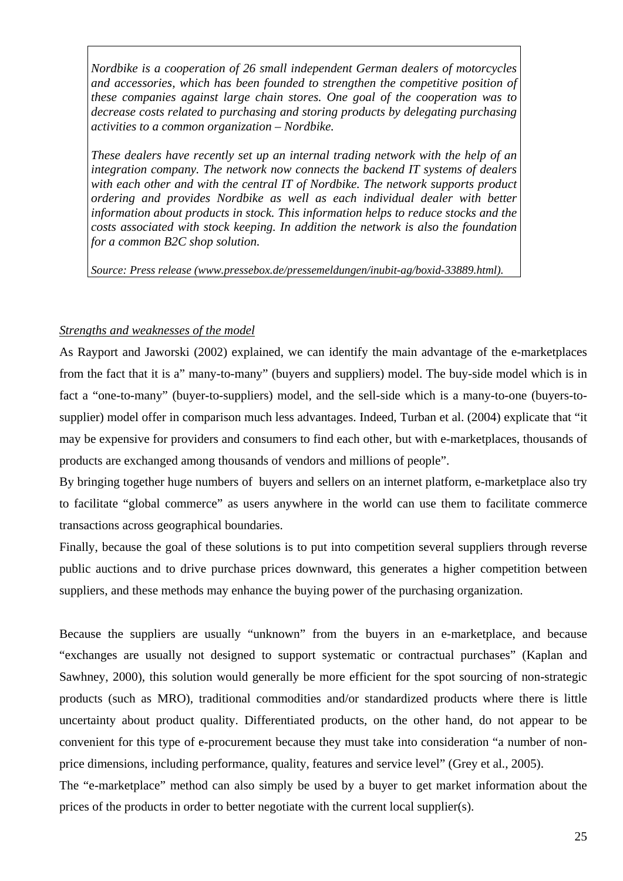*Nordbike is a cooperation of 26 small independent German dealers of motorcycles and accessories, which has been founded to strengthen the competitive position of these companies against large chain stores. One goal of the cooperation was to decrease costs related to purchasing and storing products by delegating purchasing activities to a common organization – Nordbike.* 

*These dealers have recently set up an internal trading network with the help of an integration company. The network now connects the backend IT systems of dealers with each other and with the central IT of Nordbike. The network supports product ordering and provides Nordbike as well as each individual dealer with better information about products in stock. This information helps to reduce stocks and the costs associated with stock keeping. In addition the network is also the foundation for a common B2C shop solution.* 

*Source: Press release (www.pressebox.de/pressemeldungen/inubit-ag/boxid-33889.html).* 

### *Strengths and weaknesses of the model*

As Rayport and Jaworski (2002) explained, we can identify the main advantage of the e-marketplaces from the fact that it is a" many-to-many" (buyers and suppliers) model. The buy-side model which is in fact a "one-to-many" (buyer-to-suppliers) model, and the sell-side which is a many-to-one (buyers-tosupplier) model offer in comparison much less advantages. Indeed, Turban et al. (2004) explicate that "it may be expensive for providers and consumers to find each other, but with e-marketplaces, thousands of products are exchanged among thousands of vendors and millions of people".

By bringing together huge numbers of buyers and sellers on an internet platform, e-marketplace also try to facilitate "global commerce" as users anywhere in the world can use them to facilitate commerce transactions across geographical boundaries.

Finally, because the goal of these solutions is to put into competition several suppliers through reverse public auctions and to drive purchase prices downward, this generates a higher competition between suppliers, and these methods may enhance the buying power of the purchasing organization.

Because the suppliers are usually "unknown" from the buyers in an e-marketplace, and because "exchanges are usually not designed to support systematic or contractual purchases" (Kaplan and Sawhney, 2000), this solution would generally be more efficient for the spot sourcing of non-strategic products (such as MRO), traditional commodities and/or standardized products where there is little uncertainty about product quality. Differentiated products, on the other hand, do not appear to be convenient for this type of e-procurement because they must take into consideration "a number of nonprice dimensions, including performance, quality, features and service level" (Grey et al., 2005). The "e-marketplace" method can also simply be used by a buyer to get market information about the

prices of the products in order to better negotiate with the current local supplier(s).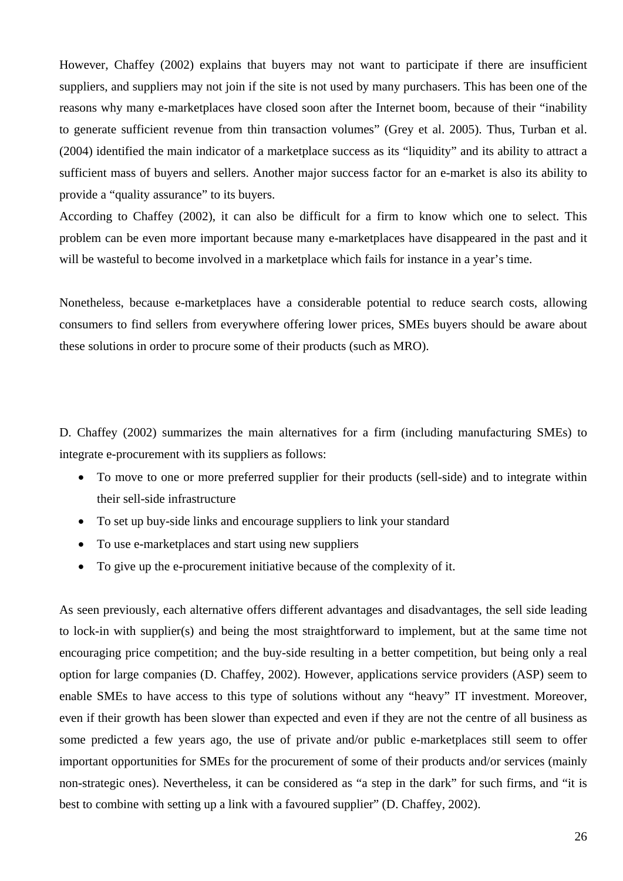However, Chaffey (2002) explains that buyers may not want to participate if there are insufficient suppliers, and suppliers may not join if the site is not used by many purchasers. This has been one of the reasons why many e-marketplaces have closed soon after the Internet boom, because of their "inability to generate sufficient revenue from thin transaction volumes" (Grey et al. 2005). Thus, Turban et al. (2004) identified the main indicator of a marketplace success as its "liquidity" and its ability to attract a sufficient mass of buyers and sellers. Another major success factor for an e-market is also its ability to provide a "quality assurance" to its buyers.

According to Chaffey (2002), it can also be difficult for a firm to know which one to select. This problem can be even more important because many e-marketplaces have disappeared in the past and it will be wasteful to become involved in a marketplace which fails for instance in a year's time.

Nonetheless, because e-marketplaces have a considerable potential to reduce search costs, allowing consumers to find sellers from everywhere offering lower prices, SMEs buyers should be aware about these solutions in order to procure some of their products (such as MRO).

D. Chaffey (2002) summarizes the main alternatives for a firm (including manufacturing SMEs) to integrate e-procurement with its suppliers as follows:

- To move to one or more preferred supplier for their products (sell-side) and to integrate within their sell-side infrastructure
- To set up buy-side links and encourage suppliers to link your standard
- To use e-marketplaces and start using new suppliers
- To give up the e-procurement initiative because of the complexity of it.

As seen previously, each alternative offers different advantages and disadvantages, the sell side leading to lock-in with supplier(s) and being the most straightforward to implement, but at the same time not encouraging price competition; and the buy-side resulting in a better competition, but being only a real option for large companies (D. Chaffey, 2002). However, applications service providers (ASP) seem to enable SMEs to have access to this type of solutions without any "heavy" IT investment. Moreover, even if their growth has been slower than expected and even if they are not the centre of all business as some predicted a few years ago, the use of private and/or public e-marketplaces still seem to offer important opportunities for SMEs for the procurement of some of their products and/or services (mainly non-strategic ones). Nevertheless, it can be considered as "a step in the dark" for such firms, and "it is best to combine with setting up a link with a favoured supplier" (D. Chaffey, 2002).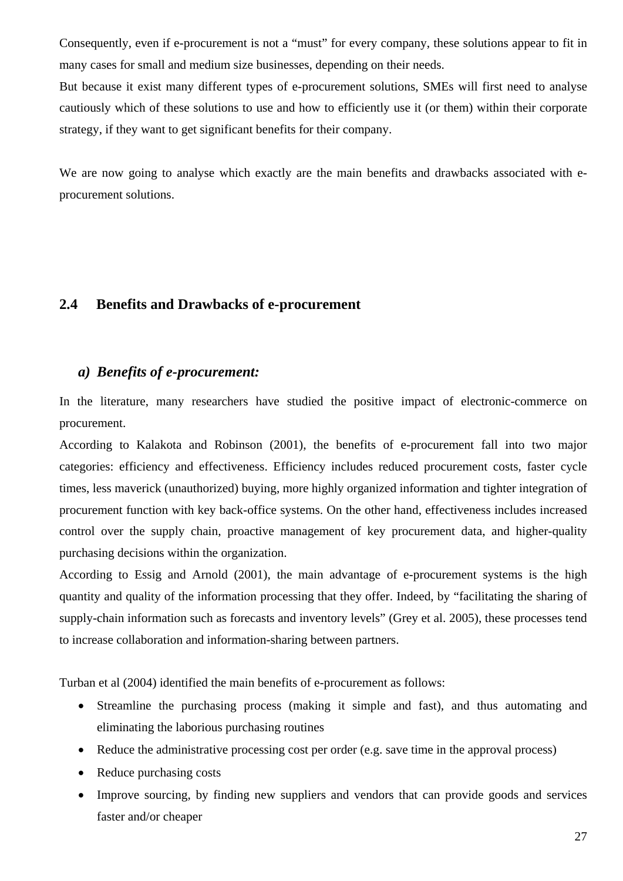<span id="page-26-0"></span>Consequently, even if e-procurement is not a "must" for every company, these solutions appear to fit in many cases for small and medium size businesses, depending on their needs.

But because it exist many different types of e-procurement solutions, SMEs will first need to analyse cautiously which of these solutions to use and how to efficiently use it (or them) within their corporate strategy, if they want to get significant benefits for their company.

We are now going to analyse which exactly are the main benefits and drawbacks associated with eprocurement solutions.

### **2.4 Benefits and Drawbacks of e-procurement**

### *a) Benefits of e-procurement:*

In the literature, many researchers have studied the positive impact of electronic-commerce on procurement.

According to Kalakota and Robinson (2001), the benefits of e-procurement fall into two major categories: efficiency and effectiveness. Efficiency includes reduced procurement costs, faster cycle times, less maverick (unauthorized) buying, more highly organized information and tighter integration of procurement function with key back-office systems. On the other hand, effectiveness includes increased control over the supply chain, proactive management of key procurement data, and higher-quality purchasing decisions within the organization.

According to Essig and Arnold (2001), the main advantage of e-procurement systems is the high quantity and quality of the information processing that they offer. Indeed, by "facilitating the sharing of supply-chain information such as forecasts and inventory levels" (Grey et al. 2005), these processes tend to increase collaboration and information-sharing between partners.

Turban et al (2004) identified the main benefits of e-procurement as follows:

- Streamline the purchasing process (making it simple and fast), and thus automating and eliminating the laborious purchasing routines
- Reduce the administrative processing cost per order (e.g. save time in the approval process)
- Reduce purchasing costs
- Improve sourcing, by finding new suppliers and vendors that can provide goods and services faster and/or cheaper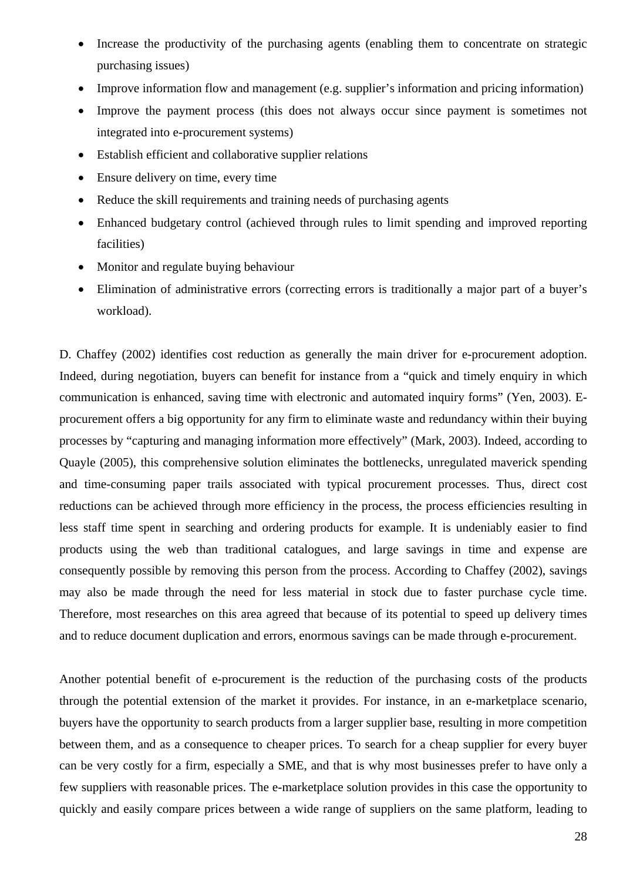- Increase the productivity of the purchasing agents (enabling them to concentrate on strategic purchasing issues)
- Improve information flow and management (e.g. supplier's information and pricing information)
- Improve the payment process (this does not always occur since payment is sometimes not integrated into e-procurement systems)
- Establish efficient and collaborative supplier relations
- Ensure delivery on time, every time
- Reduce the skill requirements and training needs of purchasing agents
- Enhanced budgetary control (achieved through rules to limit spending and improved reporting facilities)
- Monitor and regulate buying behaviour
- Elimination of administrative errors (correcting errors is traditionally a major part of a buyer's workload).

D. Chaffey (2002) identifies cost reduction as generally the main driver for e-procurement adoption. Indeed, during negotiation, buyers can benefit for instance from a "quick and timely enquiry in which communication is enhanced, saving time with electronic and automated inquiry forms" (Yen, 2003). Eprocurement offers a big opportunity for any firm to eliminate waste and redundancy within their buying processes by "capturing and managing information more effectively" (Mark, 2003). Indeed, according to Quayle (2005), this comprehensive solution eliminates the bottlenecks, unregulated maverick spending and time-consuming paper trails associated with typical procurement processes. Thus, direct cost reductions can be achieved through more efficiency in the process, the process efficiencies resulting in less staff time spent in searching and ordering products for example. It is undeniably easier to find products using the web than traditional catalogues, and large savings in time and expense are consequently possible by removing this person from the process. According to Chaffey (2002), savings may also be made through the need for less material in stock due to faster purchase cycle time. Therefore, most researches on this area agreed that because of its potential to speed up delivery times and to reduce document duplication and errors, enormous savings can be made through e-procurement.

Another potential benefit of e-procurement is the reduction of the purchasing costs of the products through the potential extension of the market it provides. For instance, in an e-marketplace scenario, buyers have the opportunity to search products from a larger supplier base, resulting in more competition between them, and as a consequence to cheaper prices. To search for a cheap supplier for every buyer can be very costly for a firm, especially a SME, and that is why most businesses prefer to have only a few suppliers with reasonable prices. The e-marketplace solution provides in this case the opportunity to quickly and easily compare prices between a wide range of suppliers on the same platform, leading to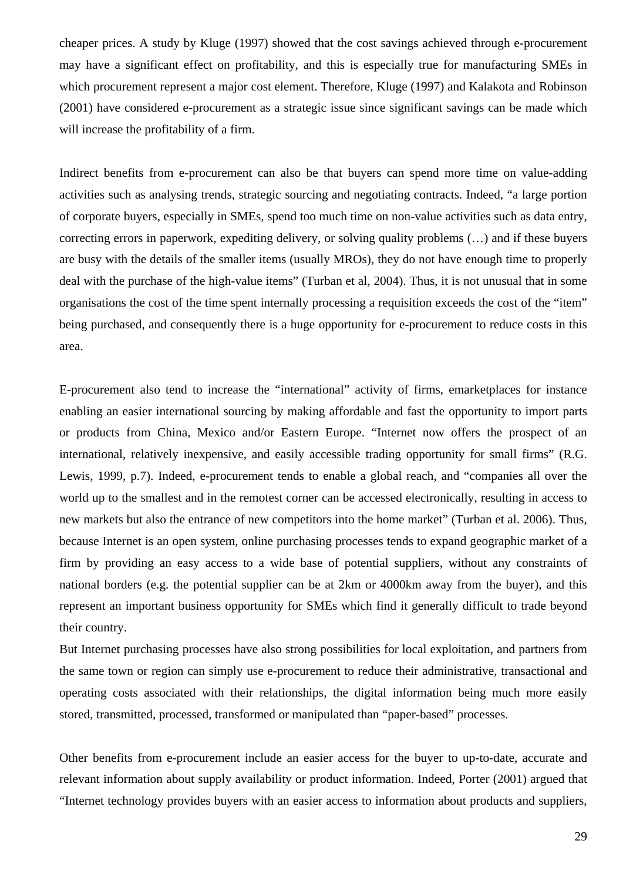cheaper prices. A study by Kluge (1997) showed that the cost savings achieved through e-procurement may have a significant effect on profitability, and this is especially true for manufacturing SMEs in which procurement represent a major cost element. Therefore, Kluge (1997) and Kalakota and Robinson (2001) have considered e-procurement as a strategic issue since significant savings can be made which will increase the profitability of a firm.

Indirect benefits from e-procurement can also be that buyers can spend more time on value-adding activities such as analysing trends, strategic sourcing and negotiating contracts. Indeed, "a large portion of corporate buyers, especially in SMEs, spend too much time on non-value activities such as data entry, correcting errors in paperwork, expediting delivery, or solving quality problems (…) and if these buyers are busy with the details of the smaller items (usually MROs), they do not have enough time to properly deal with the purchase of the high-value items" (Turban et al, 2004). Thus, it is not unusual that in some organisations the cost of the time spent internally processing a requisition exceeds the cost of the "item" being purchased, and consequently there is a huge opportunity for e-procurement to reduce costs in this area.

E-procurement also tend to increase the "international" activity of firms, emarketplaces for instance enabling an easier international sourcing by making affordable and fast the opportunity to import parts or products from China, Mexico and/or Eastern Europe. "Internet now offers the prospect of an international, relatively inexpensive, and easily accessible trading opportunity for small firms" (R.G. Lewis, 1999, p.7). Indeed, e-procurement tends to enable a global reach, and "companies all over the world up to the smallest and in the remotest corner can be accessed electronically, resulting in access to new markets but also the entrance of new competitors into the home market" (Turban et al. 2006). Thus, because Internet is an open system, online purchasing processes tends to expand geographic market of a firm by providing an easy access to a wide base of potential suppliers, without any constraints of national borders (e.g. the potential supplier can be at 2km or 4000km away from the buyer), and this represent an important business opportunity for SMEs which find it generally difficult to trade beyond their country.

But Internet purchasing processes have also strong possibilities for local exploitation, and partners from the same town or region can simply use e-procurement to reduce their administrative, transactional and operating costs associated with their relationships, the digital information being much more easily stored, transmitted, processed, transformed or manipulated than "paper-based" processes.

Other benefits from e-procurement include an easier access for the buyer to up-to-date, accurate and relevant information about supply availability or product information. Indeed, Porter (2001) argued that "Internet technology provides buyers with an easier access to information about products and suppliers,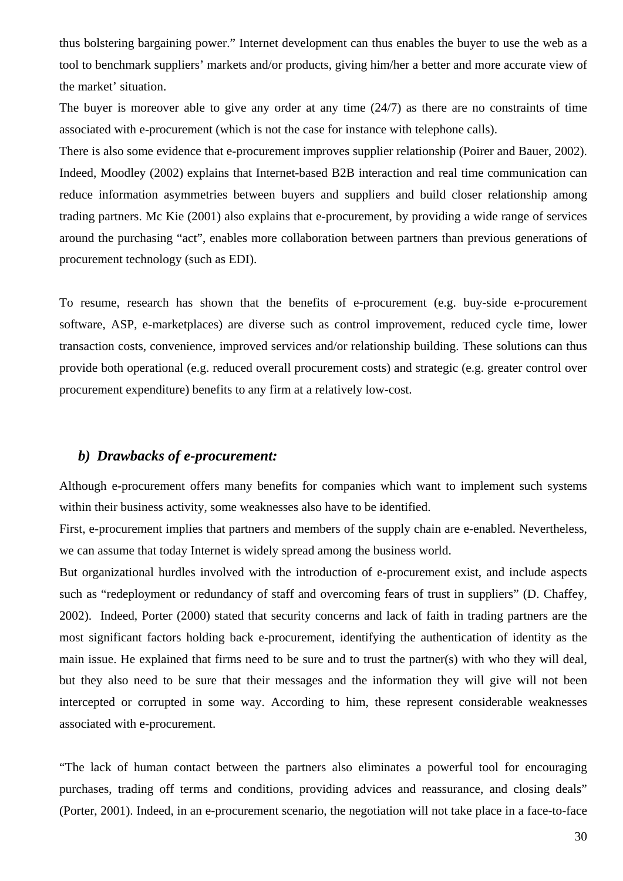<span id="page-29-0"></span>thus bolstering bargaining power." Internet development can thus enables the buyer to use the web as a tool to benchmark suppliers' markets and/or products, giving him/her a better and more accurate view of the market' situation.

The buyer is moreover able to give any order at any time (24/7) as there are no constraints of time associated with e-procurement (which is not the case for instance with telephone calls).

There is also some evidence that e-procurement improves supplier relationship (Poirer and Bauer, 2002). Indeed, Moodley (2002) explains that Internet-based B2B interaction and real time communication can reduce information asymmetries between buyers and suppliers and build closer relationship among trading partners. Mc Kie (2001) also explains that e-procurement, by providing a wide range of services around the purchasing "act", enables more collaboration between partners than previous generations of procurement technology (such as EDI).

To resume, research has shown that the benefits of e-procurement (e.g. buy-side e-procurement software, ASP, e-marketplaces) are diverse such as control improvement, reduced cycle time, lower transaction costs, convenience, improved services and/or relationship building. These solutions can thus provide both operational (e.g. reduced overall procurement costs) and strategic (e.g. greater control over procurement expenditure) benefits to any firm at a relatively low-cost.

### *b) Drawbacks of e-procurement:*

Although e-procurement offers many benefits for companies which want to implement such systems within their business activity, some weaknesses also have to be identified.

First, e-procurement implies that partners and members of the supply chain are e-enabled. Nevertheless, we can assume that today Internet is widely spread among the business world.

But organizational hurdles involved with the introduction of e-procurement exist, and include aspects such as "redeployment or redundancy of staff and overcoming fears of trust in suppliers" (D. Chaffey, 2002). Indeed, Porter (2000) stated that security concerns and lack of faith in trading partners are the most significant factors holding back e-procurement, identifying the authentication of identity as the main issue. He explained that firms need to be sure and to trust the partner(s) with who they will deal, but they also need to be sure that their messages and the information they will give will not been intercepted or corrupted in some way. According to him, these represent considerable weaknesses associated with e-procurement.

"The lack of human contact between the partners also eliminates a powerful tool for encouraging purchases, trading off terms and conditions, providing advices and reassurance, and closing deals" (Porter, 2001). Indeed, in an e-procurement scenario, the negotiation will not take place in a face-to-face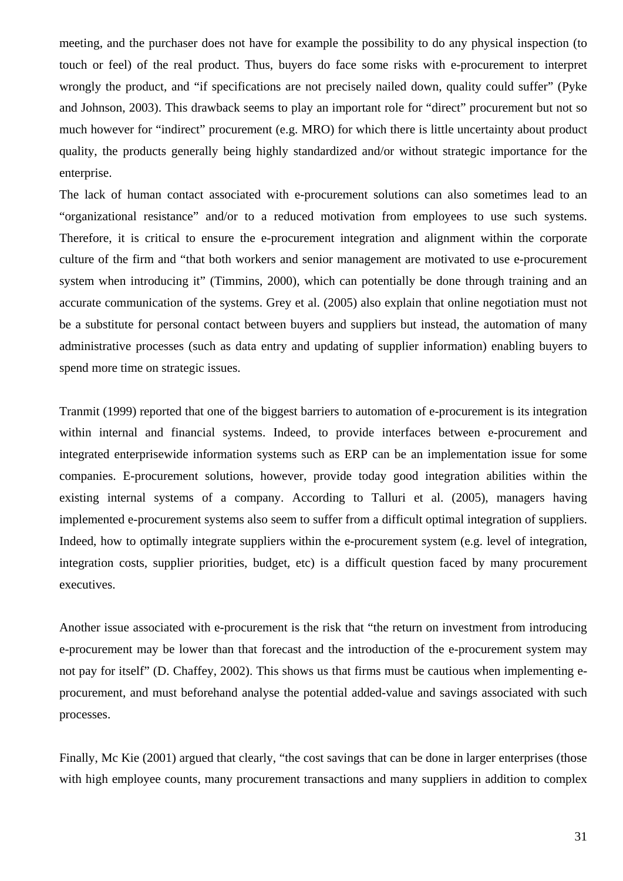meeting, and the purchaser does not have for example the possibility to do any physical inspection (to touch or feel) of the real product. Thus, buyers do face some risks with e-procurement to interpret wrongly the product, and "if specifications are not precisely nailed down, quality could suffer" (Pyke and Johnson, 2003). This drawback seems to play an important role for "direct" procurement but not so much however for "indirect" procurement (e.g. MRO) for which there is little uncertainty about product quality, the products generally being highly standardized and/or without strategic importance for the enterprise.

The lack of human contact associated with e-procurement solutions can also sometimes lead to an "organizational resistance" and/or to a reduced motivation from employees to use such systems. Therefore, it is critical to ensure the e-procurement integration and alignment within the corporate culture of the firm and "that both workers and senior management are motivated to use e-procurement system when introducing it" (Timmins, 2000), which can potentially be done through training and an accurate communication of the systems. Grey et al. (2005) also explain that online negotiation must not be a substitute for personal contact between buyers and suppliers but instead, the automation of many administrative processes (such as data entry and updating of supplier information) enabling buyers to spend more time on strategic issues.

Tranmit (1999) reported that one of the biggest barriers to automation of e-procurement is its integration within internal and financial systems. Indeed, to provide interfaces between e-procurement and integrated enterprisewide information systems such as ERP can be an implementation issue for some companies. E-procurement solutions, however, provide today good integration abilities within the existing internal systems of a company. According to Talluri et al. (2005), managers having implemented e-procurement systems also seem to suffer from a difficult optimal integration of suppliers. Indeed, how to optimally integrate suppliers within the e-procurement system (e.g. level of integration, integration costs, supplier priorities, budget, etc) is a difficult question faced by many procurement executives.

Another issue associated with e-procurement is the risk that "the return on investment from introducing e-procurement may be lower than that forecast and the introduction of the e-procurement system may not pay for itself" (D. Chaffey, 2002). This shows us that firms must be cautious when implementing eprocurement, and must beforehand analyse the potential added-value and savings associated with such processes.

Finally, Mc Kie (2001) argued that clearly, "the cost savings that can be done in larger enterprises (those with high employee counts, many procurement transactions and many suppliers in addition to complex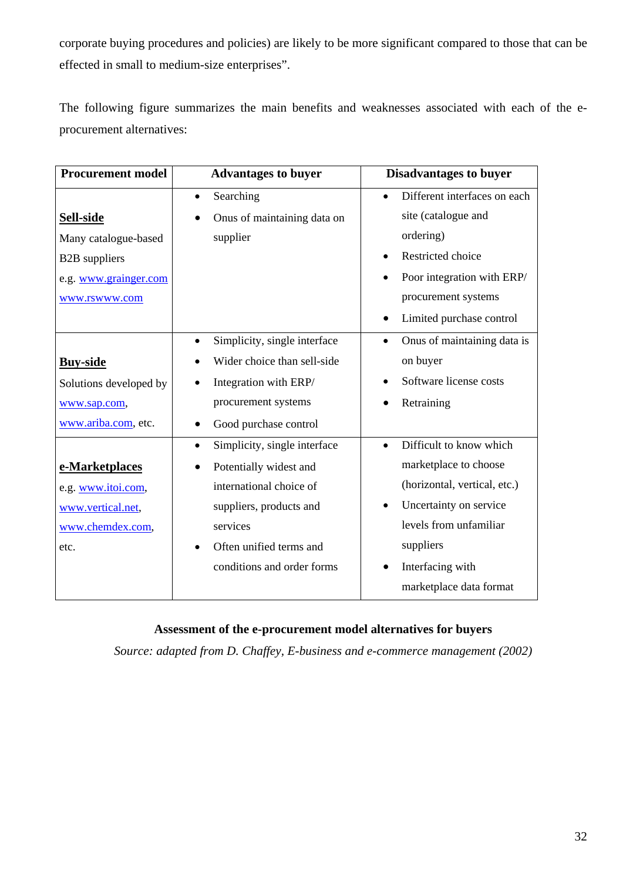corporate buying procedures and policies) are likely to be more significant compared to those that can be effected in small to medium-size enterprises".

The following figure summarizes the main benefits and weaknesses associated with each of the eprocurement alternatives:

| <b>Procurement model</b> | <b>Advantages to buyer</b>                | <b>Disadvantages to buyer</b>            |
|--------------------------|-------------------------------------------|------------------------------------------|
|                          | Searching<br>$\bullet$                    | Different interfaces on each             |
| Sell-side                | Onus of maintaining data on               | site (catalogue and                      |
| Many catalogue-based     | supplier                                  | ordering)                                |
| <b>B2B</b> suppliers     |                                           | Restricted choice                        |
| e.g. www.grainger.com    |                                           | Poor integration with ERP/               |
| www.rswww.com            |                                           | procurement systems                      |
|                          |                                           | Limited purchase control<br>$\bullet$    |
|                          | Simplicity, single interface<br>$\bullet$ | Onus of maintaining data is<br>$\bullet$ |
| <b>Buy-side</b>          | Wider choice than sell-side               | on buyer                                 |
| Solutions developed by   | Integration with ERP/<br>$\bullet$        | Software license costs                   |
| www.sap.com,             | procurement systems                       | Retraining                               |
| www.ariba.com, etc.      | Good purchase control<br>$\bullet$        |                                          |
|                          | Simplicity, single interface<br>$\bullet$ | Difficult to know which<br>$\bullet$     |
| e-Marketplaces           | Potentially widest and                    | marketplace to choose                    |
| e.g. www.itoi.com,       | international choice of                   | (horizontal, vertical, etc.)             |
| www.vertical.net,        | suppliers, products and                   | Uncertainty on service                   |
| www.chemdex.com,         | services                                  | levels from unfamiliar                   |
| etc.                     | Often unified terms and<br>$\bullet$      | suppliers                                |
|                          | conditions and order forms                | Interfacing with                         |
|                          |                                           | marketplace data format                  |

### **Assessment of the e-procurement model alternatives for buyers**

*Source: adapted from D. Chaffey, E-business and e-commerce management (2002)*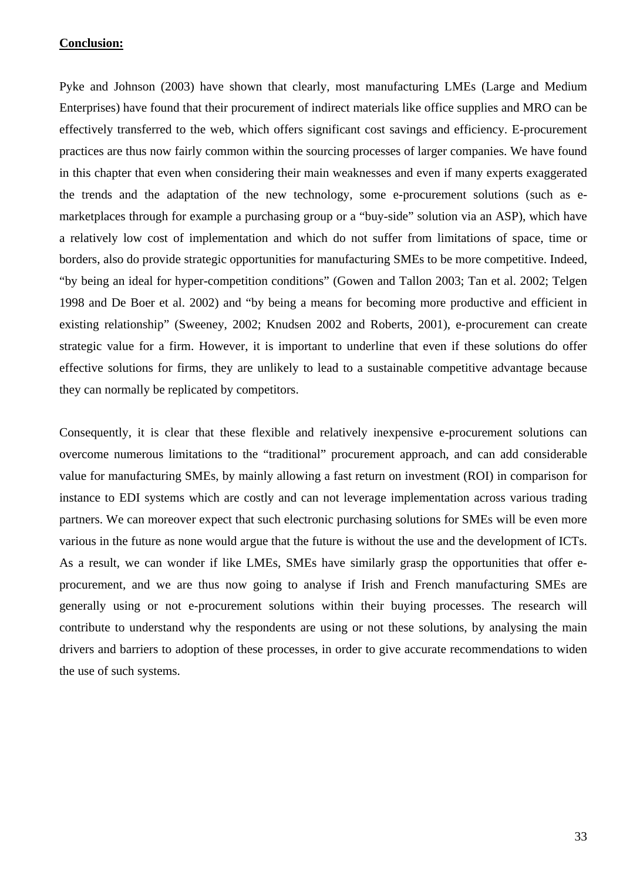### **Conclusion:**

Pyke and Johnson (2003) have shown that clearly, most manufacturing LMEs (Large and Medium Enterprises) have found that their procurement of indirect materials like office supplies and MRO can be effectively transferred to the web, which offers significant cost savings and efficiency. E-procurement practices are thus now fairly common within the sourcing processes of larger companies. We have found in this chapter that even when considering their main weaknesses and even if many experts exaggerated the trends and the adaptation of the new technology, some e-procurement solutions (such as emarketplaces through for example a purchasing group or a "buy-side" solution via an ASP), which have a relatively low cost of implementation and which do not suffer from limitations of space, time or borders, also do provide strategic opportunities for manufacturing SMEs to be more competitive. Indeed, "by being an ideal for hyper-competition conditions" (Gowen and Tallon 2003; Tan et al. 2002; Telgen 1998 and De Boer et al. 2002) and "by being a means for becoming more productive and efficient in existing relationship" (Sweeney, 2002; Knudsen 2002 and Roberts, 2001), e-procurement can create strategic value for a firm. However, it is important to underline that even if these solutions do offer effective solutions for firms, they are unlikely to lead to a sustainable competitive advantage because they can normally be replicated by competitors.

Consequently, it is clear that these flexible and relatively inexpensive e-procurement solutions can overcome numerous limitations to the "traditional" procurement approach, and can add considerable value for manufacturing SMEs, by mainly allowing a fast return on investment (ROI) in comparison for instance to EDI systems which are costly and can not leverage implementation across various trading partners. We can moreover expect that such electronic purchasing solutions for SMEs will be even more various in the future as none would argue that the future is without the use and the development of ICTs. As a result, we can wonder if like LMEs, SMEs have similarly grasp the opportunities that offer eprocurement, and we are thus now going to analyse if Irish and French manufacturing SMEs are generally using or not e-procurement solutions within their buying processes. The research will contribute to understand why the respondents are using or not these solutions, by analysing the main drivers and barriers to adoption of these processes, in order to give accurate recommendations to widen the use of such systems.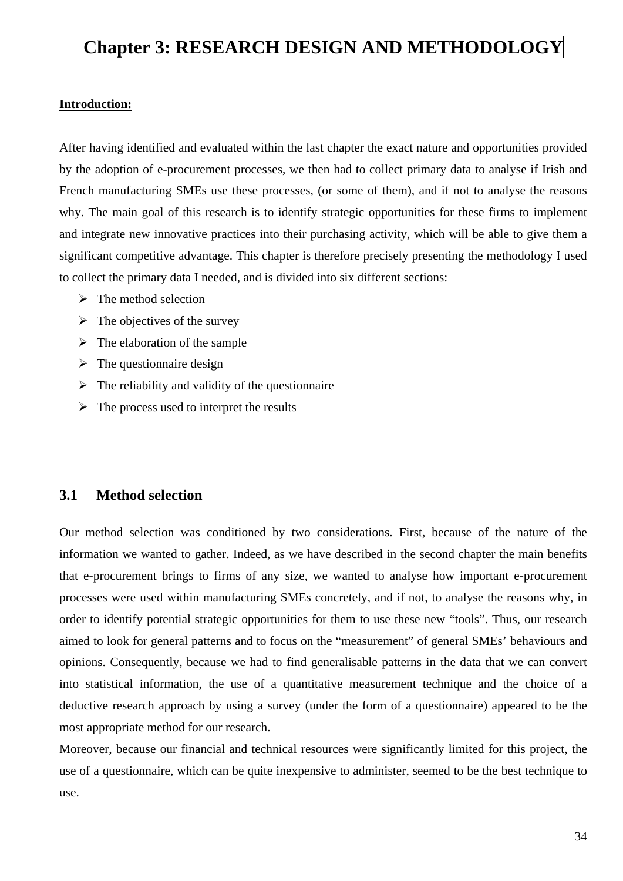## <span id="page-33-0"></span>**Chapter 3: RESEARCH DESIGN AND METHODOLOGY**

#### **Introduction:**

After having identified and evaluated within the last chapter the exact nature and opportunities provided by the adoption of e-procurement processes, we then had to collect primary data to analyse if Irish and French manufacturing SMEs use these processes, (or some of them), and if not to analyse the reasons why. The main goal of this research is to identify strategic opportunities for these firms to implement and integrate new innovative practices into their purchasing activity, which will be able to give them a significant competitive advantage. This chapter is therefore precisely presenting the methodology I used to collect the primary data I needed, and is divided into six different sections:

- $\triangleright$  The method selection
- $\triangleright$  The objectives of the survey
- $\triangleright$  The elaboration of the sample
- $\triangleright$  The questionnaire design
- $\triangleright$  The reliability and validity of the questionnaire
- $\triangleright$  The process used to interpret the results

## **3.1 Method selection**

Our method selection was conditioned by two considerations. First, because of the nature of the information we wanted to gather. Indeed, as we have described in the second chapter the main benefits that e-procurement brings to firms of any size, we wanted to analyse how important e-procurement processes were used within manufacturing SMEs concretely, and if not, to analyse the reasons why, in order to identify potential strategic opportunities for them to use these new "tools". Thus, our research aimed to look for general patterns and to focus on the "measurement" of general SMEs' behaviours and opinions. Consequently, because we had to find generalisable patterns in the data that we can convert into statistical information, the use of a quantitative measurement technique and the choice of a deductive research approach by using a survey (under the form of a questionnaire) appeared to be the most appropriate method for our research.

Moreover, because our financial and technical resources were significantly limited for this project, the use of a questionnaire, which can be quite inexpensive to administer, seemed to be the best technique to use.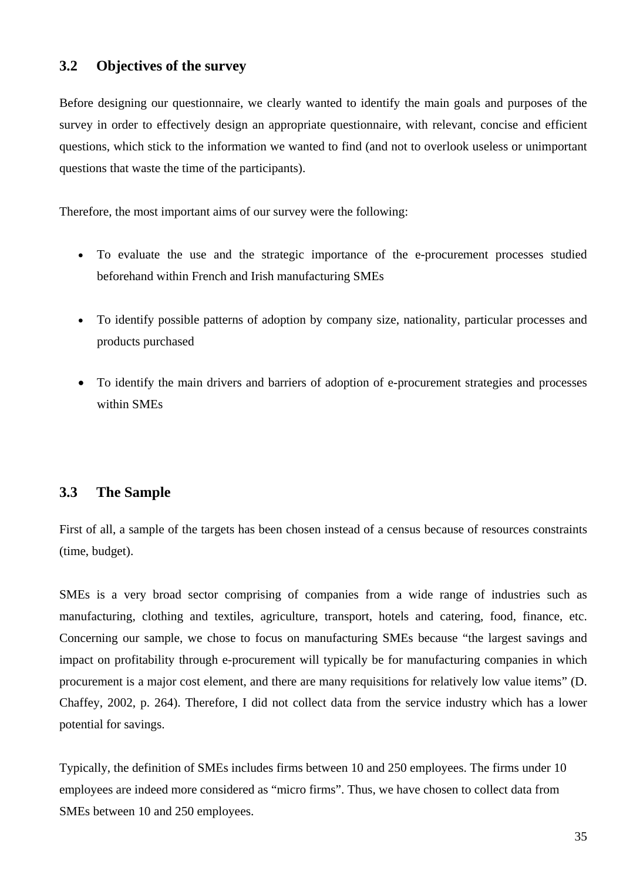### <span id="page-34-0"></span>**3.2 Objectives of the survey**

Before designing our questionnaire, we clearly wanted to identify the main goals and purposes of the survey in order to effectively design an appropriate questionnaire, with relevant, concise and efficient questions, which stick to the information we wanted to find (and not to overlook useless or unimportant questions that waste the time of the participants).

Therefore, the most important aims of our survey were the following:

- To evaluate the use and the strategic importance of the e-procurement processes studied beforehand within French and Irish manufacturing SMEs
- To identify possible patterns of adoption by company size, nationality, particular processes and products purchased
- To identify the main drivers and barriers of adoption of e-procurement strategies and processes within SMEs

## **3.3 The Sample**

First of all, a sample of the targets has been chosen instead of a census because of resources constraints (time, budget).

SMEs is a very broad sector comprising of companies from a wide range of industries such as manufacturing, clothing and textiles, agriculture, transport, hotels and catering, food, finance, etc. Concerning our sample, we chose to focus on manufacturing SMEs because "the largest savings and impact on profitability through e-procurement will typically be for manufacturing companies in which procurement is a major cost element, and there are many requisitions for relatively low value items" (D. Chaffey, 2002, p. 264). Therefore, I did not collect data from the service industry which has a lower potential for savings.

Typically, the definition of SMEs includes firms between 10 and 250 employees. The firms under 10 employees are indeed more considered as "micro firms". Thus, we have chosen to collect data from SMEs between 10 and 250 employees.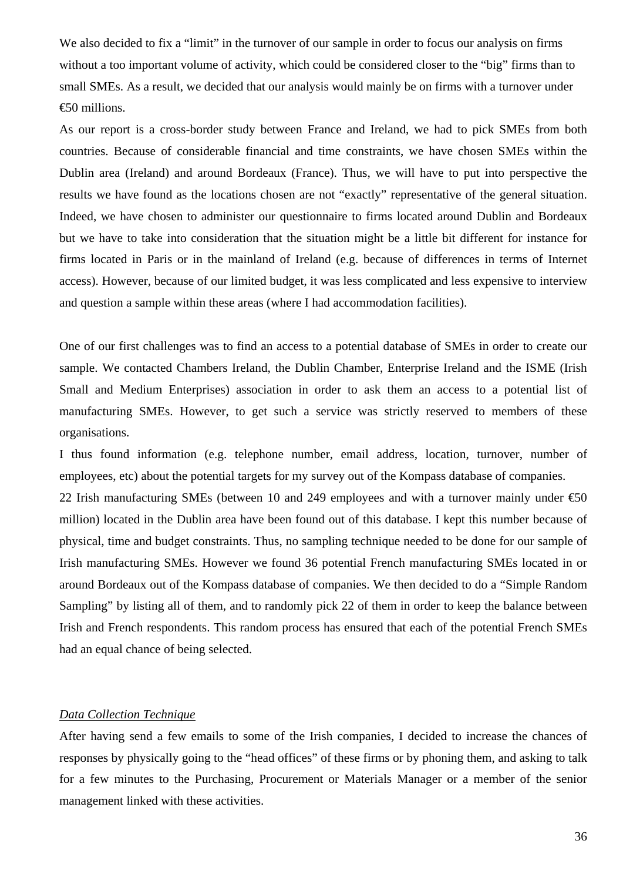We also decided to fix a "limit" in the turnover of our sample in order to focus our analysis on firms without a too important volume of activity, which could be considered closer to the "big" firms than to small SMEs. As a result, we decided that our analysis would mainly be on firms with a turnover under €50 millions.

As our report is a cross-border study between France and Ireland, we had to pick SMEs from both countries. Because of considerable financial and time constraints, we have chosen SMEs within the Dublin area (Ireland) and around Bordeaux (France). Thus, we will have to put into perspective the results we have found as the locations chosen are not "exactly" representative of the general situation. Indeed, we have chosen to administer our questionnaire to firms located around Dublin and Bordeaux but we have to take into consideration that the situation might be a little bit different for instance for firms located in Paris or in the mainland of Ireland (e.g. because of differences in terms of Internet access). However, because of our limited budget, it was less complicated and less expensive to interview and question a sample within these areas (where I had accommodation facilities).

One of our first challenges was to find an access to a potential database of SMEs in order to create our sample. We contacted Chambers Ireland, the Dublin Chamber, Enterprise Ireland and the ISME (Irish Small and Medium Enterprises) association in order to ask them an access to a potential list of manufacturing SMEs. However, to get such a service was strictly reserved to members of these organisations.

I thus found information (e.g. telephone number, email address, location, turnover, number of employees, etc) about the potential targets for my survey out of the Kompass database of companies.

22 Irish manufacturing SMEs (between 10 and 249 employees and with a turnover mainly under  $\epsilon$ 50 million) located in the Dublin area have been found out of this database. I kept this number because of physical, time and budget constraints. Thus, no sampling technique needed to be done for our sample of Irish manufacturing SMEs. However we found 36 potential French manufacturing SMEs located in or around Bordeaux out of the Kompass database of companies. We then decided to do a "Simple Random Sampling" by listing all of them, and to randomly pick 22 of them in order to keep the balance between Irish and French respondents. This random process has ensured that each of the potential French SMEs had an equal chance of being selected.

#### *Data Collection Technique*

After having send a few emails to some of the Irish companies, I decided to increase the chances of responses by physically going to the "head offices" of these firms or by phoning them, and asking to talk for a few minutes to the Purchasing, Procurement or Materials Manager or a member of the senior management linked with these activities.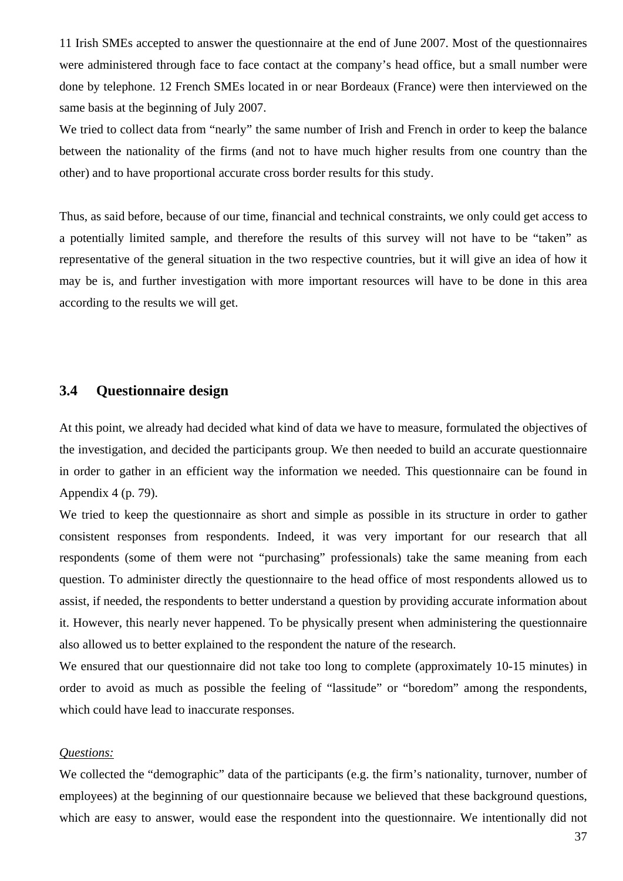11 Irish SMEs accepted to answer the questionnaire at the end of June 2007. Most of the questionnaires were administered through face to face contact at the company's head office, but a small number were done by telephone. 12 French SMEs located in or near Bordeaux (France) were then interviewed on the same basis at the beginning of July 2007.

We tried to collect data from "nearly" the same number of Irish and French in order to keep the balance between the nationality of the firms (and not to have much higher results from one country than the other) and to have proportional accurate cross border results for this study.

Thus, as said before, because of our time, financial and technical constraints, we only could get access to a potentially limited sample, and therefore the results of this survey will not have to be "taken" as representative of the general situation in the two respective countries, but it will give an idea of how it may be is, and further investigation with more important resources will have to be done in this area according to the results we will get.

## **3.4 Questionnaire design**

At this point, we already had decided what kind of data we have to measure, formulated the objectives of the investigation, and decided the participants group. We then needed to build an accurate questionnaire in order to gather in an efficient way the information we needed. This questionnaire can be found in Appendix 4 (p. 79).

We tried to keep the questionnaire as short and simple as possible in its structure in order to gather consistent responses from respondents. Indeed, it was very important for our research that all respondents (some of them were not "purchasing" professionals) take the same meaning from each question. To administer directly the questionnaire to the head office of most respondents allowed us to assist, if needed, the respondents to better understand a question by providing accurate information about it. However, this nearly never happened. To be physically present when administering the questionnaire also allowed us to better explained to the respondent the nature of the research.

We ensured that our questionnaire did not take too long to complete (approximately 10-15 minutes) in order to avoid as much as possible the feeling of "lassitude" or "boredom" among the respondents, which could have lead to inaccurate responses.

#### *Questions:*

We collected the "demographic" data of the participants (e.g. the firm's nationality, turnover, number of employees) at the beginning of our questionnaire because we believed that these background questions, which are easy to answer, would ease the respondent into the questionnaire. We intentionally did not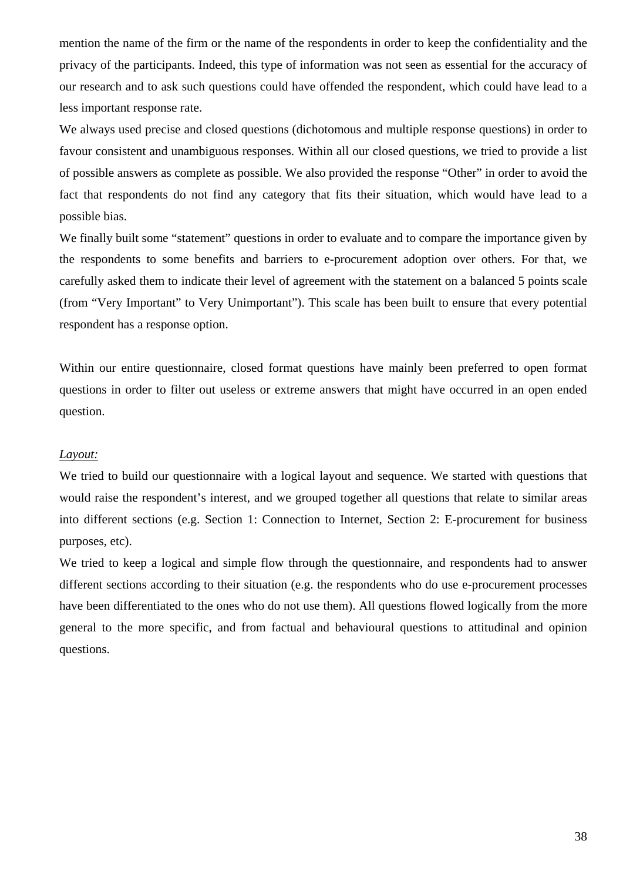mention the name of the firm or the name of the respondents in order to keep the confidentiality and the privacy of the participants. Indeed, this type of information was not seen as essential for the accuracy of our research and to ask such questions could have offended the respondent, which could have lead to a less important response rate.

We always used precise and closed questions (dichotomous and multiple response questions) in order to favour consistent and unambiguous responses. Within all our closed questions, we tried to provide a list of possible answers as complete as possible. We also provided the response "Other" in order to avoid the fact that respondents do not find any category that fits their situation, which would have lead to a possible bias.

We finally built some "statement" questions in order to evaluate and to compare the importance given by the respondents to some benefits and barriers to e-procurement adoption over others. For that, we carefully asked them to indicate their level of agreement with the statement on a balanced 5 points scale (from "Very Important" to Very Unimportant"). This scale has been built to ensure that every potential respondent has a response option.

Within our entire questionnaire, closed format questions have mainly been preferred to open format questions in order to filter out useless or extreme answers that might have occurred in an open ended question.

#### *Layout:*

We tried to build our questionnaire with a logical layout and sequence. We started with questions that would raise the respondent's interest, and we grouped together all questions that relate to similar areas into different sections (e.g. Section 1: Connection to Internet, Section 2: E-procurement for business purposes, etc).

We tried to keep a logical and simple flow through the questionnaire, and respondents had to answer different sections according to their situation (e.g. the respondents who do use e-procurement processes have been differentiated to the ones who do not use them). All questions flowed logically from the more general to the more specific, and from factual and behavioural questions to attitudinal and opinion questions.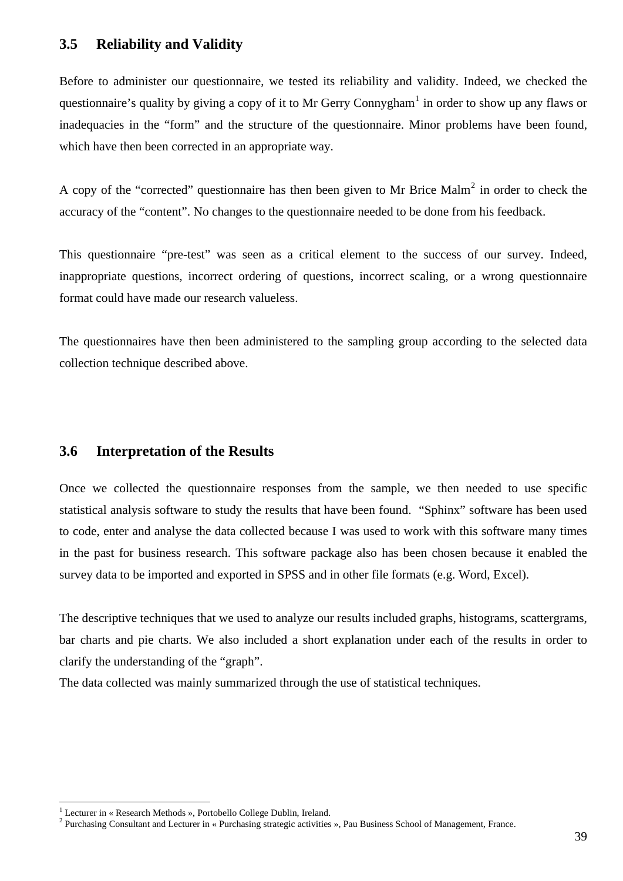### **3.5 Reliability and Validity**

Before to administer our questionnaire, we tested its reliability and validity. Indeed, we checked the questionnaire's quality by giving a copy of it to Mr Gerry Connygham<sup>[1](#page-38-0)</sup> in order to show up any flaws or inadequacies in the "form" and the structure of the questionnaire. Minor problems have been found, which have then been corrected in an appropriate way.

A copy of the "corrected" questionnaire has then been given to Mr Brice Malm<sup>[2](#page-38-1)</sup> in order to check the accuracy of the "content". No changes to the questionnaire needed to be done from his feedback.

This questionnaire "pre-test" was seen as a critical element to the success of our survey. Indeed, inappropriate questions, incorrect ordering of questions, incorrect scaling, or a wrong questionnaire format could have made our research valueless.

The questionnaires have then been administered to the sampling group according to the selected data collection technique described above.

#### **3.6 Interpretation of the Results**

Once we collected the questionnaire responses from the sample, we then needed to use specific statistical analysis software to study the results that have been found. "Sphinx" software has been used to code, enter and analyse the data collected because I was used to work with this software many times in the past for business research. This software package also has been chosen because it enabled the survey data to be imported and exported in SPSS and in other file formats (e.g. Word, Excel).

The descriptive techniques that we used to analyze our results included graphs, histograms, scattergrams, bar charts and pie charts. We also included a short explanation under each of the results in order to clarify the understanding of the "graph".

The data collected was mainly summarized through the use of statistical techniques.

 $\overline{a}$ 

<span id="page-38-0"></span><sup>&</sup>lt;sup>1</sup> Lecturer in « Research Methods », Portobello College Dublin, Ireland.

<span id="page-38-1"></span><sup>&</sup>lt;sup>2</sup> Purchasing Consultant and Lecturer in « Purchasing strategic activities », Pau Business School of Management, France.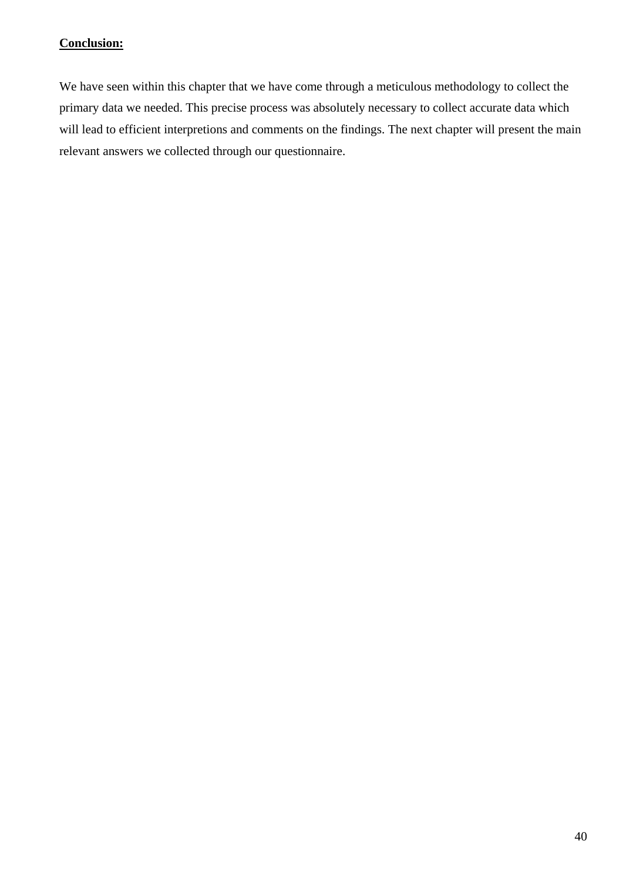## **Conclusion:**

We have seen within this chapter that we have come through a meticulous methodology to collect the primary data we needed. This precise process was absolutely necessary to collect accurate data which will lead to efficient interpretions and comments on the findings. The next chapter will present the main relevant answers we collected through our questionnaire.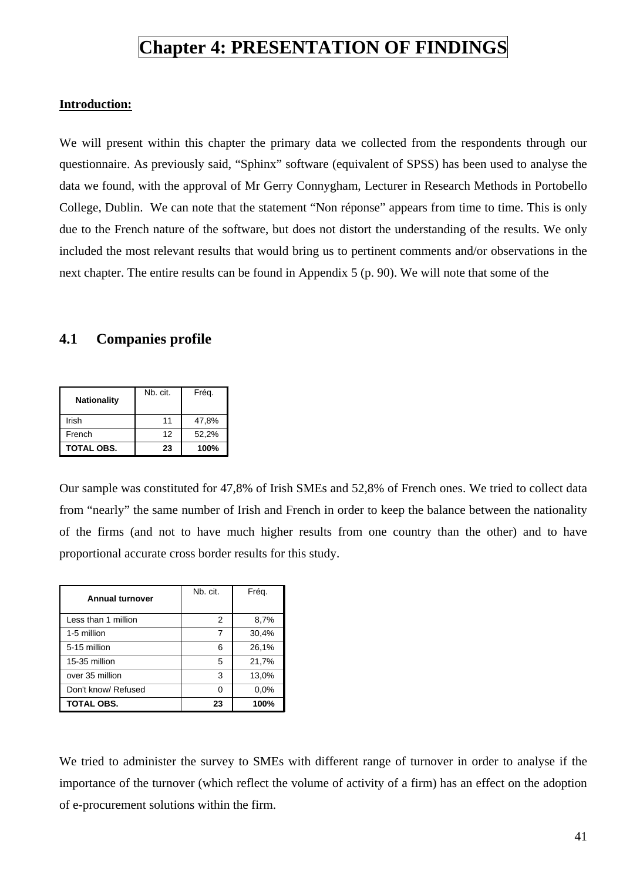## **Chapter 4: PRESENTATION OF FINDINGS**

#### **Introduction:**

We will present within this chapter the primary data we collected from the respondents through our questionnaire. As previously said, "Sphinx" software (equivalent of SPSS) has been used to analyse the data we found, with the approval of Mr Gerry Connygham, Lecturer in Research Methods in Portobello College, Dublin. We can note that the statement "Non réponse" appears from time to time. This is only due to the French nature of the software, but does not distort the understanding of the results. We only included the most relevant results that would bring us to pertinent comments and/or observations in the next chapter. The entire results can be found in Appendix 5 (p. 90). We will note that some of the

## **4.1 Companies profile**

| <b>Nationality</b> | Nb. cit. | Frég. |
|--------------------|----------|-------|
| Irish              | 11       | 47,8% |
| French             | 12       | 52,2% |
| <b>TOTAL OBS.</b>  | 23       | 100%  |

Our sample was constituted for 47,8% of Irish SMEs and 52,8% of French ones. We tried to collect data from "nearly" the same number of Irish and French in order to keep the balance between the nationality of the firms (and not to have much higher results from one country than the other) and to have proportional accurate cross border results for this study.

| <b>Annual turnover</b> | Nb. cit. | Fréq. |
|------------------------|----------|-------|
| Less than 1 million    | 2        | 8,7%  |
| 1-5 million            | 7        | 30,4% |
| 5-15 million           | 6        | 26,1% |
| 15-35 million          | 5        | 21,7% |
| over 35 million        | 3        | 13,0% |
| Don't know/ Refused    | O        | 0.0%  |
| TOTAL OBS.             | 23       | 100%  |

We tried to administer the survey to SMEs with different range of turnover in order to analyse if the importance of the turnover (which reflect the volume of activity of a firm) has an effect on the adoption of e-procurement solutions within the firm.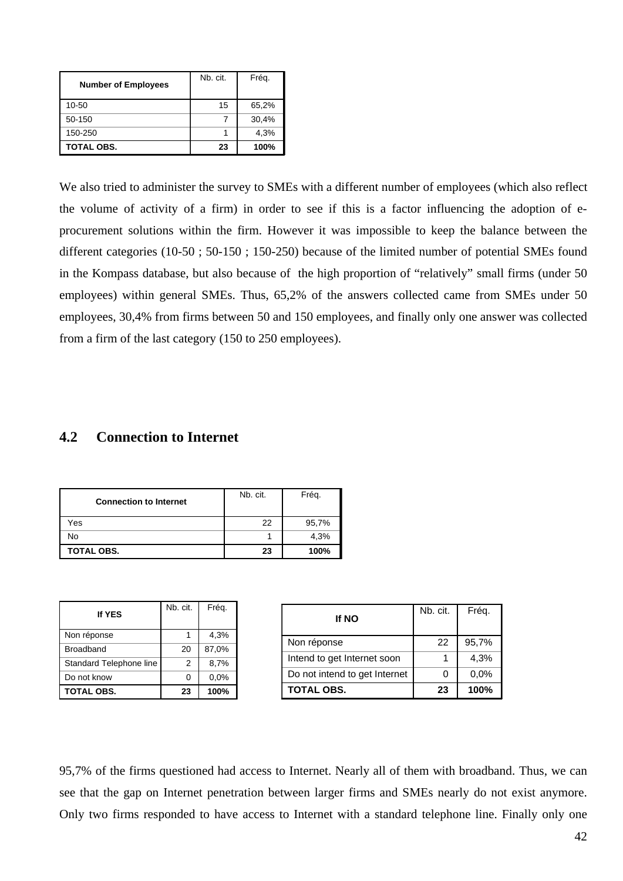| <b>Number of Employees</b> | Nb. cit. | Fréq. |
|----------------------------|----------|-------|
| 10-50                      | 15       | 65,2% |
| 50-150                     |          | 30,4% |
| 150-250                    |          | 4,3%  |
| <b>TOTAL OBS.</b>          | 23       | 100%  |

We also tried to administer the survey to SMEs with a different number of employees (which also reflect the volume of activity of a firm) in order to see if this is a factor influencing the adoption of eprocurement solutions within the firm. However it was impossible to keep the balance between the different categories (10-50 ; 50-150 ; 150-250) because of the limited number of potential SMEs found in the Kompass database, but also because of the high proportion of "relatively" small firms (under 50 employees) within general SMEs. Thus, 65,2% of the answers collected came from SMEs under 50 employees, 30,4% from firms between 50 and 150 employees, and finally only one answer was collected from a firm of the last category (150 to 250 employees).

#### **4.2 Connection to Internet**

| <b>Connection to Internet</b> | Nb. cit. | Frég. |
|-------------------------------|----------|-------|
| Yes                           | 22       | 95,7% |
| No                            |          | 4,3%  |
| TOTAL OBS.                    | 23       | 100%  |

| If YES                  | Nb. cit. | Fréq. |
|-------------------------|----------|-------|
| Non réponse             |          | 4,3%  |
| <b>Broadband</b>        | 20       | 87,0% |
| Standard Telephone line | 2        | 8,7%  |
| Do not know             | 0        | 0.0%  |
| TOTAL OBS.              | 23       | 100%  |

| <b>If NO</b>                  | Nb. cit. | Fréq. |
|-------------------------------|----------|-------|
| Non réponse                   | 22       | 95,7% |
| Intend to get Internet soon   |          | 4,3%  |
| Do not intend to get Internet | U        | 0,0%  |
| <b>TOTAL OBS.</b>             | 23       | 100%  |

95,7% of the firms questioned had access to Internet. Nearly all of them with broadband. Thus, we can see that the gap on Internet penetration between larger firms and SMEs nearly do not exist anymore. Only two firms responded to have access to Internet with a standard telephone line. Finally only one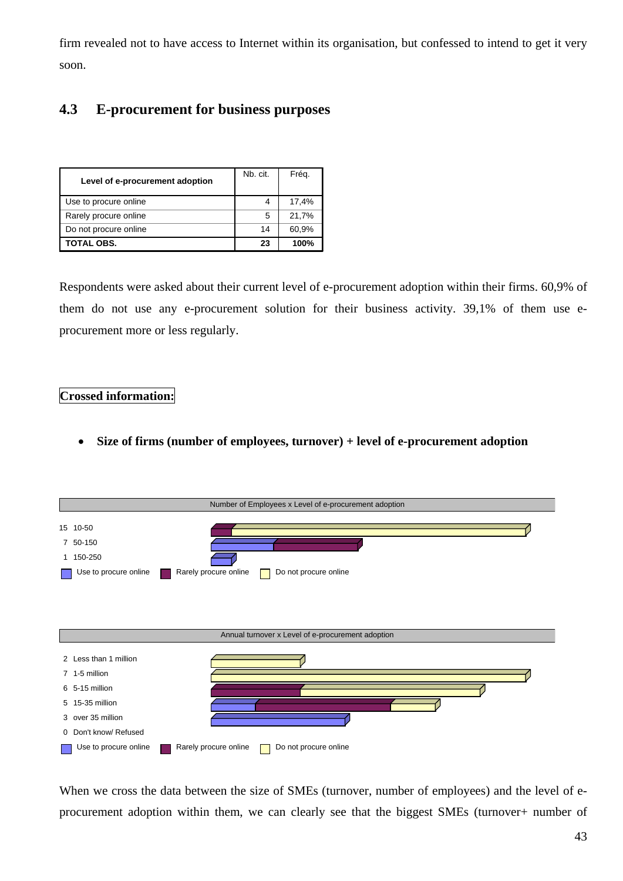firm revealed not to have access to Internet within its organisation, but confessed to intend to get it very soon.

## **4.3 E-procurement for business purposes**

| Level of e-procurement adoption | Nb. cit. | Frég. |
|---------------------------------|----------|-------|
| Use to procure online           | 4        | 17,4% |
| Rarely procure online           | 5        | 21,7% |
| Do not procure online           | 14       | 60,9% |
| <b>TOTAL OBS.</b>               | 23       | 100%  |

Respondents were asked about their current level of e-procurement adoption within their firms. 60,9% of them do not use any e-procurement solution for their business activity. 39,1% of them use eprocurement more or less regularly.

#### **Crossed information:**

• **Size of firms (number of employees, turnover) + level of e-procurement adoption** 



When we cross the data between the size of SMEs (turnover, number of employees) and the level of eprocurement adoption within them, we can clearly see that the biggest SMEs (turnover+ number of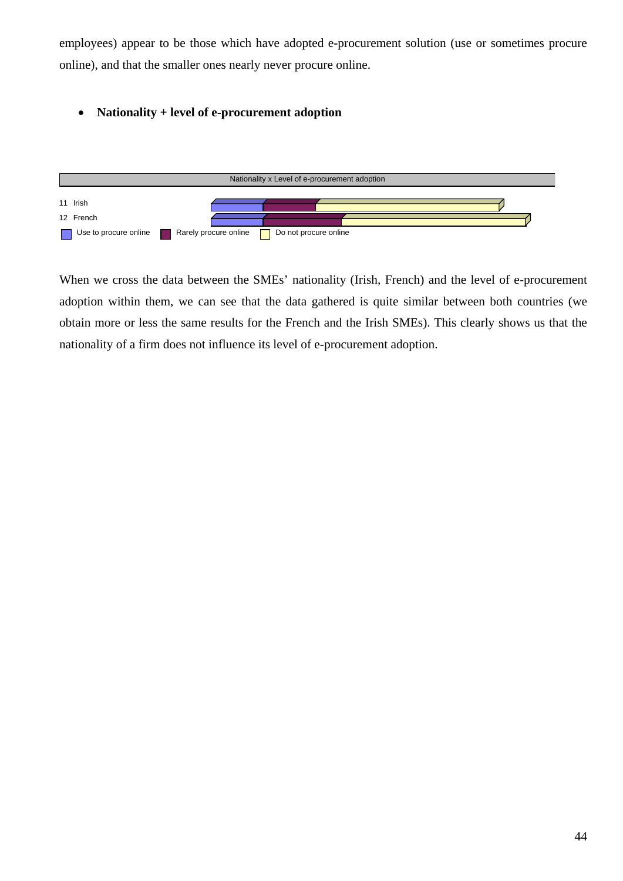employees) appear to be those which have adopted e-procurement solution (use or sometimes procure online), and that the smaller ones nearly never procure online.

#### • **Nationality + level of e-procurement adoption**



When we cross the data between the SMEs' nationality (Irish, French) and the level of e-procurement adoption within them, we can see that the data gathered is quite similar between both countries (we obtain more or less the same results for the French and the Irish SMEs). This clearly shows us that the nationality of a firm does not influence its level of e-procurement adoption.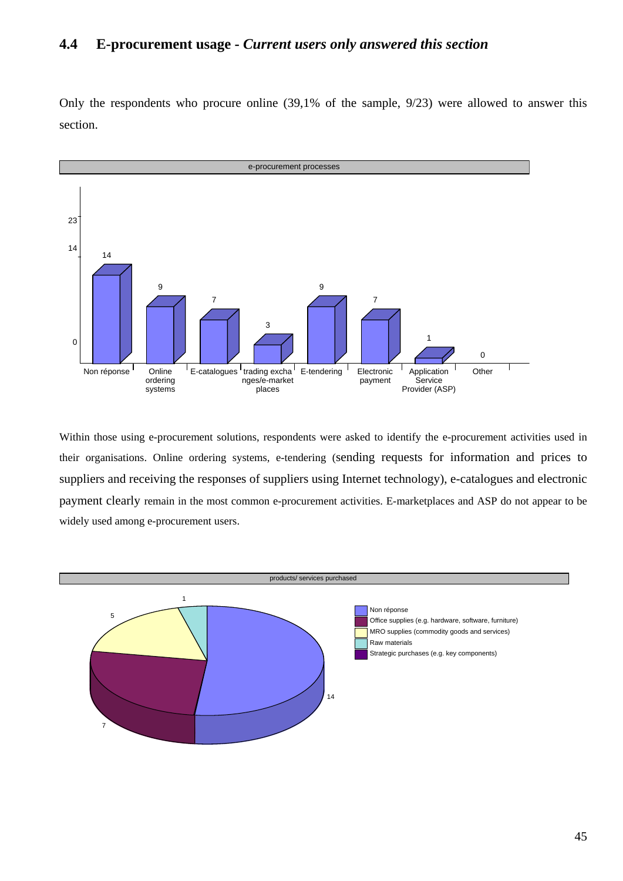## **4.4 E-procurement usage -** *Current users only answered this section*

Only the respondents who procure online (39,1% of the sample, 9/23) were allowed to answer this section.



Within those using e-procurement solutions, respondents were asked to identify the e-procurement activities used in their organisations. Online ordering systems, e-tendering (sending requests for information and prices to suppliers and receiving the responses of suppliers using Internet technology), e-catalogues and electronic payment clearly remain in the most common e-procurement activities. E-marketplaces and ASP do not appear to be widely used among e-procurement users.

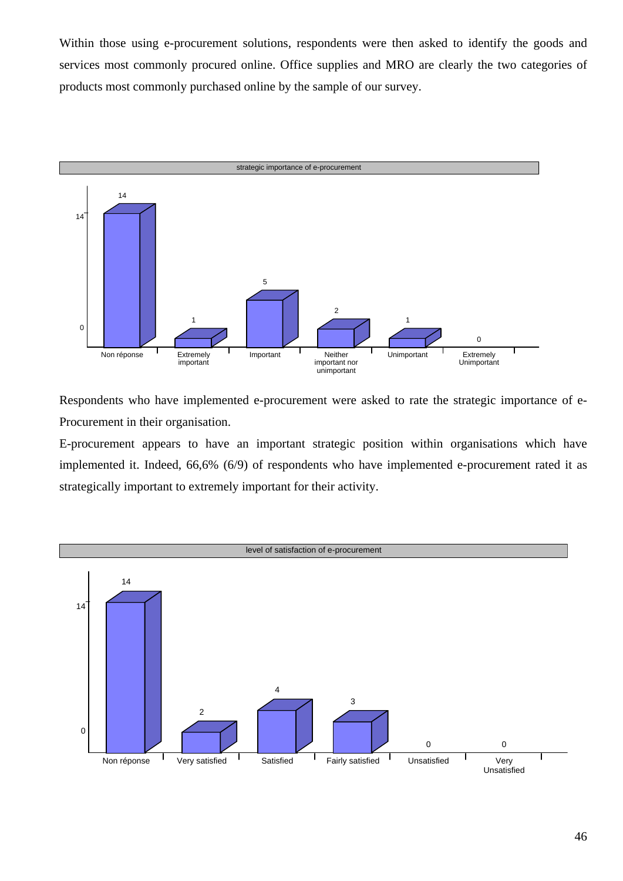Within those using e-procurement solutions, respondents were then asked to identify the goods and services most commonly procured online. Office supplies and MRO are clearly the two categories of products most commonly purchased online by the sample of our survey.



Respondents who have implemented e-procurement were asked to rate the strategic importance of e-Procurement in their organisation.

E-procurement appears to have an important strategic position within organisations which have implemented it. Indeed, 66,6% (6/9) of respondents who have implemented e-procurement rated it as strategically important to extremely important for their activity.

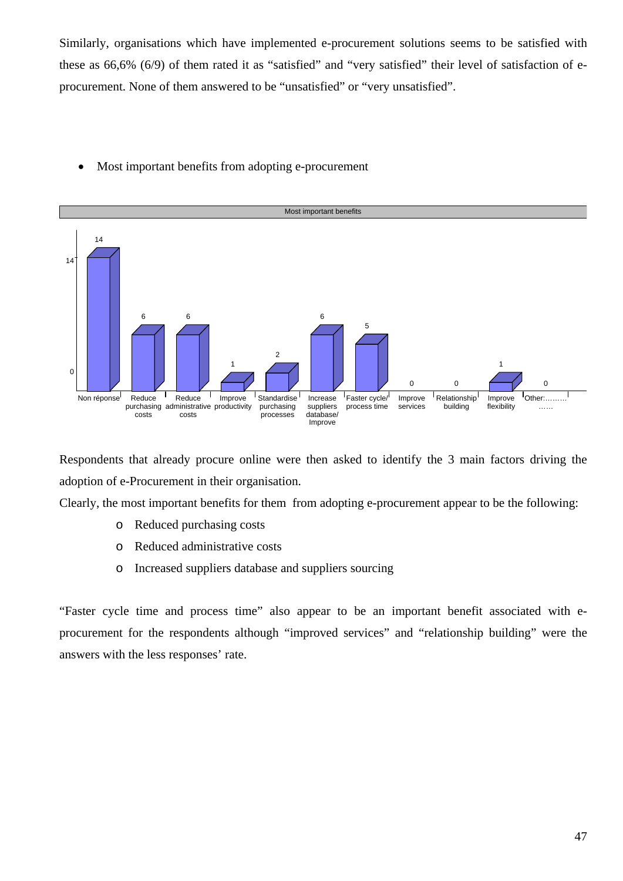Similarly, organisations which have implemented e-procurement solutions seems to be satisfied with these as 66,6% (6/9) of them rated it as "satisfied" and "very satisfied" their level of satisfaction of eprocurement. None of them answered to be "unsatisfied" or "very unsatisfied".

• Most important benefits from adopting e-procurement



Respondents that already procure online were then asked to identify the 3 main factors driving the adoption of e-Procurement in their organisation.

Clearly, the most important benefits for them from adopting e-procurement appear to be the following:

- o Reduced purchasing costs
- o Reduced administrative costs
- o Increased suppliers database and suppliers sourcing

"Faster cycle time and process time" also appear to be an important benefit associated with eprocurement for the respondents although "improved services" and "relationship building" were the answers with the less responses' rate.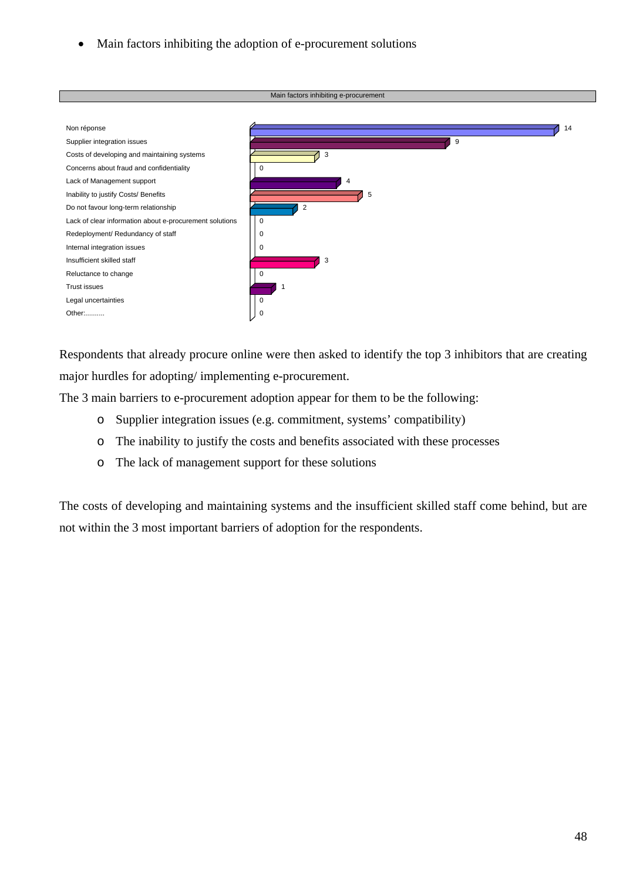• Main factors inhibiting the adoption of e-procurement solutions



Respondents that already procure online were then asked to identify the top 3 inhibitors that are creating major hurdles for adopting/ implementing e-procurement.

The 3 main barriers to e-procurement adoption appear for them to be the following:

- o Supplier integration issues (e.g. commitment, systems' compatibility)
- o The inability to justify the costs and benefits associated with these processes
- o The lack of management support for these solutions

The costs of developing and maintaining systems and the insufficient skilled staff come behind, but are not within the 3 most important barriers of adoption for the respondents.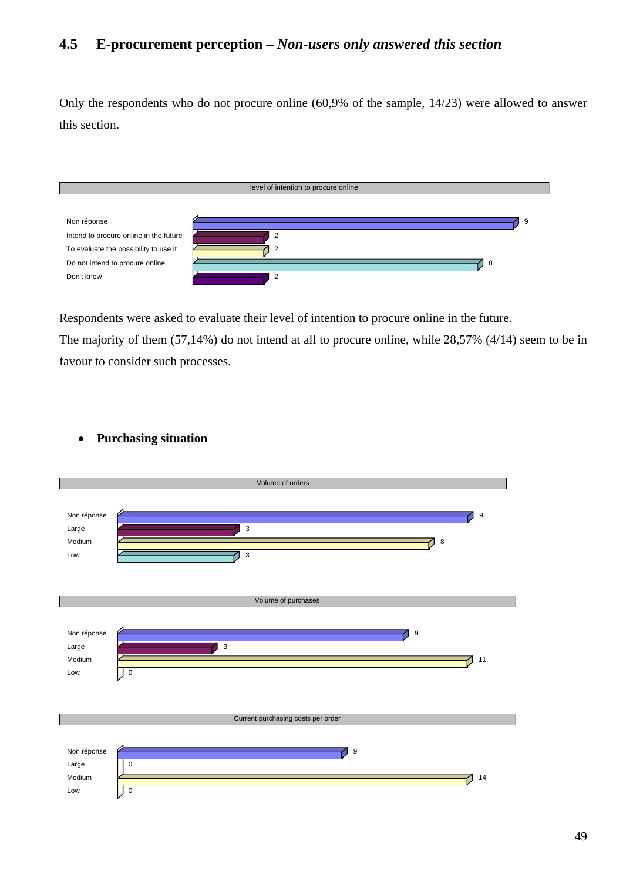## **4.5 E-procurement perception –** *Non-users only answered this section*

Only the respondents who do not procure online (60,9% of the sample, 14/23) were allowed to answer this section.



Respondents were asked to evaluate their level of intention to procure online in the future.

The majority of them (57,14%) do not intend at all to procure online, while 28,57% (4/14) seem to be in favour to consider such processes.

Volume of orders Non réponse (2002) et al. 2003 : 2004 : 2006 : 2007 : 2008 : 2009 : 2008 : 2009 : 2009 : 2009 : 2009 : 2009 : 200 Large  $\overline{\phantom{a}}$  3 Medium 8 Low  $\sim$  3 Volume of purchases Non réponse  $\sim$  9 Large  $\overline{\phantom{a}}$  3 Medium  $\sim$  11  $Low$   $| 0$ Current purchasing costs per order Non réponse  $\sim$ Large 0 Medium 14 Low  $\begin{array}{ccc} \hline \hline \hline \hline \hline \hline \end{array}$ 

### • **Purchasing situation**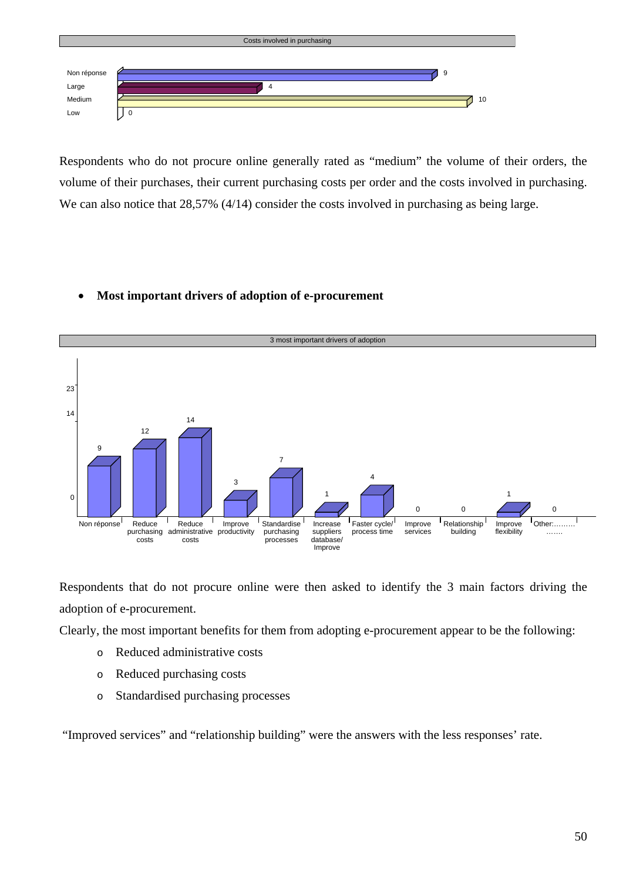

Respondents who do not procure online generally rated as "medium" the volume of their orders, the volume of their purchases, their current purchasing costs per order and the costs involved in purchasing. We can also notice that 28,57% (4/14) consider the costs involved in purchasing as being large.

## • **Most important drivers of adoption of e-procurement**



Respondents that do not procure online were then asked to identify the 3 main factors driving the adoption of e-procurement.

Clearly, the most important benefits for them from adopting e-procurement appear to be the following:

- o Reduced administrative costs
- o Reduced purchasing costs
- o Standardised purchasing processes

"Improved services" and "relationship building" were the answers with the less responses' rate.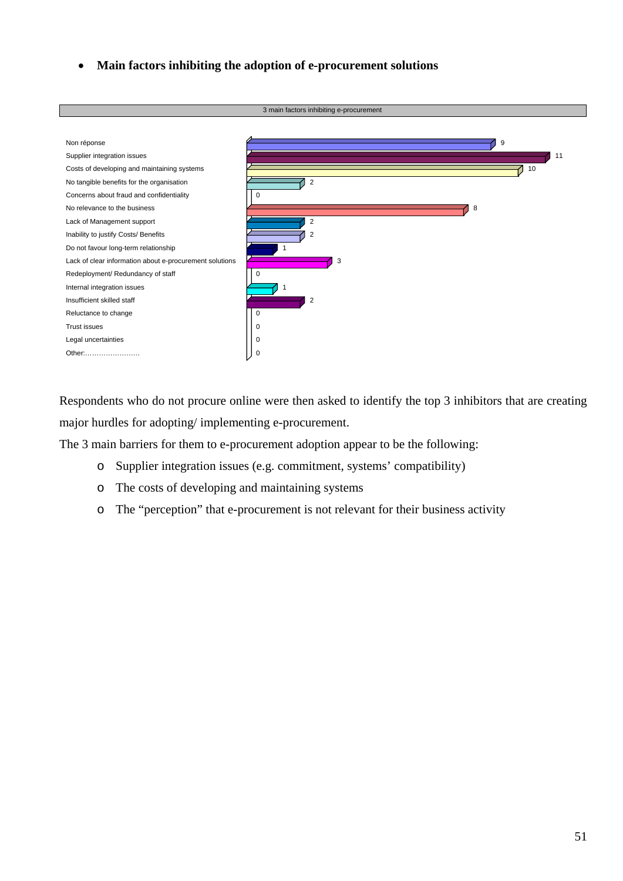• **Main factors inhibiting the adoption of e-procurement solutions** 



Respondents who do not procure online were then asked to identify the top 3 inhibitors that are creating major hurdles for adopting/ implementing e-procurement.

The 3 main barriers for them to e-procurement adoption appear to be the following:

- o Supplier integration issues (e.g. commitment, systems' compatibility)
- o The costs of developing and maintaining systems
- o The "perception" that e-procurement is not relevant for their business activity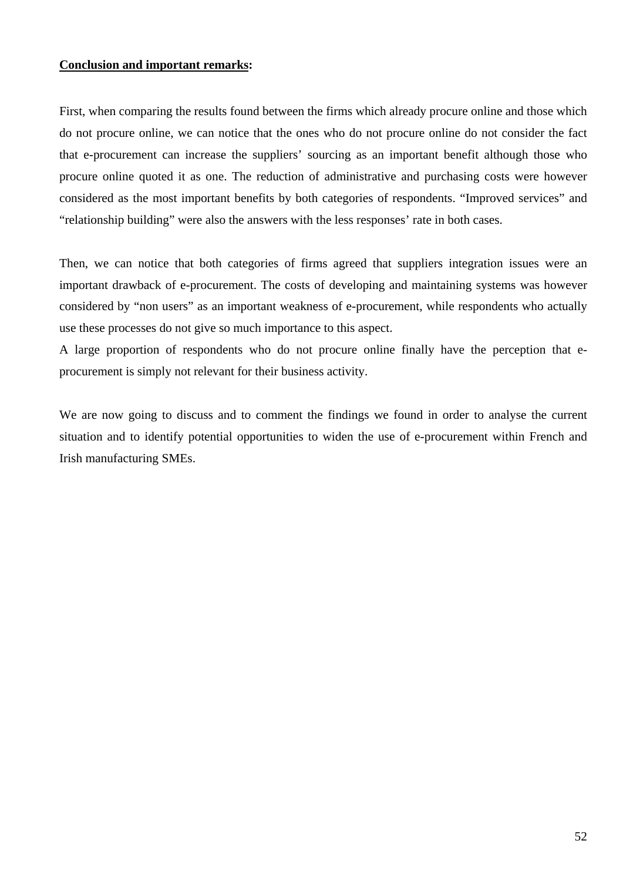#### **Conclusion and important remarks:**

First, when comparing the results found between the firms which already procure online and those which do not procure online, we can notice that the ones who do not procure online do not consider the fact that e-procurement can increase the suppliers' sourcing as an important benefit although those who procure online quoted it as one. The reduction of administrative and purchasing costs were however considered as the most important benefits by both categories of respondents. "Improved services" and "relationship building" were also the answers with the less responses' rate in both cases.

Then, we can notice that both categories of firms agreed that suppliers integration issues were an important drawback of e-procurement. The costs of developing and maintaining systems was however considered by "non users" as an important weakness of e-procurement, while respondents who actually use these processes do not give so much importance to this aspect.

A large proportion of respondents who do not procure online finally have the perception that eprocurement is simply not relevant for their business activity.

We are now going to discuss and to comment the findings we found in order to analyse the current situation and to identify potential opportunities to widen the use of e-procurement within French and Irish manufacturing SMEs.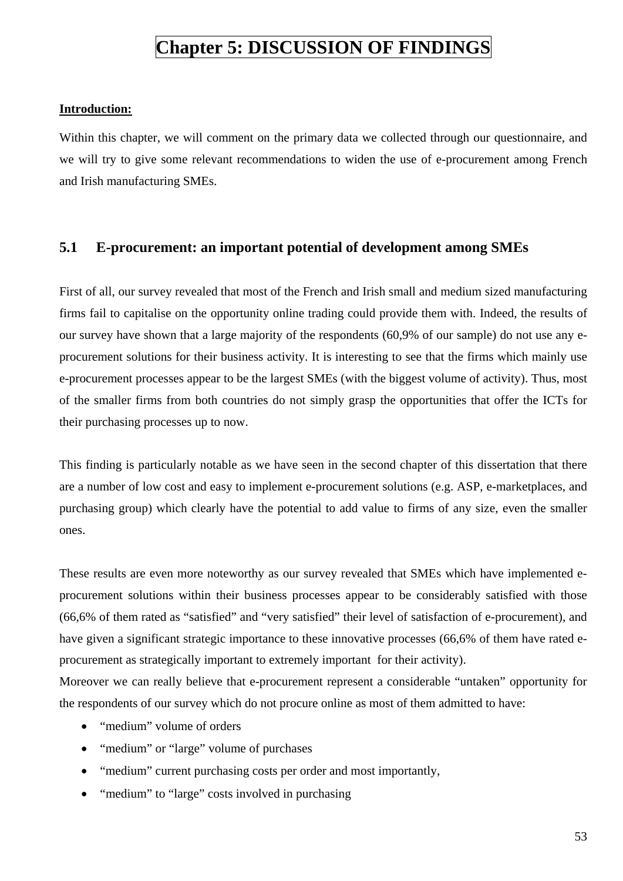## **Chapter 5: DISCUSSION OF FINDINGS**

#### **Introduction:**

Within this chapter, we will comment on the primary data we collected through our questionnaire, and we will try to give some relevant recommendations to widen the use of e-procurement among French and Irish manufacturing SMEs.

## **5.1 E-procurement: an important potential of development among SMEs**

First of all, our survey revealed that most of the French and Irish small and medium sized manufacturing firms fail to capitalise on the opportunity online trading could provide them with. Indeed, the results of our survey have shown that a large majority of the respondents (60,9% of our sample) do not use any eprocurement solutions for their business activity. It is interesting to see that the firms which mainly use e-procurement processes appear to be the largest SMEs (with the biggest volume of activity). Thus, most of the smaller firms from both countries do not simply grasp the opportunities that offer the ICTs for their purchasing processes up to now.

This finding is particularly notable as we have seen in the second chapter of this dissertation that there are a number of low cost and easy to implement e-procurement solutions (e.g. ASP, e-marketplaces, and purchasing group) which clearly have the potential to add value to firms of any size, even the smaller ones.

These results are even more noteworthy as our survey revealed that SMEs which have implemented eprocurement solutions within their business processes appear to be considerably satisfied with those (66,6% of them rated as "satisfied" and "very satisfied" their level of satisfaction of e-procurement), and have given a significant strategic importance to these innovative processes (66,6% of them have rated eprocurement as strategically important to extremely important for their activity).

Moreover we can really believe that e-procurement represent a considerable "untaken" opportunity for the respondents of our survey which do not procure online as most of them admitted to have:

- "medium" volume of orders
- "medium" or "large" volume of purchases
- "medium" current purchasing costs per order and most importantly,
- "medium" to "large" costs involved in purchasing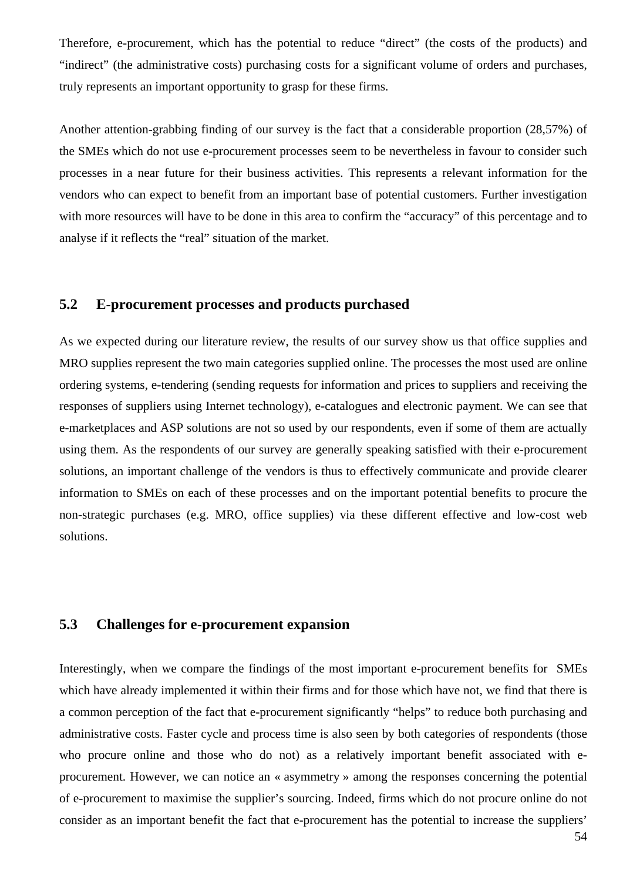Therefore, e-procurement, which has the potential to reduce "direct" (the costs of the products) and "indirect" (the administrative costs) purchasing costs for a significant volume of orders and purchases, truly represents an important opportunity to grasp for these firms.

Another attention-grabbing finding of our survey is the fact that a considerable proportion (28,57%) of the SMEs which do not use e-procurement processes seem to be nevertheless in favour to consider such processes in a near future for their business activities. This represents a relevant information for the vendors who can expect to benefit from an important base of potential customers. Further investigation with more resources will have to be done in this area to confirm the "accuracy" of this percentage and to analyse if it reflects the "real" situation of the market.

## **5.2 E-procurement processes and products purchased**

As we expected during our literature review, the results of our survey show us that office supplies and MRO supplies represent the two main categories supplied online. The processes the most used are online ordering systems, e-tendering (sending requests for information and prices to suppliers and receiving the responses of suppliers using Internet technology), e-catalogues and electronic payment. We can see that e-marketplaces and ASP solutions are not so used by our respondents, even if some of them are actually using them. As the respondents of our survey are generally speaking satisfied with their e-procurement solutions, an important challenge of the vendors is thus to effectively communicate and provide clearer information to SMEs on each of these processes and on the important potential benefits to procure the non-strategic purchases (e.g. MRO, office supplies) via these different effective and low-cost web solutions.

## **5.3 Challenges for e-procurement expansion**

Interestingly, when we compare the findings of the most important e-procurement benefits for SMEs which have already implemented it within their firms and for those which have not, we find that there is a common perception of the fact that e-procurement significantly "helps" to reduce both purchasing and administrative costs. Faster cycle and process time is also seen by both categories of respondents (those who procure online and those who do not) as a relatively important benefit associated with eprocurement. However, we can notice an « asymmetry » among the responses concerning the potential of e-procurement to maximise the supplier's sourcing. Indeed, firms which do not procure online do not consider as an important benefit the fact that e-procurement has the potential to increase the suppliers'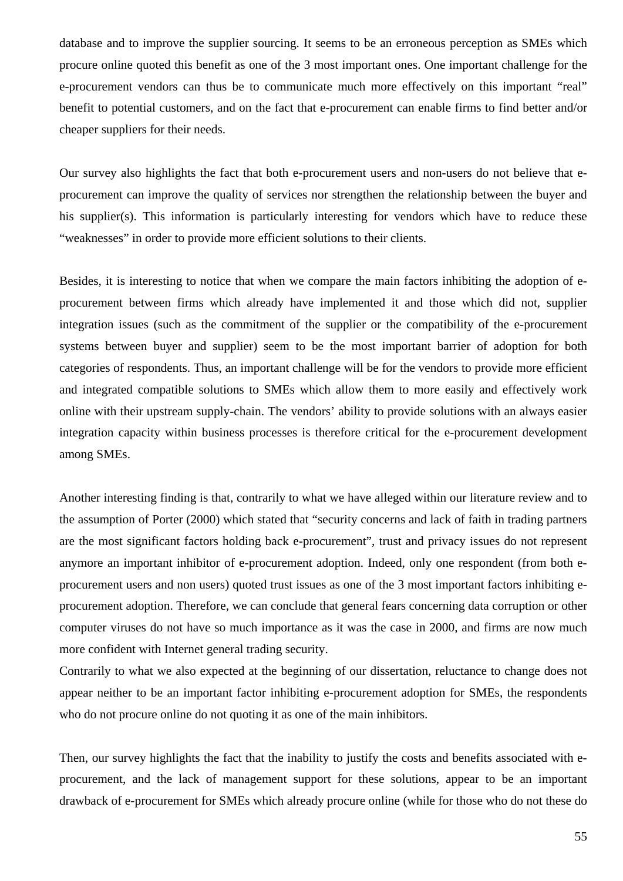database and to improve the supplier sourcing. It seems to be an erroneous perception as SMEs which procure online quoted this benefit as one of the 3 most important ones. One important challenge for the e-procurement vendors can thus be to communicate much more effectively on this important "real" benefit to potential customers, and on the fact that e-procurement can enable firms to find better and/or cheaper suppliers for their needs.

Our survey also highlights the fact that both e-procurement users and non-users do not believe that eprocurement can improve the quality of services nor strengthen the relationship between the buyer and his supplier(s). This information is particularly interesting for vendors which have to reduce these "weaknesses" in order to provide more efficient solutions to their clients.

Besides, it is interesting to notice that when we compare the main factors inhibiting the adoption of eprocurement between firms which already have implemented it and those which did not, supplier integration issues (such as the commitment of the supplier or the compatibility of the e-procurement systems between buyer and supplier) seem to be the most important barrier of adoption for both categories of respondents. Thus, an important challenge will be for the vendors to provide more efficient and integrated compatible solutions to SMEs which allow them to more easily and effectively work online with their upstream supply-chain. The vendors' ability to provide solutions with an always easier integration capacity within business processes is therefore critical for the e-procurement development among SMEs.

Another interesting finding is that, contrarily to what we have alleged within our literature review and to the assumption of Porter (2000) which stated that "security concerns and lack of faith in trading partners are the most significant factors holding back e-procurement", trust and privacy issues do not represent anymore an important inhibitor of e-procurement adoption. Indeed, only one respondent (from both eprocurement users and non users) quoted trust issues as one of the 3 most important factors inhibiting eprocurement adoption. Therefore, we can conclude that general fears concerning data corruption or other computer viruses do not have so much importance as it was the case in 2000, and firms are now much more confident with Internet general trading security.

Contrarily to what we also expected at the beginning of our dissertation, reluctance to change does not appear neither to be an important factor inhibiting e-procurement adoption for SMEs, the respondents who do not procure online do not quoting it as one of the main inhibitors.

Then, our survey highlights the fact that the inability to justify the costs and benefits associated with eprocurement, and the lack of management support for these solutions, appear to be an important drawback of e-procurement for SMEs which already procure online (while for those who do not these do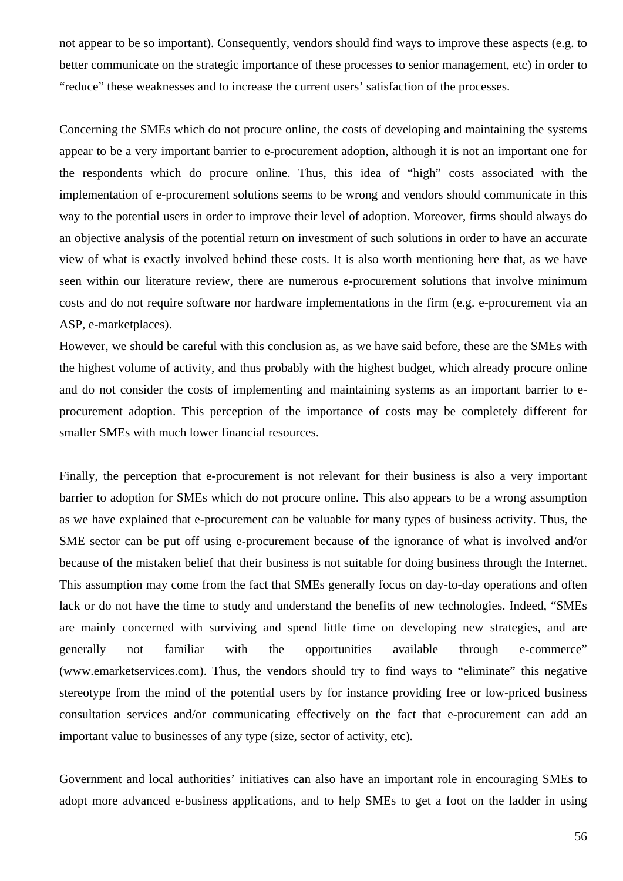not appear to be so important). Consequently, vendors should find ways to improve these aspects (e.g. to better communicate on the strategic importance of these processes to senior management, etc) in order to "reduce" these weaknesses and to increase the current users' satisfaction of the processes.

Concerning the SMEs which do not procure online, the costs of developing and maintaining the systems appear to be a very important barrier to e-procurement adoption, although it is not an important one for the respondents which do procure online. Thus, this idea of "high" costs associated with the implementation of e-procurement solutions seems to be wrong and vendors should communicate in this way to the potential users in order to improve their level of adoption. Moreover, firms should always do an objective analysis of the potential return on investment of such solutions in order to have an accurate view of what is exactly involved behind these costs. It is also worth mentioning here that, as we have seen within our literature review, there are numerous e-procurement solutions that involve minimum costs and do not require software nor hardware implementations in the firm (e.g. e-procurement via an ASP, e-marketplaces).

However, we should be careful with this conclusion as, as we have said before, these are the SMEs with the highest volume of activity, and thus probably with the highest budget, which already procure online and do not consider the costs of implementing and maintaining systems as an important barrier to eprocurement adoption. This perception of the importance of costs may be completely different for smaller SMEs with much lower financial resources.

Finally, the perception that e-procurement is not relevant for their business is also a very important barrier to adoption for SMEs which do not procure online. This also appears to be a wrong assumption as we have explained that e-procurement can be valuable for many types of business activity. Thus, the SME sector can be put off using e-procurement because of the ignorance of what is involved and/or because of the mistaken belief that their business is not suitable for doing business through the Internet. This assumption may come from the fact that SMEs generally focus on day-to-day operations and often lack or do not have the time to study and understand the benefits of new technologies. Indeed, "SMEs are mainly concerned with surviving and spend little time on developing new strategies, and are generally not familiar with the opportunities available through e-commerce" (www.emarketservices.com). Thus, the vendors should try to find ways to "eliminate" this negative stereotype from the mind of the potential users by for instance providing free or low-priced business consultation services and/or communicating effectively on the fact that e-procurement can add an important value to businesses of any type (size, sector of activity, etc).

Government and local authorities' initiatives can also have an important role in encouraging SMEs to adopt more advanced e-business applications, and to help SMEs to get a foot on the ladder in using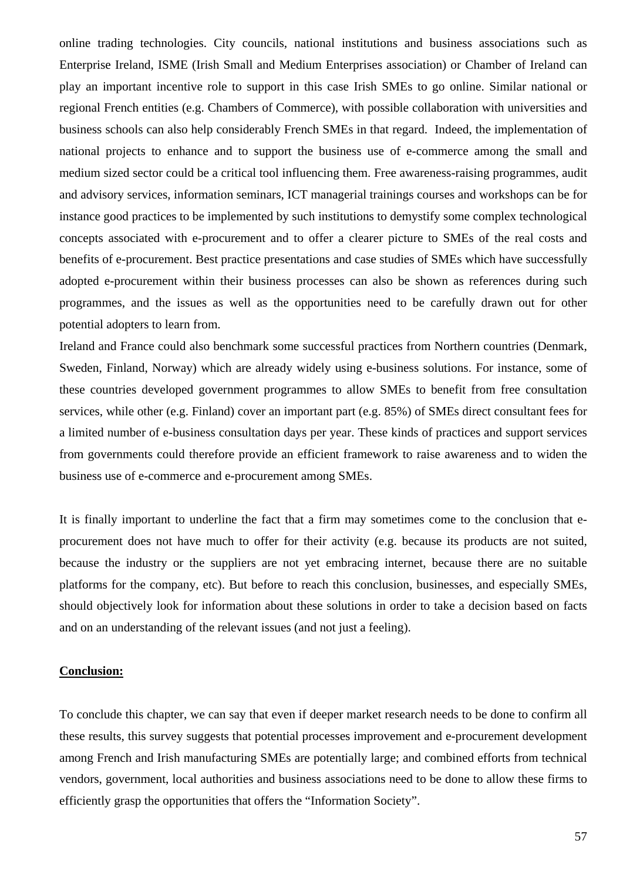online trading technologies. City councils, national institutions and business associations such as Enterprise Ireland, ISME (Irish Small and Medium Enterprises association) or Chamber of Ireland can play an important incentive role to support in this case Irish SMEs to go online. Similar national or regional French entities (e.g. Chambers of Commerce), with possible collaboration with universities and business schools can also help considerably French SMEs in that regard. Indeed, the implementation of national projects to enhance and to support the business use of e-commerce among the small and medium sized sector could be a critical tool influencing them. Free awareness-raising programmes, audit and advisory services, information seminars, ICT managerial trainings courses and workshops can be for instance good practices to be implemented by such institutions to demystify some complex technological concepts associated with e-procurement and to offer a clearer picture to SMEs of the real costs and benefits of e-procurement. Best practice presentations and case studies of SMEs which have successfully adopted e-procurement within their business processes can also be shown as references during such programmes, and the issues as well as the opportunities need to be carefully drawn out for other potential adopters to learn from.

Ireland and France could also benchmark some successful practices from Northern countries (Denmark, Sweden, Finland, Norway) which are already widely using e-business solutions. For instance, some of these countries developed government programmes to allow SMEs to benefit from free consultation services, while other (e.g. Finland) cover an important part (e.g. 85%) of SMEs direct consultant fees for a limited number of e-business consultation days per year. These kinds of practices and support services from governments could therefore provide an efficient framework to raise awareness and to widen the business use of e-commerce and e-procurement among SMEs.

It is finally important to underline the fact that a firm may sometimes come to the conclusion that eprocurement does not have much to offer for their activity (e.g. because its products are not suited, because the industry or the suppliers are not yet embracing internet, because there are no suitable platforms for the company, etc). But before to reach this conclusion, businesses, and especially SMEs, should objectively look for information about these solutions in order to take a decision based on facts and on an understanding of the relevant issues (and not just a feeling).

#### **Conclusion:**

To conclude this chapter, we can say that even if deeper market research needs to be done to confirm all these results, this survey suggests that potential processes improvement and e-procurement development among French and Irish manufacturing SMEs are potentially large; and combined efforts from technical vendors, government, local authorities and business associations need to be done to allow these firms to efficiently grasp the opportunities that offers the "Information Society".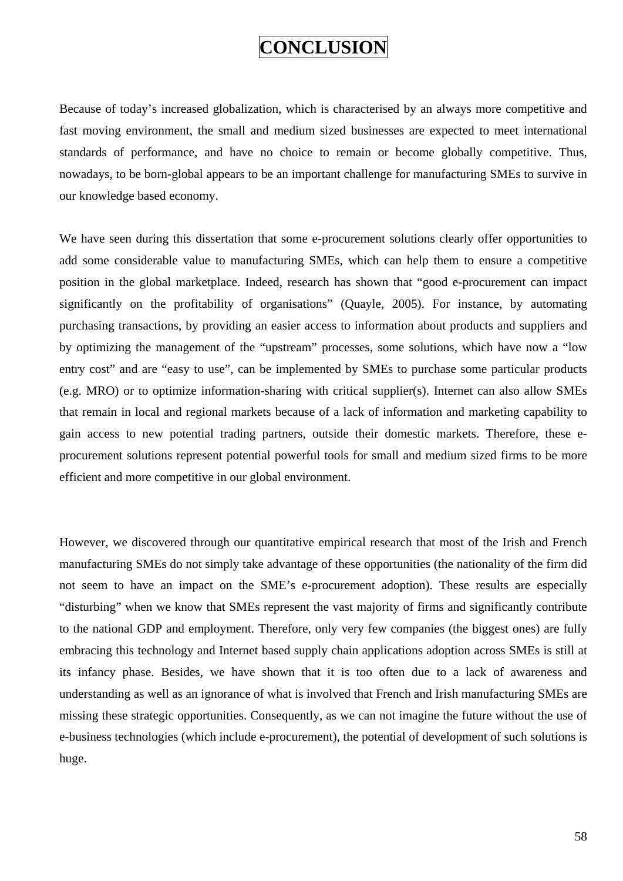## **CONCLUSION**

Because of today's increased globalization, which is characterised by an always more competitive and fast moving environment, the small and medium sized businesses are expected to meet international standards of performance, and have no choice to remain or become globally competitive. Thus, nowadays, to be born-global appears to be an important challenge for manufacturing SMEs to survive in our knowledge based economy.

We have seen during this dissertation that some e-procurement solutions clearly offer opportunities to add some considerable value to manufacturing SMEs, which can help them to ensure a competitive position in the global marketplace. Indeed, research has shown that "good e-procurement can impact significantly on the profitability of organisations" (Quayle, 2005). For instance, by automating purchasing transactions, by providing an easier access to information about products and suppliers and by optimizing the management of the "upstream" processes, some solutions, which have now a "low entry cost" and are "easy to use", can be implemented by SMEs to purchase some particular products (e.g. MRO) or to optimize information-sharing with critical supplier(s). Internet can also allow SMEs that remain in local and regional markets because of a lack of information and marketing capability to gain access to new potential trading partners, outside their domestic markets. Therefore, these eprocurement solutions represent potential powerful tools for small and medium sized firms to be more efficient and more competitive in our global environment.

However, we discovered through our quantitative empirical research that most of the Irish and French manufacturing SMEs do not simply take advantage of these opportunities (the nationality of the firm did not seem to have an impact on the SME's e-procurement adoption). These results are especially "disturbing" when we know that SMEs represent the vast majority of firms and significantly contribute to the national GDP and employment. Therefore, only very few companies (the biggest ones) are fully embracing this technology and Internet based supply chain applications adoption across SMEs is still at its infancy phase. Besides, we have shown that it is too often due to a lack of awareness and understanding as well as an ignorance of what is involved that French and Irish manufacturing SMEs are missing these strategic opportunities. Consequently, as we can not imagine the future without the use of e-business technologies (which include e-procurement), the potential of development of such solutions is huge.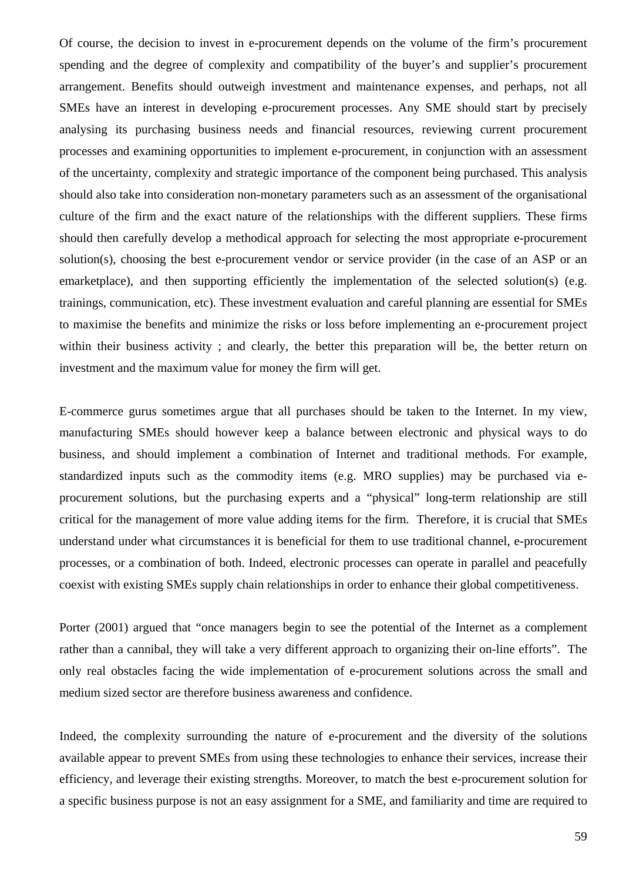Of course, the decision to invest in e-procurement depends on the volume of the firm's procurement spending and the degree of complexity and compatibility of the buyer's and supplier's procurement arrangement. Benefits should outweigh investment and maintenance expenses, and perhaps, not all SMEs have an interest in developing e-procurement processes. Any SME should start by precisely analysing its purchasing business needs and financial resources, reviewing current procurement processes and examining opportunities to implement e-procurement, in conjunction with an assessment of the uncertainty, complexity and strategic importance of the component being purchased. This analysis should also take into consideration non-monetary parameters such as an assessment of the organisational culture of the firm and the exact nature of the relationships with the different suppliers. These firms should then carefully develop a methodical approach for selecting the most appropriate e-procurement solution(s), choosing the best e-procurement vendor or service provider (in the case of an ASP or an emarketplace), and then supporting efficiently the implementation of the selected solution(s) (e.g. trainings, communication, etc). These investment evaluation and careful planning are essential for SMEs to maximise the benefits and minimize the risks or loss before implementing an e-procurement project within their business activity; and clearly, the better this preparation will be, the better return on investment and the maximum value for money the firm will get.

E-commerce gurus sometimes argue that all purchases should be taken to the Internet. In my view, manufacturing SMEs should however keep a balance between electronic and physical ways to do business, and should implement a combination of Internet and traditional methods. For example, standardized inputs such as the commodity items (e.g. MRO supplies) may be purchased via eprocurement solutions, but the purchasing experts and a "physical" long-term relationship are still critical for the management of more value adding items for the firm. Therefore, it is crucial that SMEs understand under what circumstances it is beneficial for them to use traditional channel, e-procurement processes, or a combination of both. Indeed, electronic processes can operate in parallel and peacefully coexist with existing SMEs supply chain relationships in order to enhance their global competitiveness.

Porter (2001) argued that "once managers begin to see the potential of the Internet as a complement rather than a cannibal, they will take a very different approach to organizing their on-line efforts". The only real obstacles facing the wide implementation of e-procurement solutions across the small and medium sized sector are therefore business awareness and confidence.

Indeed, the complexity surrounding the nature of e-procurement and the diversity of the solutions available appear to prevent SMEs from using these technologies to enhance their services, increase their efficiency, and leverage their existing strengths. Moreover, to match the best e-procurement solution for a specific business purpose is not an easy assignment for a SME, and familiarity and time are required to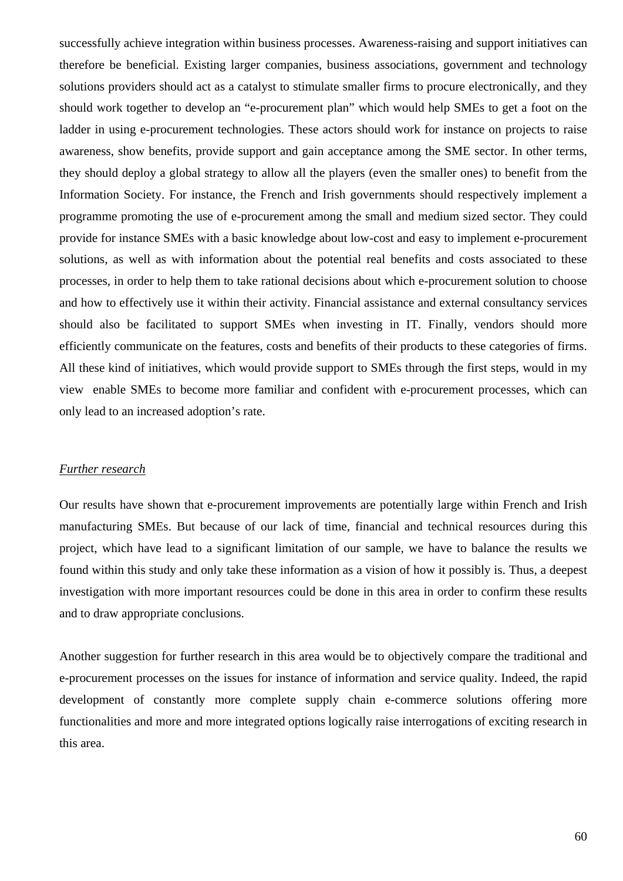successfully achieve integration within business processes. Awareness-raising and support initiatives can therefore be beneficial. Existing larger companies, business associations, government and technology solutions providers should act as a catalyst to stimulate smaller firms to procure electronically, and they should work together to develop an "e-procurement plan" which would help SMEs to get a foot on the ladder in using e-procurement technologies. These actors should work for instance on projects to raise awareness, show benefits, provide support and gain acceptance among the SME sector. In other terms, they should deploy a global strategy to allow all the players (even the smaller ones) to benefit from the Information Society. For instance, the French and Irish governments should respectively implement a programme promoting the use of e-procurement among the small and medium sized sector. They could provide for instance SMEs with a basic knowledge about low-cost and easy to implement e-procurement solutions, as well as with information about the potential real benefits and costs associated to these processes, in order to help them to take rational decisions about which e-procurement solution to choose and how to effectively use it within their activity. Financial assistance and external consultancy services should also be facilitated to support SMEs when investing in IT. Finally, vendors should more efficiently communicate on the features, costs and benefits of their products to these categories of firms. All these kind of initiatives, which would provide support to SMEs through the first steps, would in my view enable SMEs to become more familiar and confident with e-procurement processes, which can only lead to an increased adoption's rate.

#### *Further research*

Our results have shown that e-procurement improvements are potentially large within French and Irish manufacturing SMEs. But because of our lack of time, financial and technical resources during this project, which have lead to a significant limitation of our sample, we have to balance the results we found within this study and only take these information as a vision of how it possibly is. Thus, a deepest investigation with more important resources could be done in this area in order to confirm these results and to draw appropriate conclusions.

Another suggestion for further research in this area would be to objectively compare the traditional and e-procurement processes on the issues for instance of information and service quality. Indeed, the rapid development of constantly more complete supply chain e-commerce solutions offering more functionalities and more and more integrated options logically raise interrogations of exciting research in this area.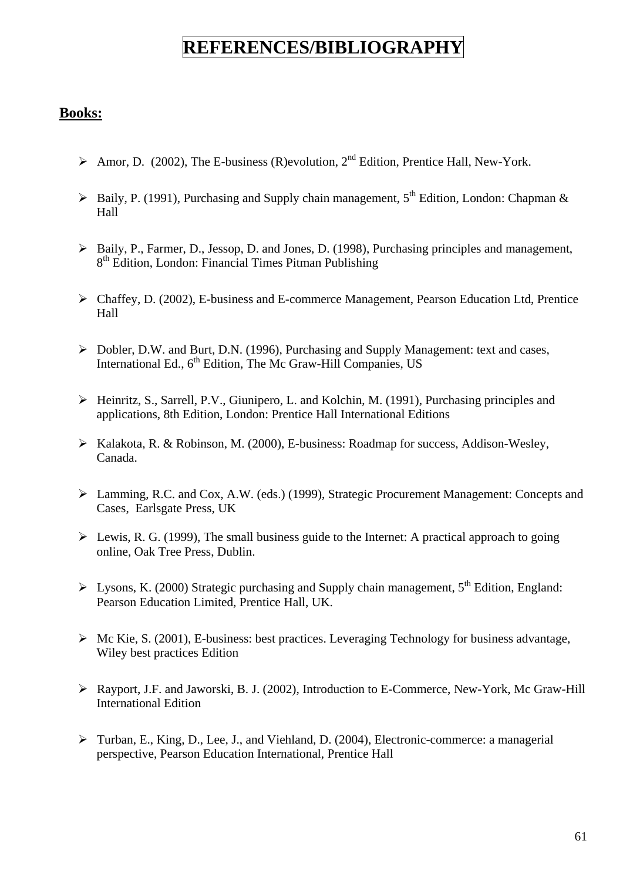## **REFERENCES/BIBLIOGRAPHY**

## **Books:**

- $\triangleright$  Amor, D. (2002), The E-business (R)evolution, 2<sup>nd</sup> Edition, Prentice Hall, New-York.
- $\triangleright$  Baily, P. (1991), Purchasing and Supply chain management, 5<sup>th</sup> Edition, London: Chapman & Hall
- ¾ Baily, P., Farmer, D., Jessop, D. and Jones, D. (1998), Purchasing principles and management, 8<sup>th</sup> Edition, London: Financial Times Pitman Publishing
- ¾ Chaffey, D. (2002), E-business and E-commerce Management, Pearson Education Ltd, Prentice Hall
- ¾ Dobler, D.W. and Burt, D.N. (1996), Purchasing and Supply Management: text and cases, International Ed., 6<sup>th</sup> Edition, The Mc Graw-Hill Companies, US
- ¾ Heinritz, S., Sarrell, P.V., Giunipero, L. and Kolchin, M. (1991), Purchasing principles and applications, 8th Edition, London: Prentice Hall International Editions
- ¾ Kalakota, R. & Robinson, M. (2000), E-business: Roadmap for success, Addison-Wesley, Canada.
- ¾ Lamming, R.C. and Cox, A.W. (eds.) (1999), Strategic Procurement Management: Concepts and Cases, Earlsgate Press, UK
- $\triangleright$  Lewis, R. G. (1999), The small business guide to the Internet: A practical approach to going online, Oak Tree Press, Dublin.
- $\triangleright$  Lysons, K. (2000) Strategic purchasing and Supply chain management, 5<sup>th</sup> Edition, England: Pearson Education Limited, Prentice Hall, UK.
- $\triangleright$  Mc Kie, S. (2001), E-business: best practices. Leveraging Technology for business advantage, Wiley best practices Edition
- ¾ Rayport, J.F. and Jaworski, B. J. (2002), Introduction to E-Commerce, New-York, Mc Graw-Hill International Edition
- ¾ Turban, E., King, D., Lee, J., and Viehland, D. (2004), Electronic-commerce: a managerial perspective, Pearson Education International, Prentice Hall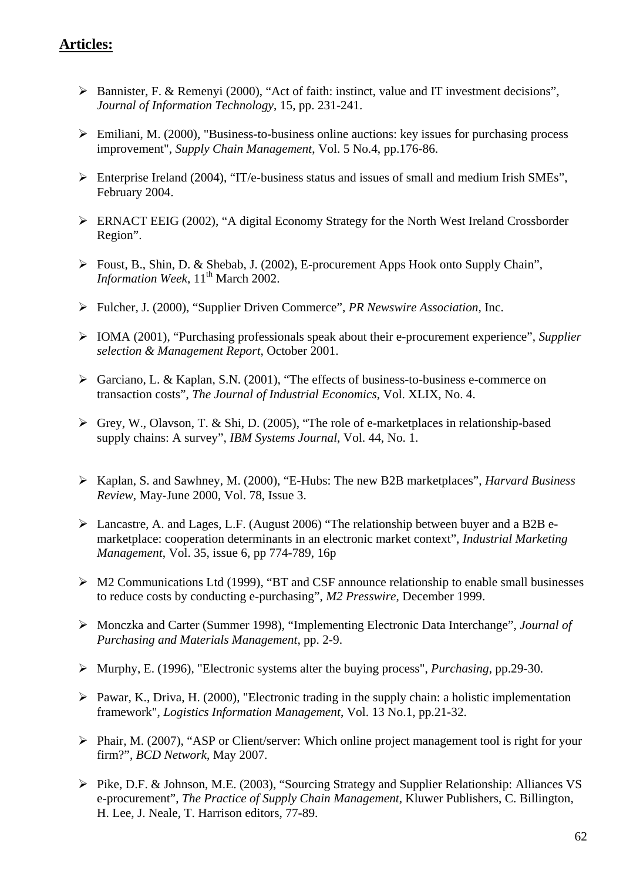## **Articles:**

- ¾ Bannister, F. & Remenyi (2000), "Act of faith: instinct, value and IT investment decisions", *Journal of Information Technology*, 15, pp. 231-241.
- $\triangleright$  Emiliani, M. (2000), "Business-to-business online auctions: key issues for purchasing process improvement", *Supply Chain Management*, Vol. 5 No.4, pp.176-86.
- ¾ Enterprise Ireland (2004), "IT/e-business status and issues of small and medium Irish SMEs", February 2004.
- ¾ ERNACT EEIG (2002), "A digital Economy Strategy for the North West Ireland Crossborder Region".
- ¾ Foust, B., Shin, D. & Shebab, J. (2002), E-procurement Apps Hook onto Supply Chain", *Information Week*,  $11<sup>th</sup>$  March 2002.
- ¾ Fulcher, J. (2000), "Supplier Driven Commerce", *PR Newswire Association*, Inc.
- ¾ IOMA (2001), "Purchasing professionals speak about their e-procurement experience", *Supplier selection & Management Report*, October 2001.
- ¾ Garciano, L. & Kaplan, S.N. (2001), "The effects of business-to-business e-commerce on transaction costs", *The Journal of Industrial Economics*, Vol. XLIX, No. 4.
- ¾ Grey, W., Olavson, T. & Shi, D. (2005), "The role of e-marketplaces in relationship-based supply chains: A survey", *IBM Systems Journal*, Vol. 44, No. 1.
- ¾ Kaplan, S. and Sawhney, M. (2000), "E-Hubs: The new B2B marketplaces", *Harvard Business Review*, May-June 2000, Vol. 78, Issue 3.
- ¾ Lancastre, A. and Lages, L.F. (August 2006) "The relationship between buyer and a B2B emarketplace: cooperation determinants in an electronic market context", *Industrial Marketing Management*, Vol. 35, issue 6, pp 774-789, 16p
- $\triangleright$  M2 Communications Ltd (1999), "BT and CSF announce relationship to enable small businesses to reduce costs by conducting e-purchasing", *M2 Presswire*, December 1999.
- ¾ Monczka and Carter (Summer 1998), "Implementing Electronic Data Interchange", *Journal of Purchasing and Materials Management*, pp. 2-9.
- ¾ Murphy, E. (1996), "Electronic systems alter the buying process", *Purchasing*, pp.29-30.
- $\triangleright$  Pawar, K., Driva, H. (2000), "Electronic trading in the supply chain: a holistic implementation framework", *Logistics Information Management*, Vol. 13 No.1, pp.21-32.
- ¾ Phair, M. (2007), "ASP or Client/server: Which online project management tool is right for your firm?", *BCD Network*, May 2007.
- ¾ Pike, D.F. & Johnson, M.E. (2003), "Sourcing Strategy and Supplier Relationship: Alliances VS e-procurement", *The Practice of Supply Chain Management,* Kluwer Publishers, C. Billington, H. Lee, J. Neale, T. Harrison editors, 77-89.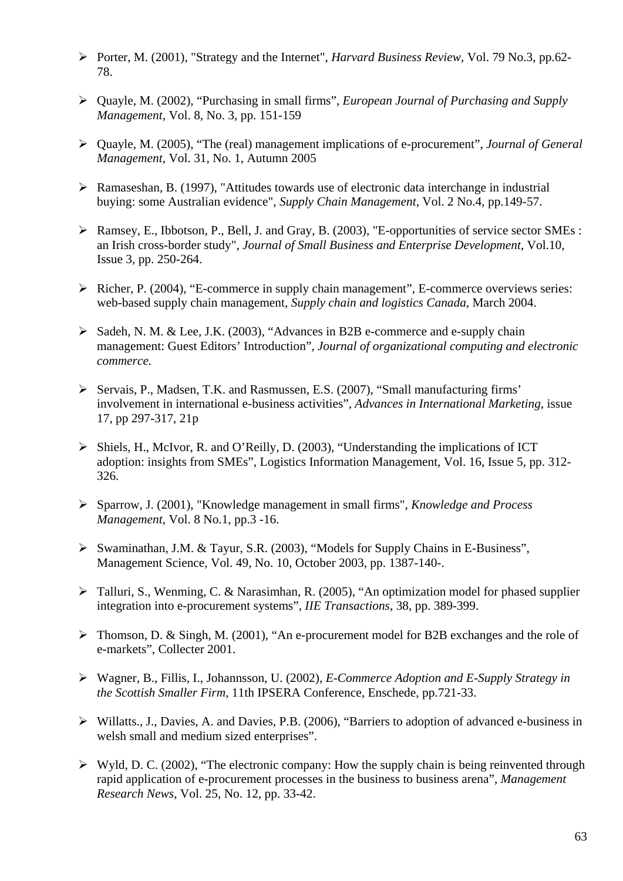- ¾ Porter, M. (2001), "Strategy and the Internet", *Harvard Business Review*, Vol. 79 No.3, pp.62- 78.
- ¾ Quayle, M. (2002), "Purchasing in small firms", *European Journal of Purchasing and Supply Management*, Vol. 8, No. 3, pp. 151-159
- ¾ Quayle, M. (2005), "The (real) management implications of e-procurement", *Journal of General Management,* Vol. 31, No. 1, Autumn 2005
- ¾ Ramaseshan, B. (1997), "Attitudes towards use of electronic data interchange in industrial buying: some Australian evidence", *Supply Chain Management*, Vol. 2 No.4, pp.149-57.
- ¾ Ramsey, E., Ibbotson, P., Bell, J. and Gray, B. (2003), "E-opportunities of service sector SMEs : an Irish cross-border study", *Journal of Small Business and Enterprise Development*, Vol.10, Issue 3, pp. 250-264.
- ¾ Richer, P. (2004), "E-commerce in supply chain management", E-commerce overviews series: web-based supply chain management, *Supply chain and logistics Canada*, March 2004.
- ¾ Sadeh, N. M. & Lee, J.K. (2003), "Advances in B2B e-commerce and e-supply chain management: Guest Editors' Introduction", *Journal of organizational computing and electronic commerce.*
- ¾ Servais, P., Madsen, T.K. and Rasmussen, E.S. (2007), "Small manufacturing firms' involvement in international e-business activities", *Advances in International Marketing*, issue 17, pp 297-317, 21p
- ¾ Shiels, H., McIvor, R. and O'Reilly, D. (2003), "Understanding the implications of ICT adoption: insights from SMEs", Logistics Information Management, Vol. 16, Issue 5, pp. 312- 326.
- ¾ Sparrow, J. (2001), "Knowledge management in small firms", *Knowledge and Process Management*, Vol. 8 No.1, pp.3 -16.
- ¾ Swaminathan, J.M. & Tayur, S.R. (2003), "Models for Supply Chains in E-Business", Management Science, Vol. 49, No. 10, October 2003, pp. 1387-140-.
- $\triangleright$  Talluri, S., Wenming, C. & Narasimhan, R. (2005), "An optimization model for phased supplier integration into e-procurement systems", *IIE Transactions*, 38, pp. 389-399.
- ¾ Thomson, D. & Singh, M. (2001), "An e-procurement model for B2B exchanges and the role of e-markets", Collecter 2001.
- ¾ Wagner, B., Fillis, I., Johannsson, U. (2002), *E-Commerce Adoption and E-Supply Strategy in the Scottish Smaller Firm*, 11th IPSERA Conference, Enschede, pp.721-33.
- ¾ Willatts., J., Davies, A. and Davies, P.B. (2006), "Barriers to adoption of advanced e-business in welsh small and medium sized enterprises".
- $\triangleright$  Wyld, D. C. (2002), "The electronic company: How the supply chain is being reinvented through rapid application of e-procurement processes in the business to business arena", *Management Research News*, Vol. 25, No. 12, pp. 33-42.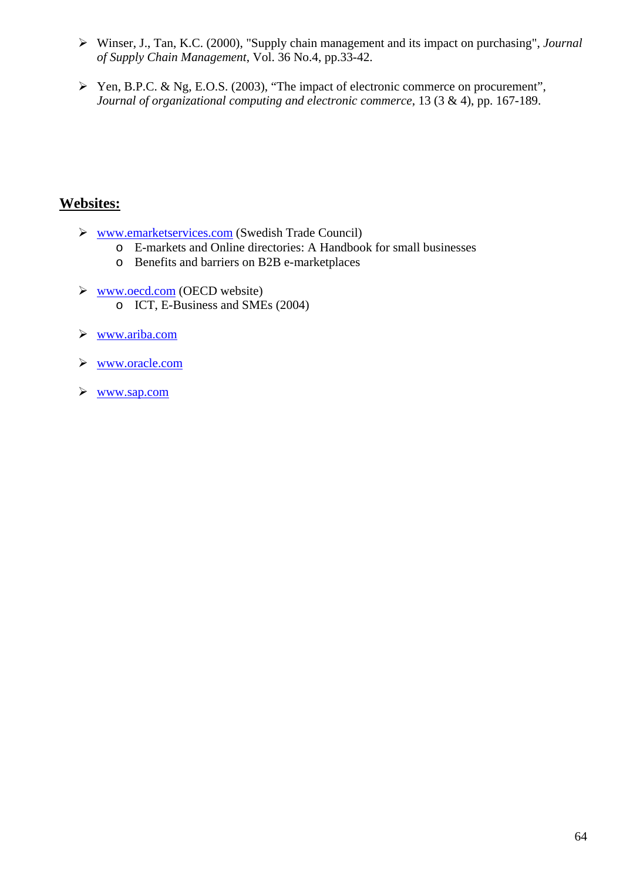- ¾ Winser, J., Tan, K.C. (2000), "Supply chain management and its impact on purchasing", *Journal of Supply Chain Management*, Vol. 36 No.4, pp.33-42.
- ¾ Yen, B.P.C. & Ng, E.O.S. (2003), "The impact of electronic commerce on procurement", *Journal of organizational computing and electronic commerce*, 13 (3 & 4), pp. 167-189.

## **Websites:**

- ¾ [www.emarketservices.com](http://www.emarketservices.com/) (Swedish Trade Council)
	- o E-markets and Online directories: A Handbook for small businesses
	- o Benefits and barriers on B2B e-marketplaces
- ¾ [www.oecd.com](http://www.oecd.com/) (OECD website) o ICT, E-Business and SMEs (2004)
- ¾ [www.ariba.com](http://www.ariba.com/)
- ¾ [www.oracle.com](http://www.oracle.com/)
- ¾ [www.sap.com](http://www.sap.com/)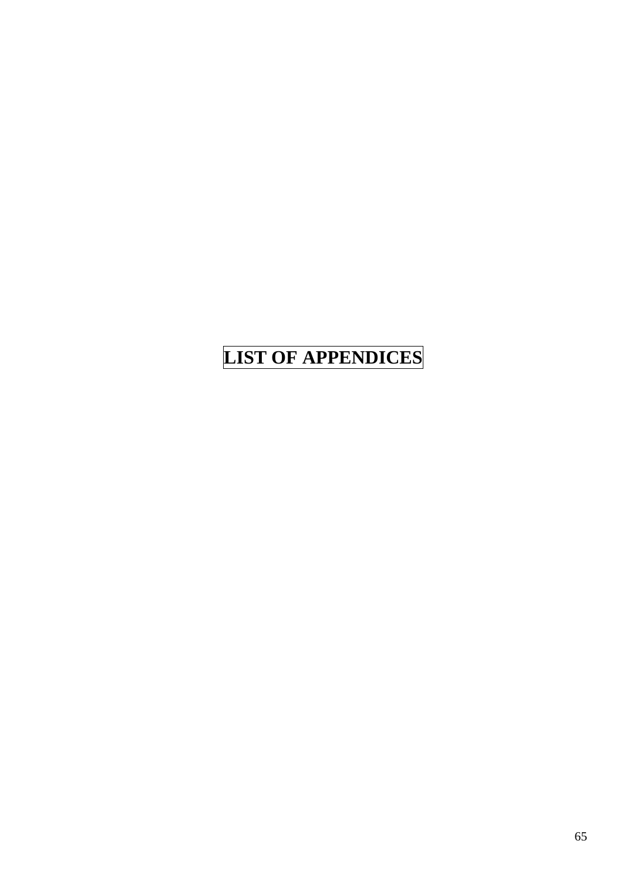# **LIST OF APPENDICES**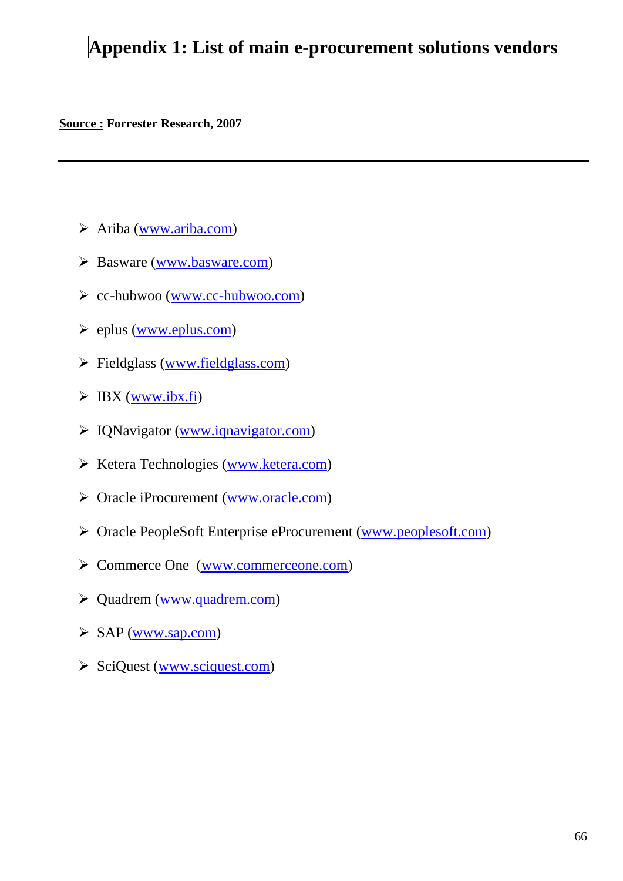## **Appendix 1: List of main e-procurement solutions vendors**

#### **Source : Forrester Research, 2007**

- $\triangleright$  Ariba ([www.ariba.com](http://www.ariba.com/))
- Basware [\(www.basware.com](http://www.basware.com/))
- cc-hubwoo [\(www.cc-hubwoo.com\)](http://www.cc-hubwoo.com/)
- $\blacktriangleright$  eplus [\(www.eplus.com](http://www.eplus.com/))
- $\triangleright$  Fieldglass ([www.fieldglass.com\)](http://www.fieldglass.com/)
- $\triangleright$  IBX ([www.ibx.fi\)](http://www.ibx.fi/)
- IQNavigator ([www.iqnavigator.com\)](http://www.iqnavigator.com/)
- Ketera Technologies [\(www.ketera.com\)](http://www.ketera.com/)
- Oracle iProcurement [\(www.oracle.com\)](http://www.oracle.com/)
- Oracle PeopleSoft Enterprise eProcurement [\(www.peoplesoft.com](http://www.peoplesoft.com/))
- Commerce One ([www.commerceone.com](http://www.commerceone.com/))
- Quadrem ([www.quadrem.com](http://www.quadrem.com/))
- SAP ([www.sap.com\)](http://www.sap.com/)
- SciQuest [\(www.sciquest.com\)](http://www.sciquest.com/)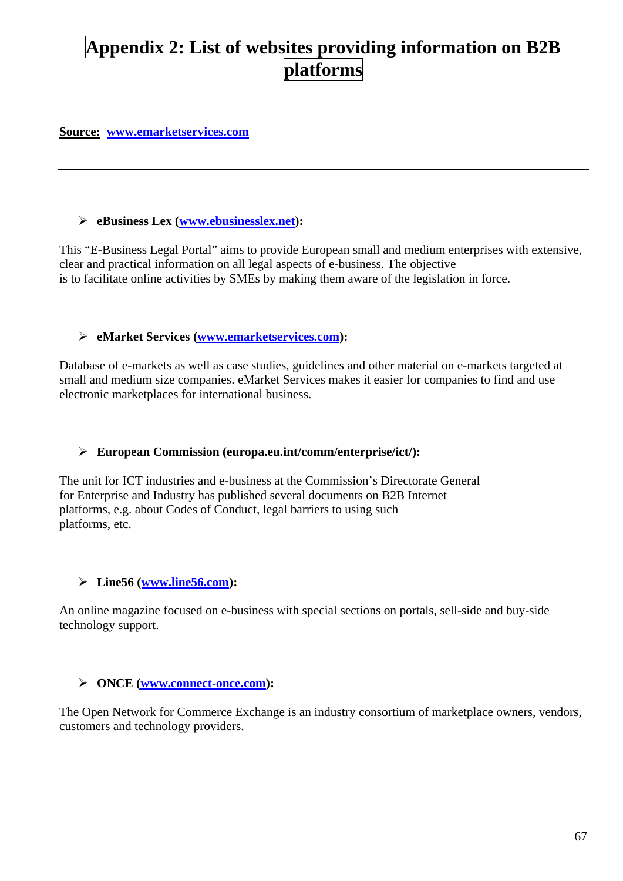## **Appendix 2: List of websites providing information on B2B platforms**

#### **Source: [www.emarketservices.com](http://www.emarketservices.com/)**

#### ¾ **eBusiness Lex [\(www.ebusinesslex.net](http://www.ebusinesslex.net/)):**

This "E-Business Legal Portal" aims to provide European small and medium enterprises with extensive, clear and practical information on all legal aspects of e-business. The objective is to facilitate online activities by SMEs by making them aware of the legislation in force.

#### ¾ **eMarket Services ([www.emarketservices.com\)](http://www.emarketservices.com/):**

Database of e-markets as well as case studies, guidelines and other material on e-markets targeted at small and medium size companies. eMarket Services makes it easier for companies to find and use electronic marketplaces for international business.

#### ¾ **European Commission (europa.eu.int/comm/enterprise/ict/):**

The unit for ICT industries and e-business at the Commission's Directorate General for Enterprise and Industry has published several documents on B2B Internet platforms, e.g. about Codes of Conduct, legal barriers to using such platforms, etc.

#### ¾ **Line56 [\(www.line56.com](http://www.line56.com/)):**

An online magazine focused on e-business with special sections on portals, sell-side and buy-side technology support.

#### ¾ **ONCE [\(www.connect-once.com](http://www.connect-once.com/)):**

The Open Network for Commerce Exchange is an industry consortium of marketplace owners, vendors, customers and technology providers.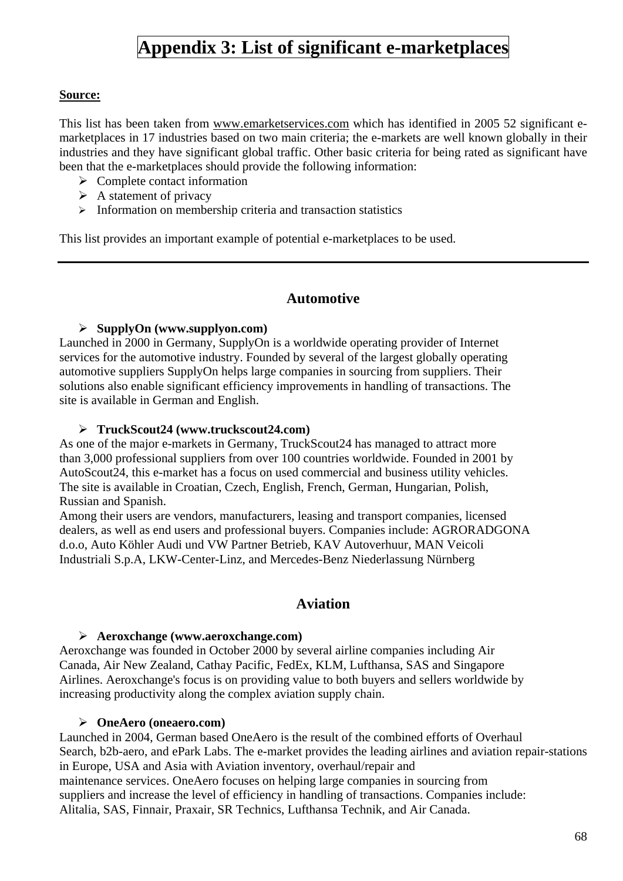## **Appendix 3: List of significant e-marketplaces**

#### **Source:**

This list has been taken from [www.emarketservices.com](http://www.emarketservices.com/) which has identified in 2005 52 significant emarketplaces in 17 industries based on two main criteria; the e-markets are well known globally in their industries and they have significant global traffic. Other basic criteria for being rated as significant have been that the e-marketplaces should provide the following information:

- $\triangleright$  Complete contact information
- $\triangleright$  A statement of privacy
- $\triangleright$  Information on membership criteria and transaction statistics

This list provides an important example of potential e-marketplaces to be used.

## **Automotive**

#### ¾ **SupplyOn (www.supplyon.com)**

Launched in 2000 in Germany, SupplyOn is a worldwide operating provider of Internet services for the automotive industry. Founded by several of the largest globally operating automotive suppliers SupplyOn helps large companies in sourcing from suppliers. Their solutions also enable significant efficiency improvements in handling of transactions. The site is available in German and English.

#### ¾ **TruckScout24 (www.truckscout24.com)**

As one of the major e-markets in Germany, TruckScout24 has managed to attract more than 3,000 professional suppliers from over 100 countries worldwide. Founded in 2001 by AutoScout24, this e-market has a focus on used commercial and business utility vehicles. The site is available in Croatian, Czech, English, French, German, Hungarian, Polish, Russian and Spanish.

Among their users are vendors, manufacturers, leasing and transport companies, licensed dealers, as well as end users and professional buyers. Companies include: AGRORADGONA d.o.o, Auto Köhler Audi und VW Partner Betrieb, KAV Autoverhuur, MAN Veicoli Industriali S.p.A, LKW-Center-Linz, and Mercedes-Benz Niederlassung Nürnberg

## **Aviation**

#### ¾ **Aeroxchange (www.aeroxchange.com)**

Aeroxchange was founded in October 2000 by several airline companies including Air Canada, Air New Zealand, Cathay Pacific, FedEx, KLM, Lufthansa, SAS and Singapore Airlines. Aeroxchange's focus is on providing value to both buyers and sellers worldwide by increasing productivity along the complex aviation supply chain.

#### ¾ **OneAero (oneaero.com)**

Launched in 2004, German based OneAero is the result of the combined efforts of Overhaul Search, b2b-aero, and ePark Labs. The e-market provides the leading airlines and aviation repair-stations in Europe, USA and Asia with Aviation inventory, overhaul/repair and maintenance services. OneAero focuses on helping large companies in sourcing from suppliers and increase the level of efficiency in handling of transactions. Companies include: Alitalia, SAS, Finnair, Praxair, SR Technics, Lufthansa Technik, and Air Canada.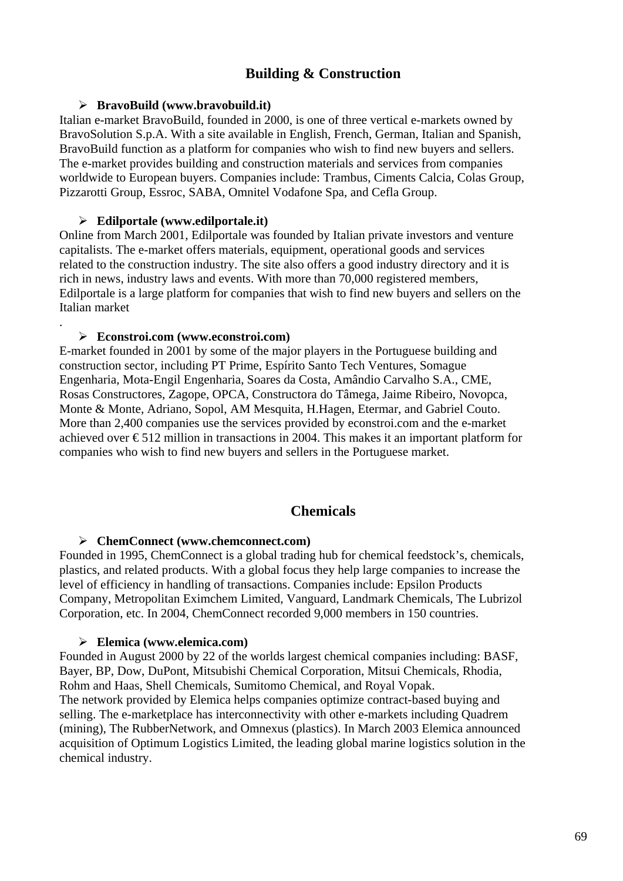## **Building & Construction**

#### ¾ **BravoBuild (www.bravobuild.it)**

Italian e-market BravoBuild, founded in 2000, is one of three vertical e-markets owned by BravoSolution S.p.A. With a site available in English, French, German, Italian and Spanish, BravoBuild function as a platform for companies who wish to find new buyers and sellers. The e-market provides building and construction materials and services from companies worldwide to European buyers. Companies include: Trambus, Ciments Calcia, Colas Group, Pizzarotti Group, Essroc, SABA, Omnitel Vodafone Spa, and Cefla Group.

#### ¾ **Edilportale (www.edilportale.it)**

Online from March 2001, Edilportale was founded by Italian private investors and venture capitalists. The e-market offers materials, equipment, operational goods and services related to the construction industry. The site also offers a good industry directory and it is rich in news, industry laws and events. With more than 70,000 registered members, Edilportale is a large platform for companies that wish to find new buyers and sellers on the Italian market

#### ¾ **Econstroi.com (www.econstroi.com)**

.

E-market founded in 2001 by some of the major players in the Portuguese building and construction sector, including PT Prime, Espírito Santo Tech Ventures, Somague Engenharia, Mota-Engil Engenharia, Soares da Costa, Amândio Carvalho S.A., CME, Rosas Constructores, Zagope, OPCA, Constructora do Tâmega, Jaime Ribeiro, Novopca, Monte & Monte, Adriano, Sopol, AM Mesquita, H.Hagen, Etermar, and Gabriel Couto. More than 2,400 companies use the services provided by econstroi.com and the e-market achieved over  $\epsilon$ 512 million in transactions in 2004. This makes it an important platform for companies who wish to find new buyers and sellers in the Portuguese market.

#### **Chemicals**

#### ¾ **ChemConnect (www.chemconnect.com)**

Founded in 1995, ChemConnect is a global trading hub for chemical feedstock's, chemicals, plastics, and related products. With a global focus they help large companies to increase the level of efficiency in handling of transactions. Companies include: Epsilon Products Company, Metropolitan Eximchem Limited, Vanguard, Landmark Chemicals, The Lubrizol Corporation, etc. In 2004, ChemConnect recorded 9,000 members in 150 countries.

#### ¾ **Elemica (www.elemica.com)**

Founded in August 2000 by 22 of the worlds largest chemical companies including: BASF, Bayer, BP, Dow, DuPont, Mitsubishi Chemical Corporation, Mitsui Chemicals, Rhodia, Rohm and Haas, Shell Chemicals, Sumitomo Chemical, and Royal Vopak. The network provided by Elemica helps companies optimize contract-based buying and selling. The e-marketplace has interconnectivity with other e-markets including Quadrem (mining), The RubberNetwork, and Omnexus (plastics). In March 2003 Elemica announced acquisition of Optimum Logistics Limited, the leading global marine logistics solution in the chemical industry.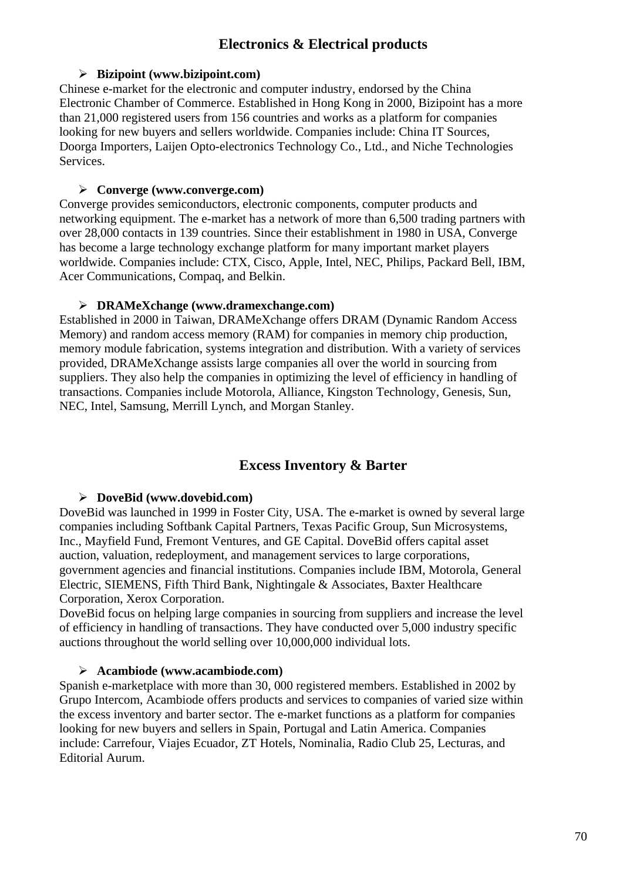## **Electronics & Electrical products**

#### ¾ **Bizipoint (www.bizipoint.com)**

Chinese e-market for the electronic and computer industry, endorsed by the China Electronic Chamber of Commerce. Established in Hong Kong in 2000, Bizipoint has a more than 21,000 registered users from 156 countries and works as a platform for companies looking for new buyers and sellers worldwide. Companies include: China IT Sources, Doorga Importers, Laijen Opto-electronics Technology Co., Ltd., and Niche Technologies Services.

#### ¾ **Converge (www.converge.com)**

Converge provides semiconductors, electronic components, computer products and networking equipment. The e-market has a network of more than 6,500 trading partners with over 28,000 contacts in 139 countries. Since their establishment in 1980 in USA, Converge has become a large technology exchange platform for many important market players worldwide. Companies include: CTX, Cisco, Apple, Intel, NEC, Philips, Packard Bell, IBM, Acer Communications, Compaq, and Belkin.

#### ¾ **DRAMeXchange (www.dramexchange.com)**

Established in 2000 in Taiwan, DRAMeXchange offers DRAM (Dynamic Random Access Memory) and random access memory (RAM) for companies in memory chip production, memory module fabrication, systems integration and distribution. With a variety of services provided, DRAMeXchange assists large companies all over the world in sourcing from suppliers. They also help the companies in optimizing the level of efficiency in handling of transactions. Companies include Motorola, Alliance, Kingston Technology, Genesis, Sun, NEC, Intel, Samsung, Merrill Lynch, and Morgan Stanley.

## **Excess Inventory & Barter**

## ¾ **DoveBid (www.dovebid.com)**

DoveBid was launched in 1999 in Foster City, USA. The e-market is owned by several large companies including Softbank Capital Partners, Texas Pacific Group, Sun Microsystems, Inc., Mayfield Fund, Fremont Ventures, and GE Capital. DoveBid offers capital asset auction, valuation, redeployment, and management services to large corporations, government agencies and financial institutions. Companies include IBM, Motorola, General Electric, SIEMENS, Fifth Third Bank, Nightingale & Associates, Baxter Healthcare Corporation, Xerox Corporation.

DoveBid focus on helping large companies in sourcing from suppliers and increase the level of efficiency in handling of transactions. They have conducted over 5,000 industry specific auctions throughout the world selling over 10,000,000 individual lots.

#### ¾ **Acambiode (www.acambiode.com)**

Spanish e-marketplace with more than 30, 000 registered members. Established in 2002 by Grupo Intercom, Acambiode offers products and services to companies of varied size within the excess inventory and barter sector. The e-market functions as a platform for companies looking for new buyers and sellers in Spain, Portugal and Latin America. Companies include: Carrefour, Viajes Ecuador, ZT Hotels, Nominalia, Radio Club 25, Lecturas, and Editorial Aurum.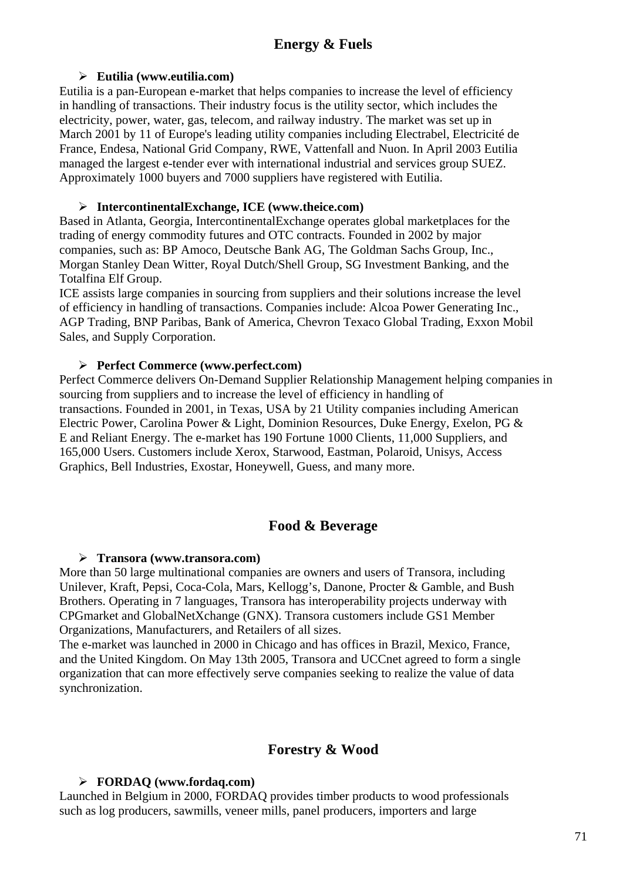#### ¾ **Eutilia (www.eutilia.com)**

Eutilia is a pan-European e-market that helps companies to increase the level of efficiency in handling of transactions. Their industry focus is the utility sector, which includes the electricity, power, water, gas, telecom, and railway industry. The market was set up in March 2001 by 11 of Europe's leading utility companies including Electrabel, Electricité de France, Endesa, National Grid Company, RWE, Vattenfall and Nuon. In April 2003 Eutilia managed the largest e-tender ever with international industrial and services group SUEZ. Approximately 1000 buyers and 7000 suppliers have registered with Eutilia.

#### ¾ **IntercontinentalExchange, ICE (www.theice.com)**

Based in Atlanta, Georgia, IntercontinentalExchange operates global marketplaces for the trading of energy commodity futures and OTC contracts. Founded in 2002 by major companies, such as: BP Amoco, Deutsche Bank AG, The Goldman Sachs Group, Inc., Morgan Stanley Dean Witter, Royal Dutch/Shell Group, SG Investment Banking, and the Totalfina Elf Group.

ICE assists large companies in sourcing from suppliers and their solutions increase the level of efficiency in handling of transactions. Companies include: Alcoa Power Generating Inc., AGP Trading, BNP Paribas, Bank of America, Chevron Texaco Global Trading, Exxon Mobil Sales, and Supply Corporation.

#### ¾ **Perfect Commerce (www.perfect.com)**

Perfect Commerce delivers On-Demand Supplier Relationship Management helping companies in sourcing from suppliers and to increase the level of efficiency in handling of transactions. Founded in 2001, in Texas, USA by 21 Utility companies including American Electric Power, Carolina Power & Light, Dominion Resources, Duke Energy, Exelon, PG & E and Reliant Energy. The e-market has 190 Fortune 1000 Clients, 11,000 Suppliers, and 165,000 Users. Customers include Xerox, Starwood, Eastman, Polaroid, Unisys, Access Graphics, Bell Industries, Exostar, Honeywell, Guess, and many more.

## **Food & Beverage**

#### ¾ **Transora (www.transora.com)**

More than 50 large multinational companies are owners and users of Transora, including Unilever, Kraft, Pepsi, Coca-Cola, Mars, Kellogg's, Danone, Procter & Gamble, and Bush Brothers. Operating in 7 languages, Transora has interoperability projects underway with CPGmarket and GlobalNetXchange (GNX). Transora customers include GS1 Member Organizations, Manufacturers, and Retailers of all sizes.

The e-market was launched in 2000 in Chicago and has offices in Brazil, Mexico, France, and the United Kingdom. On May 13th 2005, Transora and UCCnet agreed to form a single organization that can more effectively serve companies seeking to realize the value of data synchronization.

## **Forestry & Wood**

## ¾ **FORDAQ (www.fordaq.com)**

Launched in Belgium in 2000, FORDAQ provides timber products to wood professionals such as log producers, sawmills, veneer mills, panel producers, importers and large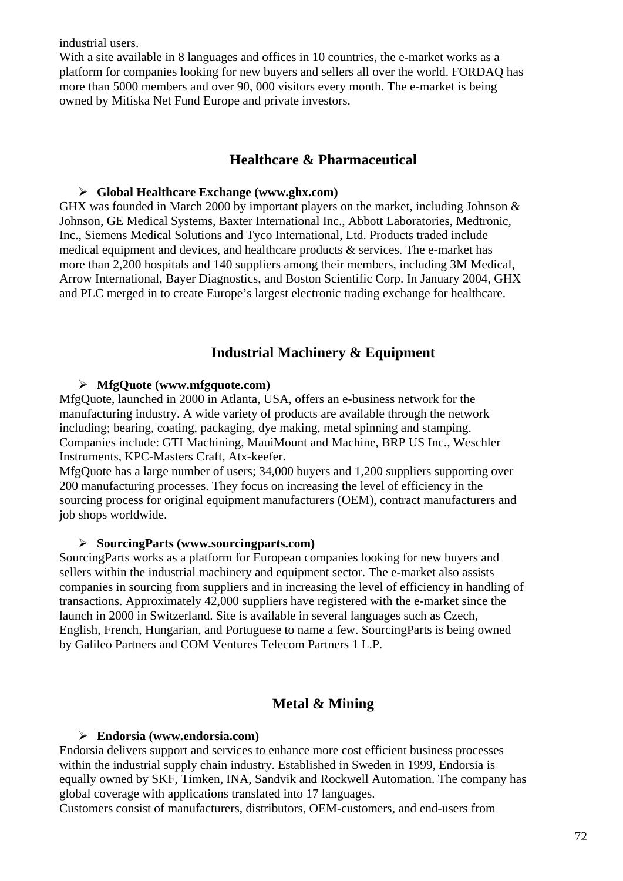industrial users.

With a site available in 8 languages and offices in 10 countries, the e-market works as a platform for companies looking for new buyers and sellers all over the world. FORDAQ has more than 5000 members and over 90, 000 visitors every month. The e-market is being owned by Mitiska Net Fund Europe and private investors.

## **Healthcare & Pharmaceutical**

#### ¾ **Global Healthcare Exchange (www.ghx.com)**

GHX was founded in March 2000 by important players on the market, including Johnson & Johnson, GE Medical Systems, Baxter International Inc., Abbott Laboratories, Medtronic, Inc., Siemens Medical Solutions and Tyco International, Ltd. Products traded include medical equipment and devices, and healthcare products  $\&$  services. The e-market has more than 2,200 hospitals and 140 suppliers among their members, including 3M Medical, Arrow International, Bayer Diagnostics, and Boston Scientific Corp. In January 2004, GHX and PLC merged in to create Europe's largest electronic trading exchange for healthcare.

## **Industrial Machinery & Equipment**

#### ¾ **MfgQuote (www.mfgquote.com)**

MfgQuote, launched in 2000 in Atlanta, USA, offers an e-business network for the manufacturing industry. A wide variety of products are available through the network including; bearing, coating, packaging, dye making, metal spinning and stamping. Companies include: GTI Machining, MauiMount and Machine, BRP US Inc., Weschler Instruments, KPC-Masters Craft, Atx-keefer.

MfgQuote has a large number of users; 34,000 buyers and 1,200 suppliers supporting over 200 manufacturing processes. They focus on increasing the level of efficiency in the sourcing process for original equipment manufacturers (OEM), contract manufacturers and job shops worldwide.

#### ¾ **SourcingParts (www.sourcingparts.com)**

SourcingParts works as a platform for European companies looking for new buyers and sellers within the industrial machinery and equipment sector. The e-market also assists companies in sourcing from suppliers and in increasing the level of efficiency in handling of transactions. Approximately 42,000 suppliers have registered with the e-market since the launch in 2000 in Switzerland. Site is available in several languages such as Czech, English, French, Hungarian, and Portuguese to name a few. SourcingParts is being owned by Galileo Partners and COM Ventures Telecom Partners 1 L.P.

## **Metal & Mining**

#### ¾ **Endorsia (www.endorsia.com)**

Endorsia delivers support and services to enhance more cost efficient business processes within the industrial supply chain industry. Established in Sweden in 1999, Endorsia is equally owned by SKF, Timken, INA, Sandvik and Rockwell Automation. The company has global coverage with applications translated into 17 languages.

Customers consist of manufacturers, distributors, OEM-customers, and end-users from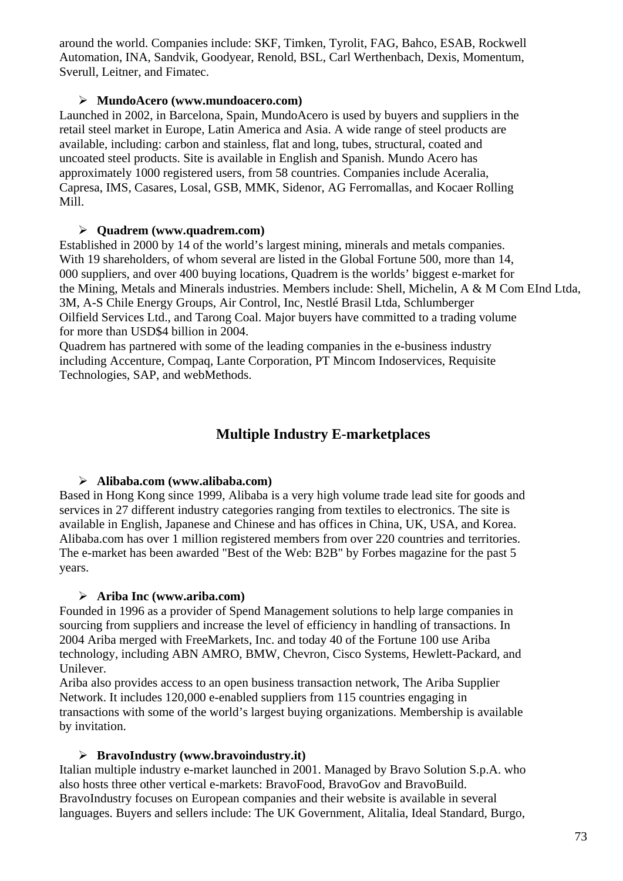around the world. Companies include: SKF, Timken, Tyrolit, FAG, Bahco, ESAB, Rockwell Automation, INA, Sandvik, Goodyear, Renold, BSL, Carl Werthenbach, Dexis, Momentum, Sverull, Leitner, and Fimatec.

#### ¾ **MundoAcero (www.mundoacero.com)**

Launched in 2002, in Barcelona, Spain, MundoAcero is used by buyers and suppliers in the retail steel market in Europe, Latin America and Asia. A wide range of steel products are available, including: carbon and stainless, flat and long, tubes, structural, coated and uncoated steel products. Site is available in English and Spanish. Mundo Acero has approximately 1000 registered users, from 58 countries. Companies include Aceralia, Capresa, IMS, Casares, Losal, GSB, MMK, Sidenor, AG Ferromallas, and Kocaer Rolling Mill.

#### ¾ **Quadrem (www.quadrem.com)**

Established in 2000 by 14 of the world's largest mining, minerals and metals companies. With 19 shareholders, of whom several are listed in the Global Fortune 500, more than 14, 000 suppliers, and over 400 buying locations, Quadrem is the worlds' biggest e-market for the Mining, Metals and Minerals industries. Members include: Shell, Michelin, A & M Com EInd Ltda, 3M, A-S Chile Energy Groups, Air Control, Inc, Nestlé Brasil Ltda, Schlumberger Oilfield Services Ltd., and Tarong Coal. Major buyers have committed to a trading volume for more than USD\$4 billion in 2004.

Quadrem has partnered with some of the leading companies in the e-business industry including Accenture, Compaq, Lante Corporation, PT Mincom Indoservices, Requisite Technologies, SAP, and webMethods.

## **Multiple Industry E-marketplaces**

#### ¾ **Alibaba.com (www.alibaba.com)**

Based in Hong Kong since 1999, Alibaba is a very high volume trade lead site for goods and services in 27 different industry categories ranging from textiles to electronics. The site is available in English, Japanese and Chinese and has offices in China, UK, USA, and Korea. Alibaba.com has over 1 million registered members from over 220 countries and territories. The e-market has been awarded "Best of the Web: B2B" by Forbes magazine for the past 5 years.

#### ¾ **Ariba Inc (www.ariba.com)**

Founded in 1996 as a provider of Spend Management solutions to help large companies in sourcing from suppliers and increase the level of efficiency in handling of transactions. In 2004 Ariba merged with FreeMarkets, Inc. and today 40 of the Fortune 100 use Ariba technology, including ABN AMRO, BMW, Chevron, Cisco Systems, Hewlett-Packard, and Unilever.

Ariba also provides access to an open business transaction network, The Ariba Supplier Network. It includes 120,000 e-enabled suppliers from 115 countries engaging in transactions with some of the world's largest buying organizations. Membership is available by invitation.

#### ¾ **BravoIndustry (www.bravoindustry.it)**

Italian multiple industry e-market launched in 2001. Managed by Bravo Solution S.p.A. who also hosts three other vertical e-markets: BravoFood, BravoGov and BravoBuild. BravoIndustry focuses on European companies and their website is available in several languages. Buyers and sellers include: The UK Government, Alitalia, Ideal Standard, Burgo,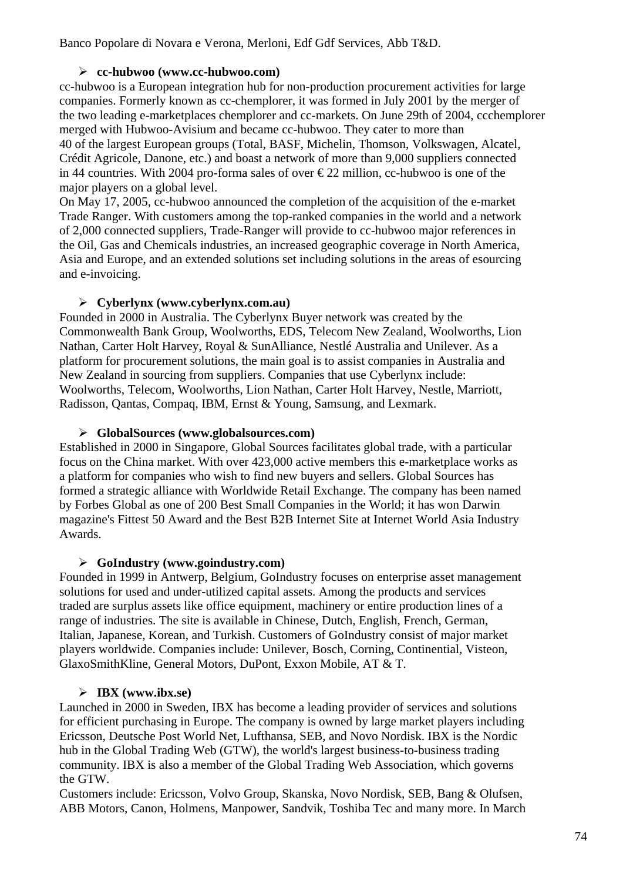Banco Popolare di Novara e Verona, Merloni, Edf Gdf Services, Abb T&D.

#### ¾ **cc-hubwoo (www.cc-hubwoo.com)**

cc-hubwoo is a European integration hub for non-production procurement activities for large companies. Formerly known as cc-chemplorer, it was formed in July 2001 by the merger of the two leading e-marketplaces chemplorer and cc-markets. On June 29th of 2004, ccchemplorer merged with Hubwoo-Avisium and became cc-hubwoo. They cater to more than 40 of the largest European groups (Total, BASF, Michelin, Thomson, Volkswagen, Alcatel, Crédit Agricole, Danone, etc.) and boast a network of more than 9,000 suppliers connected in 44 countries. With 2004 pro-forma sales of over  $\epsilon$ 22 million, cc-hubwoo is one of the major players on a global level.

On May 17, 2005, cc-hubwoo announced the completion of the acquisition of the e-market Trade Ranger. With customers among the top-ranked companies in the world and a network of 2,000 connected suppliers, Trade-Ranger will provide to cc-hubwoo major references in the Oil, Gas and Chemicals industries, an increased geographic coverage in North America, Asia and Europe, and an extended solutions set including solutions in the areas of esourcing and e-invoicing.

#### ¾ **Cyberlynx (www.cyberlynx.com.au)**

Founded in 2000 in Australia. The Cyberlynx Buyer network was created by the Commonwealth Bank Group, Woolworths, EDS, Telecom New Zealand, Woolworths, Lion Nathan, Carter Holt Harvey, Royal & SunAlliance, Nestlé Australia and Unilever. As a platform for procurement solutions, the main goal is to assist companies in Australia and New Zealand in sourcing from suppliers. Companies that use Cyberlynx include: Woolworths, Telecom, Woolworths, Lion Nathan, Carter Holt Harvey, Nestle, Marriott, Radisson, Qantas, Compaq, IBM, Ernst & Young, Samsung, and Lexmark.

#### ¾ **GlobalSources (www.globalsources.com)**

Established in 2000 in Singapore, Global Sources facilitates global trade, with a particular focus on the China market. With over 423,000 active members this e-marketplace works as a platform for companies who wish to find new buyers and sellers. Global Sources has formed a strategic alliance with Worldwide Retail Exchange. The company has been named by Forbes Global as one of 200 Best Small Companies in the World; it has won Darwin magazine's Fittest 50 Award and the Best B2B Internet Site at Internet World Asia Industry Awards.

#### ¾ **GoIndustry (www.goindustry.com)**

Founded in 1999 in Antwerp, Belgium, GoIndustry focuses on enterprise asset management solutions for used and under-utilized capital assets. Among the products and services traded are surplus assets like office equipment, machinery or entire production lines of a range of industries. The site is available in Chinese, Dutch, English, French, German, Italian, Japanese, Korean, and Turkish. Customers of GoIndustry consist of major market players worldwide. Companies include: Unilever, Bosch, Corning, Continential, Visteon, GlaxoSmithKline, General Motors, DuPont, Exxon Mobile, AT & T.

#### ¾ **IBX (www.ibx.se)**

Launched in 2000 in Sweden, IBX has become a leading provider of services and solutions for efficient purchasing in Europe. The company is owned by large market players including Ericsson, Deutsche Post World Net, Lufthansa, SEB, and Novo Nordisk. IBX is the Nordic hub in the Global Trading Web (GTW), the world's largest business-to-business trading community. IBX is also a member of the Global Trading Web Association, which governs the GTW.

Customers include: Ericsson, Volvo Group, Skanska, Novo Nordisk, SEB, Bang & Olufsen, ABB Motors, Canon, Holmens, Manpower, Sandvik, Toshiba Tec and many more. In March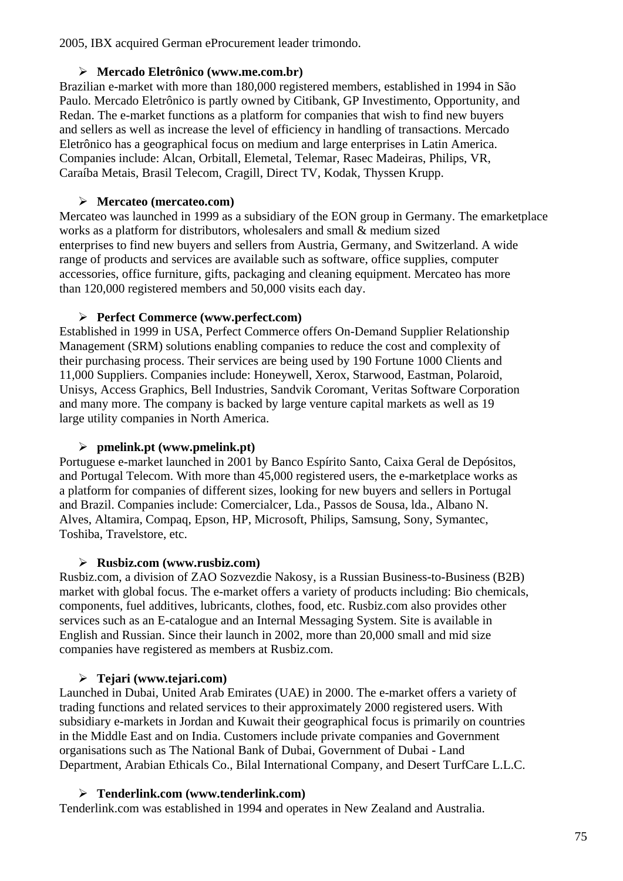2005, IBX acquired German eProcurement leader trimondo.

#### ¾ **Mercado Eletrônico (www.me.com.br)**

Brazilian e-market with more than 180,000 registered members, established in 1994 in São Paulo. Mercado Eletrônico is partly owned by Citibank, GP Investimento, Opportunity, and Redan. The e-market functions as a platform for companies that wish to find new buyers and sellers as well as increase the level of efficiency in handling of transactions. Mercado Eletrônico has a geographical focus on medium and large enterprises in Latin America. Companies include: Alcan, Orbitall, Elemetal, Telemar, Rasec Madeiras, Philips, VR, Caraíba Metais, Brasil Telecom, Cragill, Direct TV, Kodak, Thyssen Krupp.

#### ¾ **Mercateo (mercateo.com)**

Mercateo was launched in 1999 as a subsidiary of the EON group in Germany. The emarketplace works as a platform for distributors, wholesalers and small & medium sized enterprises to find new buyers and sellers from Austria, Germany, and Switzerland. A wide range of products and services are available such as software, office supplies, computer accessories, office furniture, gifts, packaging and cleaning equipment. Mercateo has more than 120,000 registered members and 50,000 visits each day.

#### ¾ **Perfect Commerce (www.perfect.com)**

Established in 1999 in USA, Perfect Commerce offers On-Demand Supplier Relationship Management (SRM) solutions enabling companies to reduce the cost and complexity of their purchasing process. Their services are being used by 190 Fortune 1000 Clients and 11,000 Suppliers. Companies include: Honeywell, Xerox, Starwood, Eastman, Polaroid, Unisys, Access Graphics, Bell Industries, Sandvik Coromant, Veritas Software Corporation and many more. The company is backed by large venture capital markets as well as 19 large utility companies in North America.

#### ¾ **pmelink.pt (www.pmelink.pt)**

Portuguese e-market launched in 2001 by Banco Espírito Santo, Caixa Geral de Depósitos, and Portugal Telecom. With more than 45,000 registered users, the e-marketplace works as a platform for companies of different sizes, looking for new buyers and sellers in Portugal and Brazil. Companies include: Comercialcer, Lda., Passos de Sousa, lda., Albano N. Alves, Altamira, Compaq, Epson, HP, Microsoft, Philips, Samsung, Sony, Symantec, Toshiba, Travelstore, etc.

#### ¾ **Rusbiz.com (www.rusbiz.com)**

Rusbiz.com, a division of ZAO Sozvezdie Nakosy, is a Russian Business-to-Business (B2B) market with global focus. The e-market offers a variety of products including: Bio chemicals, components, fuel additives, lubricants, clothes, food, etc. Rusbiz.com also provides other services such as an E-catalogue and an Internal Messaging System. Site is available in English and Russian. Since their launch in 2002, more than 20,000 small and mid size companies have registered as members at Rusbiz.com.

#### ¾ **Tejari (www.tejari.com)**

Launched in Dubai, United Arab Emirates (UAE) in 2000. The e-market offers a variety of trading functions and related services to their approximately 2000 registered users. With subsidiary e-markets in Jordan and Kuwait their geographical focus is primarily on countries in the Middle East and on India. Customers include private companies and Government organisations such as The National Bank of Dubai, Government of Dubai - Land Department, Arabian Ethicals Co., Bilal International Company, and Desert TurfCare L.L.C.

#### ¾ **Tenderlink.com (www.tenderlink.com)**

Tenderlink.com was established in 1994 and operates in New Zealand and Australia.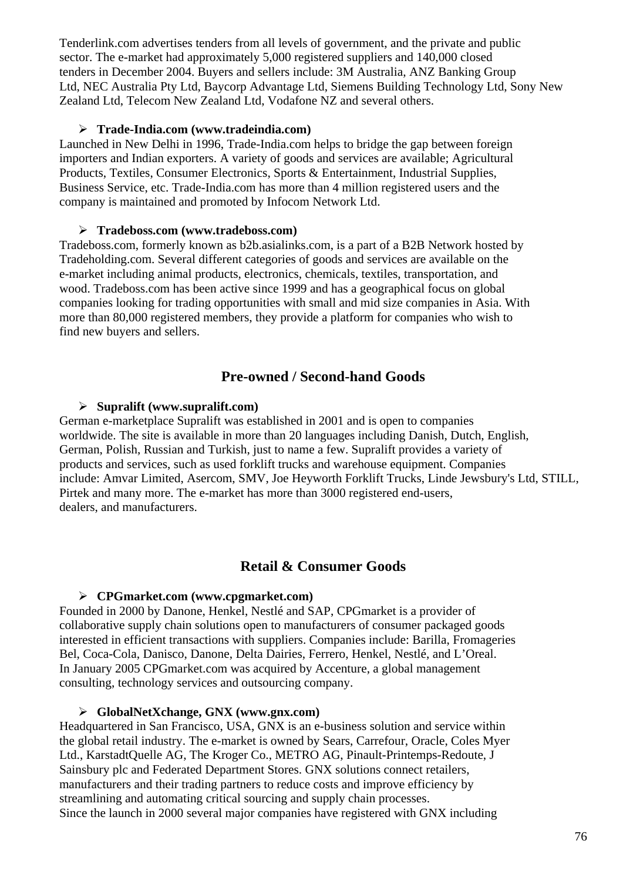Tenderlink.com advertises tenders from all levels of government, and the private and public sector. The e-market had approximately 5,000 registered suppliers and 140,000 closed tenders in December 2004. Buyers and sellers include: 3M Australia, ANZ Banking Group Ltd, NEC Australia Pty Ltd, Baycorp Advantage Ltd, Siemens Building Technology Ltd, Sony New Zealand Ltd, Telecom New Zealand Ltd, Vodafone NZ and several others.

#### ¾ **Trade-India.com (www.tradeindia.com)**

Launched in New Delhi in 1996, Trade-India.com helps to bridge the gap between foreign importers and Indian exporters. A variety of goods and services are available; Agricultural Products, Textiles, Consumer Electronics, Sports & Entertainment, Industrial Supplies, Business Service, etc. Trade-India.com has more than 4 million registered users and the company is maintained and promoted by Infocom Network Ltd.

#### ¾ **Tradeboss.com (www.tradeboss.com)**

Tradeboss.com, formerly known as b2b.asialinks.com, is a part of a B2B Network hosted by Tradeholding.com. Several different categories of goods and services are available on the e-market including animal products, electronics, chemicals, textiles, transportation, and wood. Tradeboss.com has been active since 1999 and has a geographical focus on global companies looking for trading opportunities with small and mid size companies in Asia. With more than 80,000 registered members, they provide a platform for companies who wish to find new buyers and sellers.

## **Pre-owned / Second-hand Goods**

#### ¾ **Supralift (www.supralift.com)**

German e-marketplace Supralift was established in 2001 and is open to companies worldwide. The site is available in more than 20 languages including Danish, Dutch, English, German, Polish, Russian and Turkish, just to name a few. Supralift provides a variety of products and services, such as used forklift trucks and warehouse equipment. Companies include: Amvar Limited, Asercom, SMV, Joe Heyworth Forklift Trucks, Linde Jewsbury's Ltd, STILL, Pirtek and many more. The e-market has more than 3000 registered end-users, dealers, and manufacturers.

## **Retail & Consumer Goods**

#### ¾ **CPGmarket.com (www.cpgmarket.com)**

Founded in 2000 by Danone, Henkel, Nestlé and SAP, CPGmarket is a provider of collaborative supply chain solutions open to manufacturers of consumer packaged goods interested in efficient transactions with suppliers. Companies include: Barilla, Fromageries Bel, Coca-Cola, Danisco, Danone, Delta Dairies, Ferrero, Henkel, Nestlé, and L'Oreal. In January 2005 CPGmarket.com was acquired by Accenture, a global management consulting, technology services and outsourcing company.

#### ¾ **GlobalNetXchange, GNX (www.gnx.com)**

Headquartered in San Francisco, USA, GNX is an e-business solution and service within the global retail industry. The e-market is owned by Sears, Carrefour, Oracle, Coles Myer Ltd., KarstadtQuelle AG, The Kroger Co., METRO AG, Pinault-Printemps-Redoute, J Sainsbury plc and Federated Department Stores. GNX solutions connect retailers, manufacturers and their trading partners to reduce costs and improve efficiency by streamlining and automating critical sourcing and supply chain processes. Since the launch in 2000 several major companies have registered with GNX including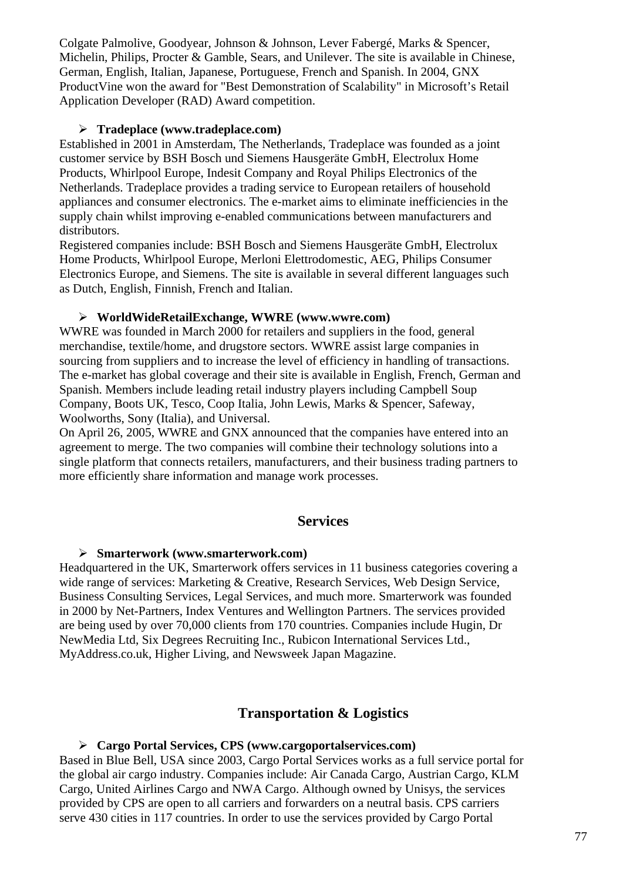Colgate Palmolive, Goodyear, Johnson & Johnson, Lever Fabergé, Marks & Spencer, Michelin, Philips, Procter & Gamble, Sears, and Unilever. The site is available in Chinese, German, English, Italian, Japanese, Portuguese, French and Spanish. In 2004, GNX ProductVine won the award for "Best Demonstration of Scalability" in Microsoft's Retail Application Developer (RAD) Award competition.

#### ¾ **Tradeplace (www.tradeplace.com)**

Established in 2001 in Amsterdam, The Netherlands, Tradeplace was founded as a joint customer service by BSH Bosch und Siemens Hausgeräte GmbH, Electrolux Home Products, Whirlpool Europe, Indesit Company and Royal Philips Electronics of the Netherlands. Tradeplace provides a trading service to European retailers of household appliances and consumer electronics. The e-market aims to eliminate inefficiencies in the supply chain whilst improving e-enabled communications between manufacturers and distributors.

Registered companies include: BSH Bosch and Siemens Hausgeräte GmbH, Electrolux Home Products, Whirlpool Europe, Merloni Elettrodomestic, AEG, Philips Consumer Electronics Europe, and Siemens. The site is available in several different languages such as Dutch, English, Finnish, French and Italian.

#### ¾ **WorldWideRetailExchange, WWRE (www.wwre.com)**

WWRE was founded in March 2000 for retailers and suppliers in the food, general merchandise, textile/home, and drugstore sectors. WWRE assist large companies in sourcing from suppliers and to increase the level of efficiency in handling of transactions. The e-market has global coverage and their site is available in English, French, German and Spanish. Members include leading retail industry players including Campbell Soup Company, Boots UK, Tesco, Coop Italia, John Lewis, Marks & Spencer, Safeway, Woolworths, Sony (Italia), and Universal.

On April 26, 2005, WWRE and GNX announced that the companies have entered into an agreement to merge. The two companies will combine their technology solutions into a single platform that connects retailers, manufacturers, and their business trading partners to more efficiently share information and manage work processes.

#### **Services**

#### ¾ **Smarterwork (www.smarterwork.com)**

Headquartered in the UK, Smarterwork offers services in 11 business categories covering a wide range of services: Marketing & Creative, Research Services, Web Design Service, Business Consulting Services, Legal Services, and much more. Smarterwork was founded in 2000 by Net-Partners, Index Ventures and Wellington Partners. The services provided are being used by over 70,000 clients from 170 countries. Companies include Hugin, Dr NewMedia Ltd, Six Degrees Recruiting Inc., Rubicon International Services Ltd., MyAddress.co.uk, Higher Living, and Newsweek Japan Magazine.

## **Transportation & Logistics**

#### ¾ **Cargo Portal Services, CPS (www.cargoportalservices.com)**

Based in Blue Bell, USA since 2003, Cargo Portal Services works as a full service portal for the global air cargo industry. Companies include: Air Canada Cargo, Austrian Cargo, KLM Cargo, United Airlines Cargo and NWA Cargo. Although owned by Unisys, the services provided by CPS are open to all carriers and forwarders on a neutral basis. CPS carriers serve 430 cities in 117 countries. In order to use the services provided by Cargo Portal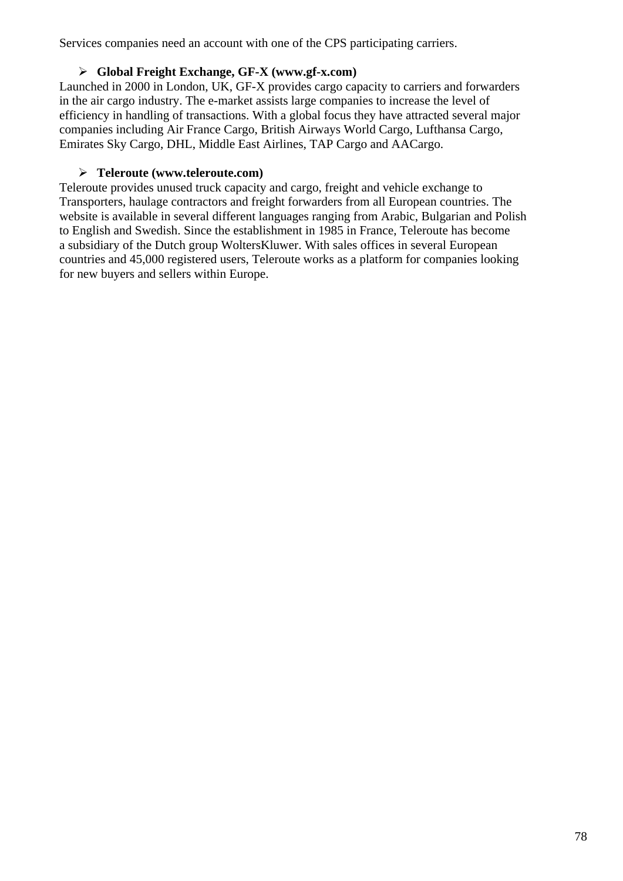Services companies need an account with one of the CPS participating carriers.

#### ¾ **Global Freight Exchange, GF-X (www.gf-x.com)**

Launched in 2000 in London, UK, GF-X provides cargo capacity to carriers and forwarders in the air cargo industry. The e-market assists large companies to increase the level of efficiency in handling of transactions. With a global focus they have attracted several major companies including Air France Cargo, British Airways World Cargo, Lufthansa Cargo, Emirates Sky Cargo, DHL, Middle East Airlines, TAP Cargo and AACargo.

#### ¾ **Teleroute (www.teleroute.com)**

Teleroute provides unused truck capacity and cargo, freight and vehicle exchange to Transporters, haulage contractors and freight forwarders from all European countries. The website is available in several different languages ranging from Arabic, Bulgarian and Polish to English and Swedish. Since the establishment in 1985 in France, Teleroute has become a subsidiary of the Dutch group WoltersKluwer. With sales offices in several European countries and 45,000 registered users, Teleroute works as a platform for companies looking for new buyers and sellers within Europe.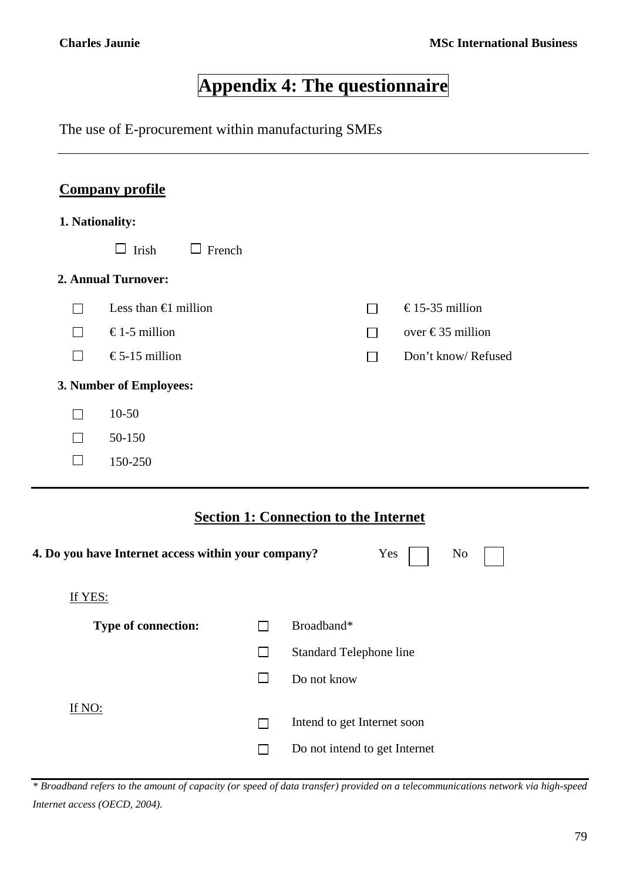# **Appendix 4: The questionnaire**

The use of E-procurement within manufacturing SMEs

## **Company profile**

#### **1. Nationality:**

|                     | Irish<br>French<br>$\Box$     |                |                    |  |  |  |  |
|---------------------|-------------------------------|----------------|--------------------|--|--|--|--|
| 2. Annual Turnover: |                               |                |                    |  |  |  |  |
| $\sim$              | Less than $\bigoplus$ million | ΙI             | €15-35 million     |  |  |  |  |
|                     | €1-5 million                  | $\mathsf{L}$   | over €35 million   |  |  |  |  |
| $\mathsf{L}$        | €5-15 million                 | $\mathbb{R}^n$ | Don't know/Refused |  |  |  |  |
|                     | 3. Number of Employees:       |                |                    |  |  |  |  |
| $\sim$              | $10-50$                       |                |                    |  |  |  |  |
| $\mathbf{I}$        | 50-150                        |                |                    |  |  |  |  |
|                     | 150-250                       |                |                    |  |  |  |  |

## **Section 1: Connection to the Internet**

| 4. Do you have Internet access within your company? |                          | Yes<br>No                      |  |
|-----------------------------------------------------|--------------------------|--------------------------------|--|
| If YES:                                             |                          |                                |  |
| <b>Type of connection:</b>                          |                          | Broadband*                     |  |
|                                                     | $\overline{\phantom{0}}$ | <b>Standard Telephone line</b> |  |
|                                                     |                          | Do not know                    |  |
| If NO:                                              |                          |                                |  |
|                                                     |                          | Intend to get Internet soon    |  |
|                                                     |                          | Do not intend to get Internet  |  |
|                                                     |                          |                                |  |

*\* Broadband refers to the amount of capacity (or speed of data transfer) provided on a telecommunications network via high-speed Internet access (OECD, 2004).*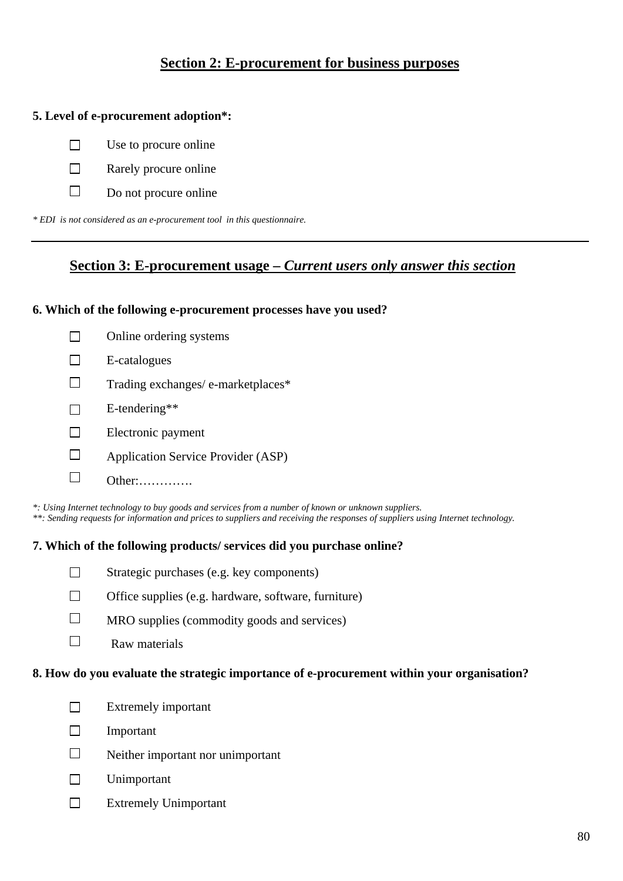## **Section 2: E-procurement for business purposes**

#### **5. Level of e-procurement adoption\*:**

- $\Box$  Use to procure online
- $\Box$  Rarely procure online
- $\Box$  Do not procure online

*\* EDI is not considered as an e-procurement tool in this questionnaire.* 

#### **Section 3: E-procurement usage –** *Current users only answer this section*

#### **6. Which of the following e-procurement processes have you used?**

| Online ordering systems                   |
|-------------------------------------------|
| E-catalogues                              |
| Trading exchanges/ e-marketplaces*        |
| $E$ -tendering**                          |
| Electronic payment                        |
| <b>Application Service Provider (ASP)</b> |
| /ther:                                    |

*\*: Using Internet technology to buy goods and services from a number of known or unknown suppliers. \*\*: Sending requests for information and prices to suppliers and receiving the responses of suppliers using Internet technology.*

#### **7. Which of the following products/ services did you purchase online?**



- $\Box$  Office supplies (e.g. hardware, software, furniture)
- $\Box$  MRO supplies (commodity goods and services)
- $\Box$ Raw materials

#### **8. How do you evaluate the strategic importance of e-procurement within your organisation?**

- $\Box$  Extremely important
- Important
- $\square$  Neither important nor unimportant
- Unimportant
- Extremely Unimportant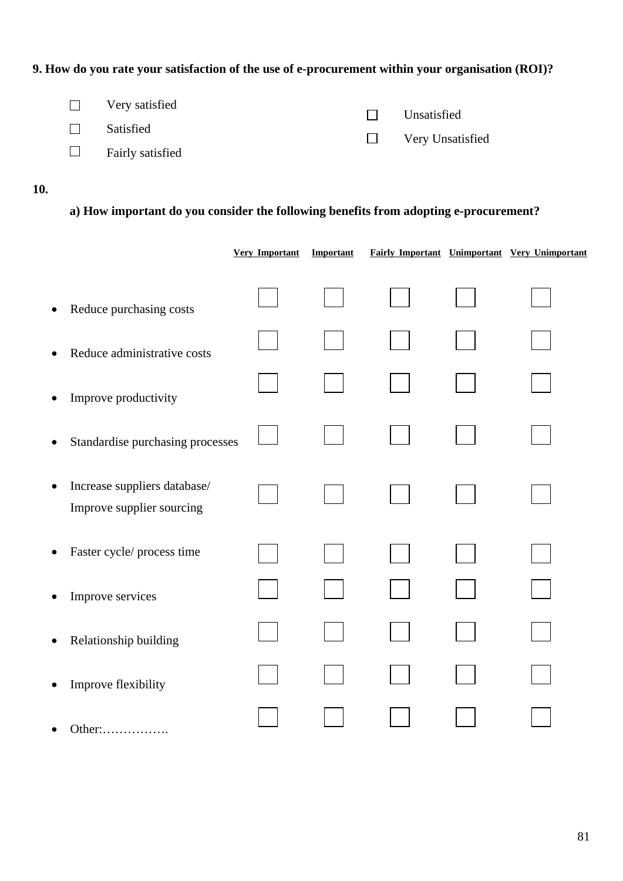## **9. How do you rate your satisfaction of the use of e-procurement within your organisation (ROI)?**

| $\Box$ Very satisfied   | $\Box$ Unsatisfied      |
|-------------------------|-------------------------|
| $\Box$ Satisfied        |                         |
| $\Box$ Fairly satisfied | $\Box$ Very Unsatisfied |
|                         |                         |

#### **10.**

## **a) How important do you consider the following benefits from adopting e-procurement?**

|           |                                                           | <b>Very Important</b> | Important |  | Fairly Important Unimportant Very Unimportant |
|-----------|-----------------------------------------------------------|-----------------------|-----------|--|-----------------------------------------------|
| $\bullet$ | Reduce purchasing costs                                   |                       |           |  |                                               |
| $\bullet$ | Reduce administrative costs                               |                       |           |  |                                               |
| ٠         | Improve productivity                                      |                       |           |  |                                               |
|           | Standardise purchasing processes                          |                       |           |  |                                               |
| $\bullet$ | Increase suppliers database/<br>Improve supplier sourcing |                       |           |  |                                               |
| $\bullet$ | Faster cycle/ process time                                |                       |           |  |                                               |
|           | Improve services                                          |                       |           |  |                                               |
| $\bullet$ | Relationship building                                     |                       |           |  |                                               |
| $\bullet$ | Improve flexibility                                       |                       |           |  |                                               |
|           | Other:                                                    |                       |           |  |                                               |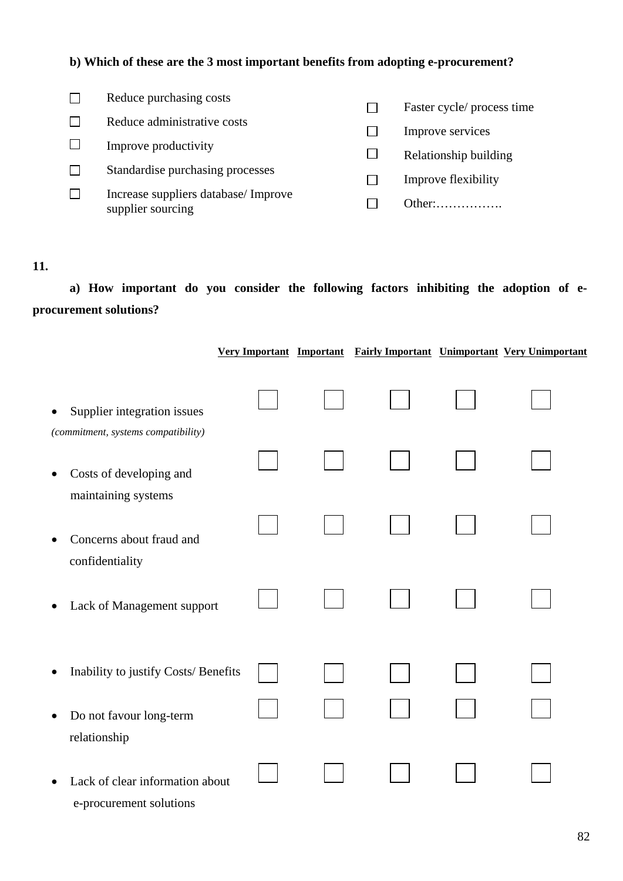#### **b) Which of these are the 3 most important benefits from adopting e-procurement?**

| Reduce purchasing costs              | Faster cycle/ process time |
|--------------------------------------|----------------------------|
| Reduce administrative costs          | Improve services           |
| Improve productivity                 |                            |
| Standardise purchasing processes     | Relationship building      |
| Increase suppliers database/ Improve | Improve flexibility        |
| supplier sourcing                    | Other:                     |

#### **11.**

 **a) How important do you consider the following factors inhibiting the adoption of eprocurement solutions?**

|                                                                                 |  |  | Very Important Important Fairly Important Unimportant Very Unimportant |
|---------------------------------------------------------------------------------|--|--|------------------------------------------------------------------------|
| Supplier integration issues<br>$\bullet$<br>(commitment, systems compatibility) |  |  |                                                                        |
| Costs of developing and<br>٠<br>maintaining systems                             |  |  |                                                                        |
| Concerns about fraud and<br>confidentiality                                     |  |  |                                                                        |
| Lack of Management support<br>٠                                                 |  |  |                                                                        |
| Inability to justify Costs/ Benefits                                            |  |  |                                                                        |
| Do not favour long-term<br>$\bullet$<br>relationship                            |  |  |                                                                        |
| Lack of clear information about<br>e-procurement solutions                      |  |  |                                                                        |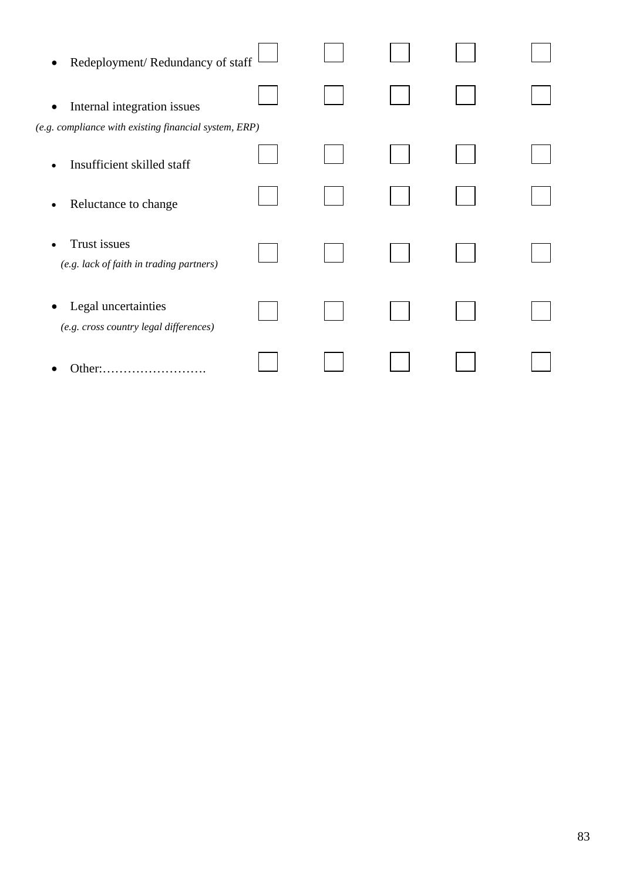| Redeployment/Redundancy of staff<br>$\bullet$                         |  |  |  |
|-----------------------------------------------------------------------|--|--|--|
| Internal integration issues<br>$\bullet$                              |  |  |  |
| (e.g. compliance with existing financial system, ERP)                 |  |  |  |
| Insufficient skilled staff<br>$\bullet$                               |  |  |  |
| Reluctance to change<br>٠                                             |  |  |  |
| Trust issues<br>$\bullet$<br>(e.g. lack of faith in trading partners) |  |  |  |
| Legal uncertainties<br>(e.g. cross country legal differences)         |  |  |  |
| Other:.<br>.                                                          |  |  |  |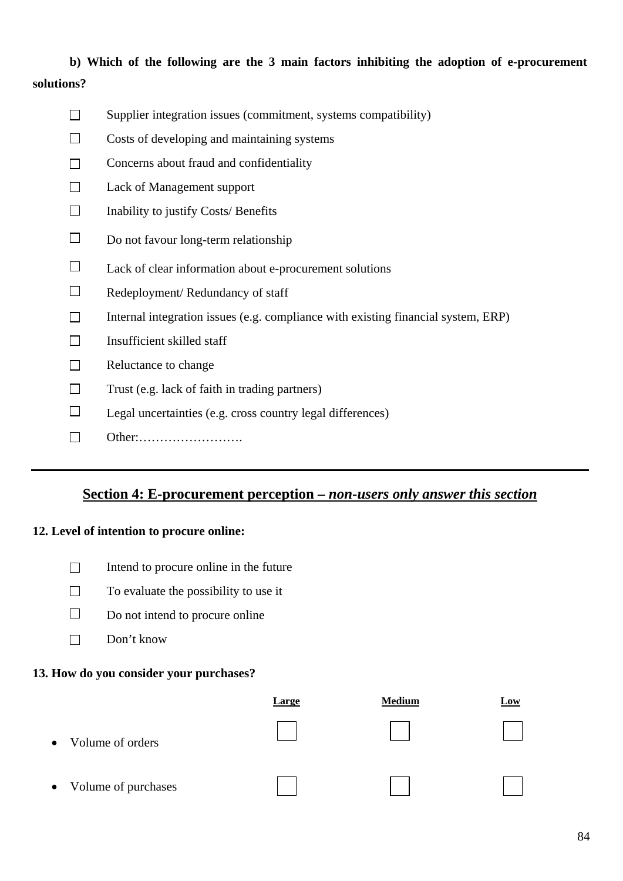## **b) Which of the following are the 3 main factors inhibiting the adoption of e-procurement solutions?**

- $\Box$  Supplier integration issues (commitment, systems compatibility)
- $\Box$  Costs of developing and maintaining systems
- $\Box$  Concerns about fraud and confidentiality
- □ Lack of Management support
- $\Box$  Inability to justify Costs/ Benefits
- $\square$  Do not favour long-term relationship
- $\Box$  Lack of clear information about e-procurement solutions
- $\Box$  Redeployment/ Redundancy of staff
- $\Box$  Internal integration issues (e.g. compliance with existing financial system, ERP)
- $\Box$ Insufficient skilled staff
- $\Box$  Reluctance to change
- $\Box$  Trust (e.g. lack of faith in trading partners)
- $\Box$  Legal uncertainties (e.g. cross country legal differences)
- Other:…………………….

## **Section 4: E-procurement perception –** *non***-***users only answer this section*

#### **12. Level of intention to procure online:**

- $\Box$  Intend to procure online in the future
- $\Box$  To evaluate the possibility to use it
- $\Box$  Do not intend to procure online
- $\square$  Don't know

#### **13. How do you consider your purchases?**

|                                  | <b>Large</b> | <b>Medium</b> | <b>Low</b> |
|----------------------------------|--------------|---------------|------------|
| Volume of orders<br>$\bullet$    |              |               |            |
| Volume of purchases<br>$\bullet$ |              |               |            |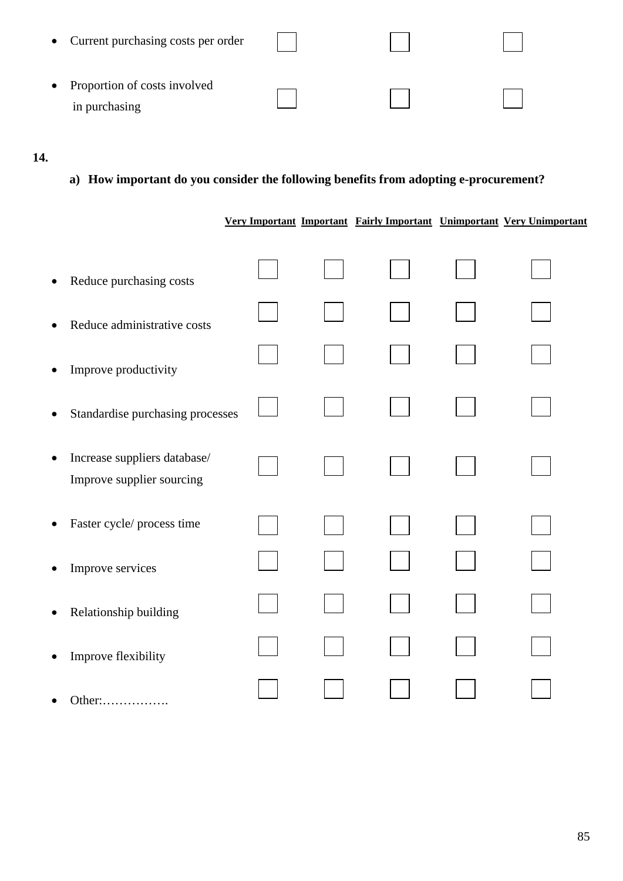| • Current purchasing costs per order |  |  |
|--------------------------------------|--|--|
| • Proportion of costs involved       |  |  |
| in purchasing                        |  |  |

## **14.**

**a) How important do you consider the following benefits from adopting e-procurement?**

 **Very Important Important Fairly Important Unimportant Very Unimportant**

| $\bullet$ | Reduce purchasing costs                                   |  |  |  |
|-----------|-----------------------------------------------------------|--|--|--|
| $\bullet$ | Reduce administrative costs                               |  |  |  |
| $\bullet$ | Improve productivity                                      |  |  |  |
| $\bullet$ | Standardise purchasing processes                          |  |  |  |
| $\bullet$ | Increase suppliers database/<br>Improve supplier sourcing |  |  |  |
| $\bullet$ | Faster cycle/ process time                                |  |  |  |
| $\bullet$ | Improve services                                          |  |  |  |
| $\bullet$ | Relationship building                                     |  |  |  |
| $\bullet$ | Improve flexibility                                       |  |  |  |
|           | Other:                                                    |  |  |  |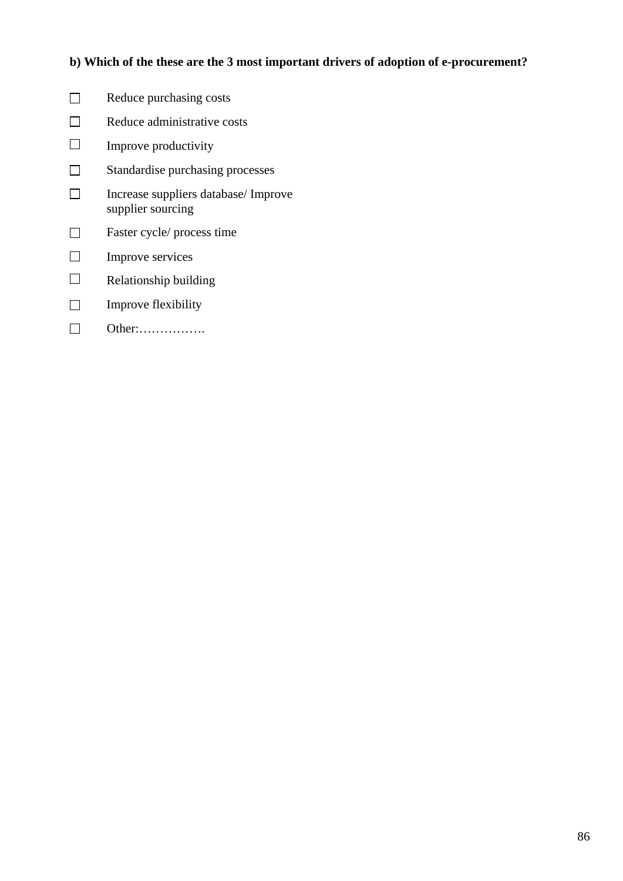#### **b) Which of the these are the 3 most important drivers of adoption of e-procurement?**

- $\Box$  Reduce purchasing costs  $\Box$  Reduce administrative costs  $\Box$  Improve productivity □ Standardise purchasing processes  $\Box$ Increase suppliers database/ Improve supplier sourcing □ Faster cycle/ process time  $\Box$  Improve services
- $\Box$  Relationship building
- $\Box$  Improve flexibility
- $\Box$ Other:…………….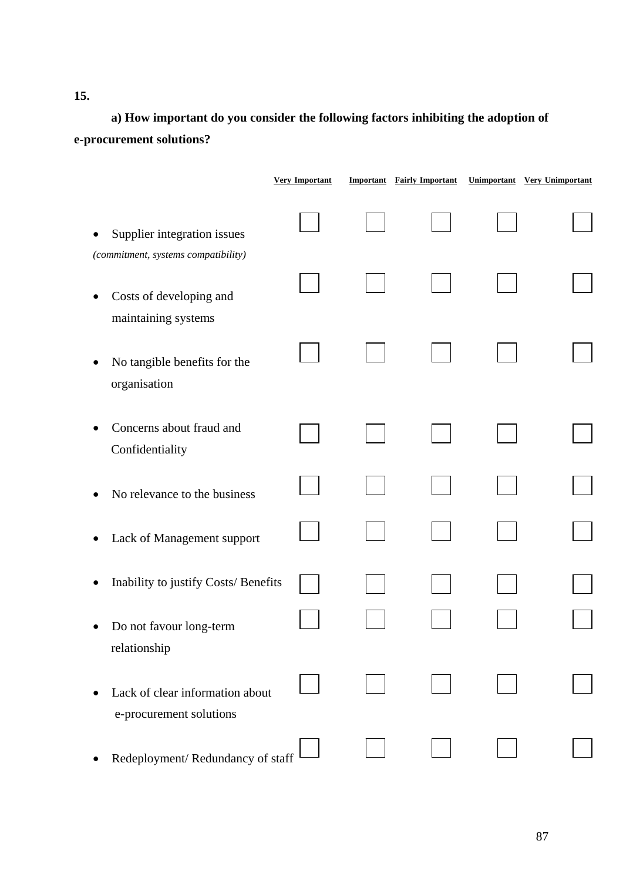**a) How important do you consider the following factors inhibiting the adoption of e-procurement solutions?**

|                                                                    | <b>Very Important</b> | <b>Important</b> Fairly Important | <b>Unimportant</b> Very Unimportant |
|--------------------------------------------------------------------|-----------------------|-----------------------------------|-------------------------------------|
| Supplier integration issues<br>(commitment, systems compatibility) |                       |                                   |                                     |
| Costs of developing and<br>maintaining systems                     |                       |                                   |                                     |
| No tangible benefits for the<br>$\bullet$<br>organisation          |                       |                                   |                                     |
| Concerns about fraud and<br>Confidentiality                        |                       |                                   |                                     |
| No relevance to the business                                       |                       |                                   |                                     |
| Lack of Management support                                         |                       |                                   |                                     |
| Inability to justify Costs/ Benefits                               |                       |                                   |                                     |
| Do not favour long-term<br>relationship                            |                       |                                   |                                     |
| Lack of clear information about<br>e-procurement solutions         |                       |                                   |                                     |
| Redeployment/Redundancy of staff                                   |                       |                                   |                                     |

**15.**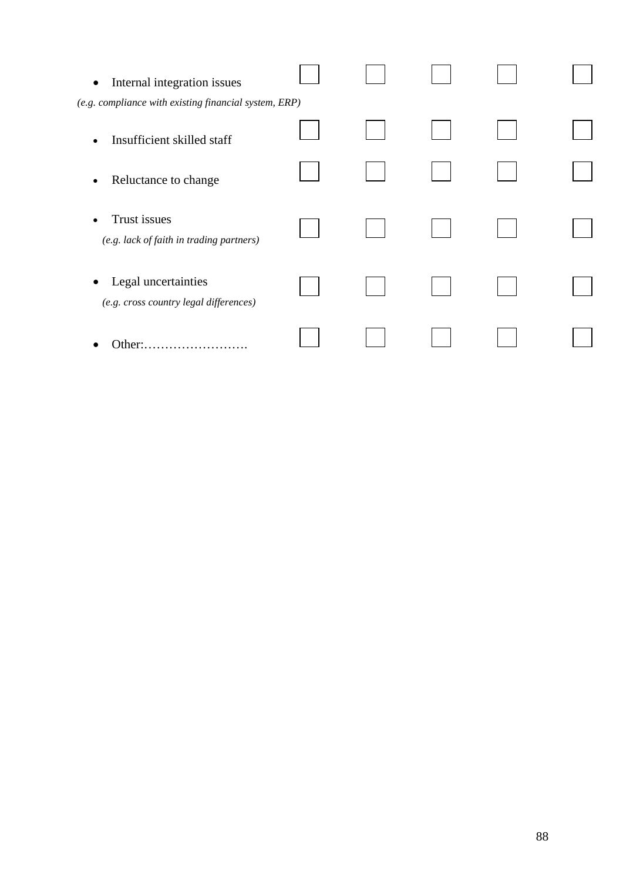| Internal integration issues<br>$\bullet$                                   |  |  |  |
|----------------------------------------------------------------------------|--|--|--|
| (e.g. compliance with existing financial system, ERP)                      |  |  |  |
| Insufficient skilled staff<br>$\bullet$                                    |  |  |  |
| Reluctance to change<br>$\bullet$                                          |  |  |  |
| Trust issues<br>$\bullet$<br>(e.g. lack of faith in trading partners)      |  |  |  |
| Legal uncertainties<br>$\bullet$<br>(e.g. cross country legal differences) |  |  |  |
| Other:.<br>.                                                               |  |  |  |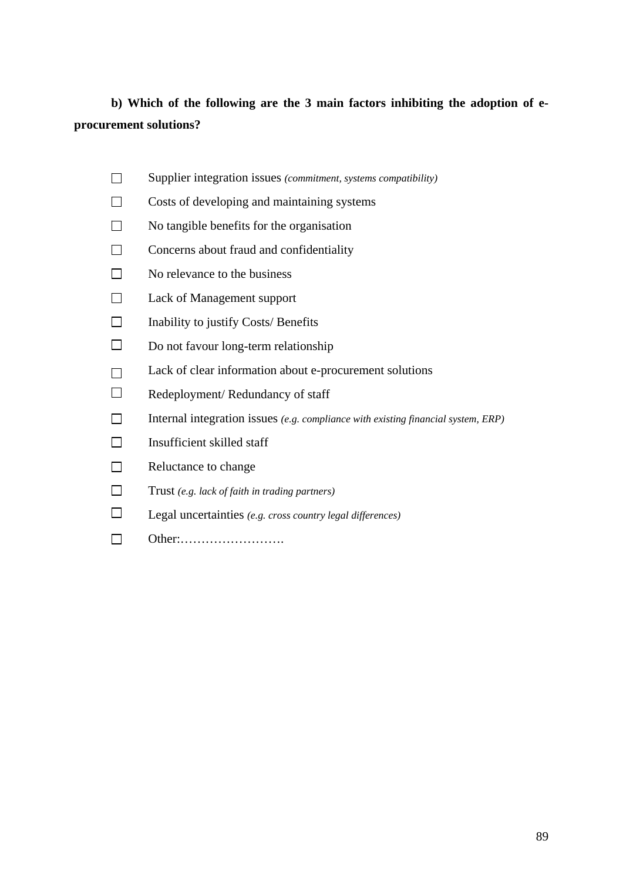## **b) Which of the following are the 3 main factors inhibiting the adoption of eprocurement solutions?**

- Supplier integration issues *(commitment, systems compatibility)*
- $\Box$  Costs of developing and maintaining systems
- $\Box$  No tangible benefits for the organisation
- $\Box$  Concerns about fraud and confidentiality
- $\Box$  No relevance to the business
- Lack of Management support
- $\Box$  Inability to justify Costs/ Benefits
- $\Box$  Do not favour long-term relationship
- $\Box$  Lack of clear information about e-procurement solutions
- $\Box$  Redeployment/ Redundancy of staff
- Internal integration issues *(e.g. compliance with existing financial system, ERP)*
- $\Box$ Insufficient skilled staff
- $\Box$  Reluctance to change
- Trust *(e.g. lack of faith in trading partners)*
- Legal uncertainties *(e.g. cross country legal differences)*
- Other:…………………….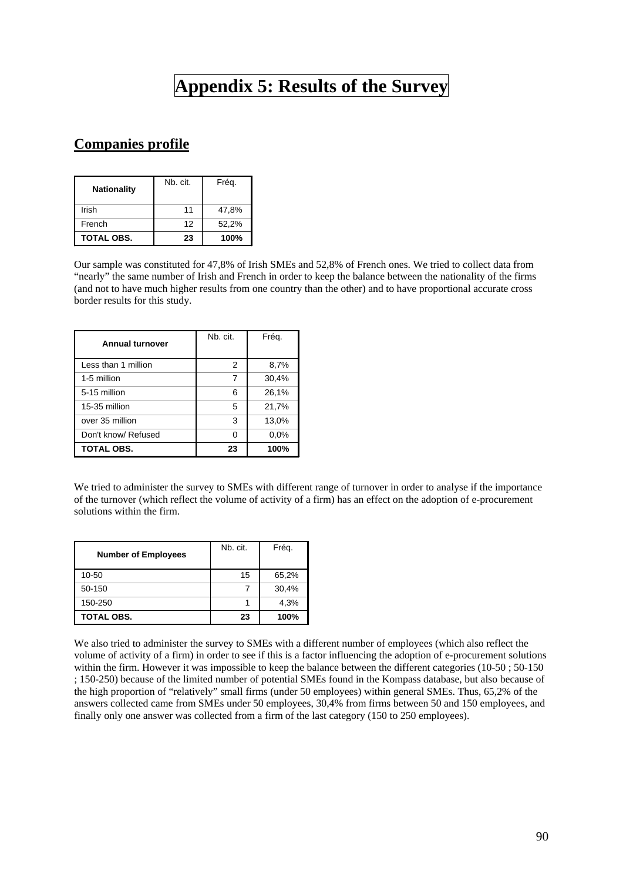## **Appendix 5: Results of the Survey**

## **Companies profile**

| <b>Nationality</b> | Nb. cit. | Frég. |  |  |
|--------------------|----------|-------|--|--|
| Irish              | 11       | 47,8% |  |  |
| French             | 12       | 52,2% |  |  |
| <b>TOTAL OBS.</b>  | 23       | 100%  |  |  |

Our sample was constituted for 47,8% of Irish SMEs and 52,8% of French ones. We tried to collect data from "nearly" the same number of Irish and French in order to keep the balance between the nationality of the firms (and not to have much higher results from one country than the other) and to have proportional accurate cross border results for this study.

| <b>Annual turnover</b> | Nb. cit. | Frég. |
|------------------------|----------|-------|
| Less than 1 million    | 2        | 8,7%  |
| 1-5 million            | 7        | 30,4% |
| 5-15 million           | 6        | 26,1% |
| 15-35 million          | 5        | 21,7% |
| over 35 million        | 3        | 13,0% |
| Don't know/ Refused    | ი        | 0.0%  |
| <b>TOTAL OBS.</b>      | 23       | 100%  |

We tried to administer the survey to SMEs with different range of turnover in order to analyse if the importance of the turnover (which reflect the volume of activity of a firm) has an effect on the adoption of e-procurement solutions within the firm.

| <b>Number of Employees</b> | Nb. cit. | Frég. |
|----------------------------|----------|-------|
| 10-50                      | 15       | 65,2% |
| 50-150                     |          | 30,4% |
| 150-250                    |          | 4,3%  |
| TOTAL OBS.                 | 23       | 100%  |

We also tried to administer the survey to SMEs with a different number of employees (which also reflect the volume of activity of a firm) in order to see if this is a factor influencing the adoption of e-procurement solutions within the firm. However it was impossible to keep the balance between the different categories (10-50 ; 50-150 ; 150-250) because of the limited number of potential SMEs found in the Kompass database, but also because of the high proportion of "relatively" small firms (under 50 employees) within general SMEs. Thus, 65,2% of the answers collected came from SMEs under 50 employees, 30,4% from firms between 50 and 150 employees, and finally only one answer was collected from a firm of the last category (150 to 250 employees).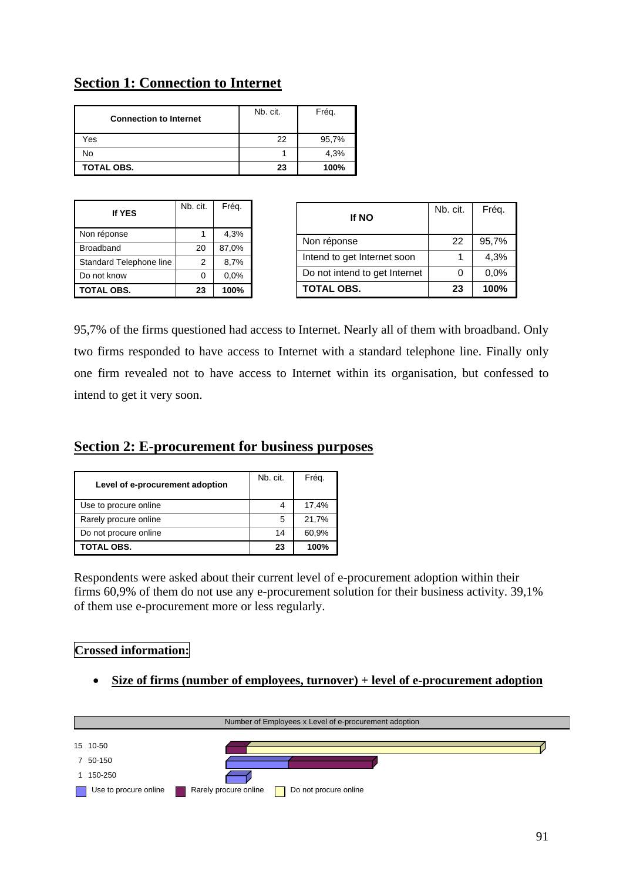## **Section 1: Connection to Internet**

| <b>Connection to Internet</b> | Nb. cit. | Fréq. |
|-------------------------------|----------|-------|
| Yes                           | 22       | 95,7% |
| No                            |          | 4,3%  |
| <b>TOTAL OBS.</b>             | 23       | 100%  |

| <b>If YES</b>           | Nb. cit.       | Fréq. |
|-------------------------|----------------|-------|
| Non réponse             | 1              | 4,3%  |
| <b>Broadband</b>        | 20             | 87,0% |
| Standard Telephone line | $\overline{2}$ | 8,7%  |
| Do not know             | 0              | 0.0%  |
| <b>TOTAL OBS.</b>       | 23             | 100%  |

| <b>If NO</b>                  | Nb. cit. | Fréq. |
|-------------------------------|----------|-------|
| Non réponse                   | 22       | 95,7% |
| Intend to get Internet soon   |          | 4,3%  |
| Do not intend to get Internet |          | 0,0%  |
| <b>TOTAL OBS.</b>             | 23       | 100%  |

95,7% of the firms questioned had access to Internet. Nearly all of them with broadband. Only two firms responded to have access to Internet with a standard telephone line. Finally only one firm revealed not to have access to Internet within its organisation, but confessed to intend to get it very soon.

#### **Section 2: E-procurement for business purposes**

| Level of e-procurement adoption | Nb. cit. | Fréq. |
|---------------------------------|----------|-------|
| Use to procure online           | 4        | 17,4% |
| Rarely procure online           | 5        | 21,7% |
| Do not procure online           | 14       | 60,9% |
| TOTAL OBS.                      | 23       | 100%  |

Respondents were asked about their current level of e-procurement adoption within their firms 60,9% of them do not use any e-procurement solution for their business activity. 39,1% of them use e-procurement more or less regularly.

#### **Crossed information:**

• **Size of firms (number of employees, turnover) + level of e-procurement adoption**

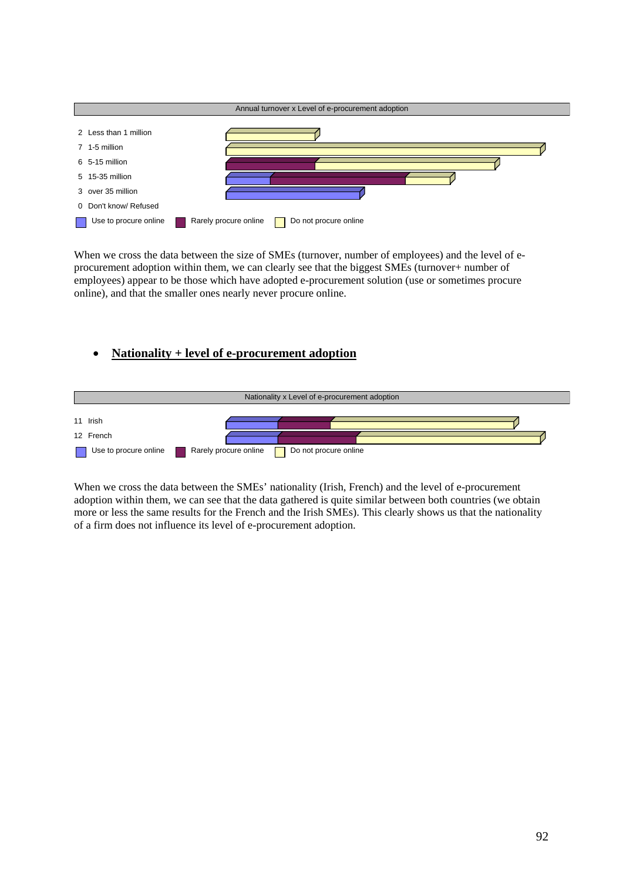

When we cross the data between the size of SMEs (turnover, number of employees) and the level of eprocurement adoption within them, we can clearly see that the biggest SMEs (turnover+ number of employees) appear to be those which have adopted e-procurement solution (use or sometimes procure online), and that the smaller ones nearly never procure online.

#### • **Nationality + level of e-procurement adoption**



When we cross the data between the SMEs' nationality (Irish, French) and the level of e-procurement adoption within them, we can see that the data gathered is quite similar between both countries (we obtain more or less the same results for the French and the Irish SMEs). This clearly shows us that the nationality of a firm does not influence its level of e-procurement adoption.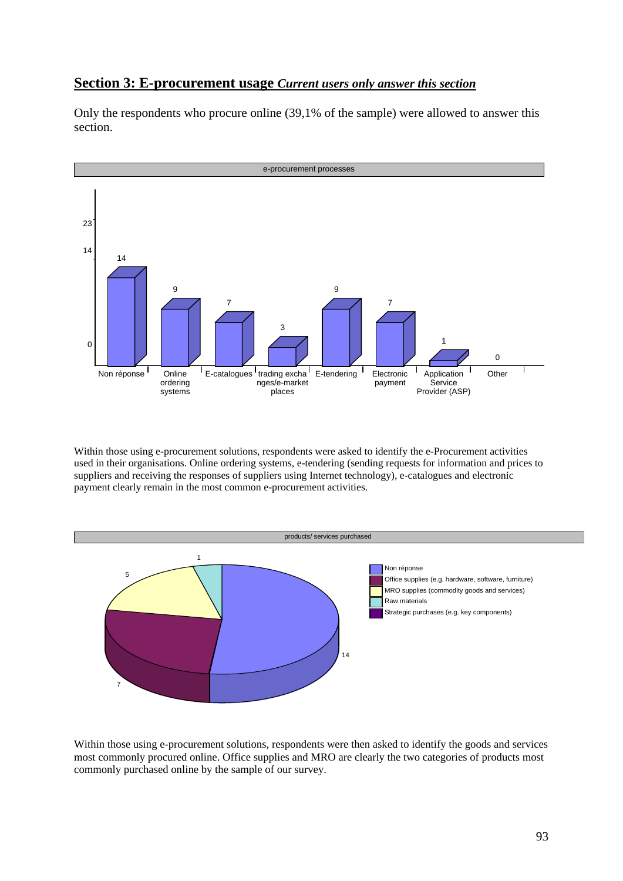#### **Section 3: E-procurement usage** *Current users only answer this section*

Only the respondents who procure online (39,1% of the sample) were allowed to answer this section.



Within those using e-procurement solutions, respondents were asked to identify the e-Procurement activities used in their organisations. Online ordering systems, e-tendering (sending requests for information and prices to suppliers and receiving the responses of suppliers using Internet technology), e-catalogues and electronic payment clearly remain in the most common e-procurement activities.



Within those using e-procurement solutions, respondents were then asked to identify the goods and services most commonly procured online. Office supplies and MRO are clearly the two categories of products most commonly purchased online by the sample of our survey.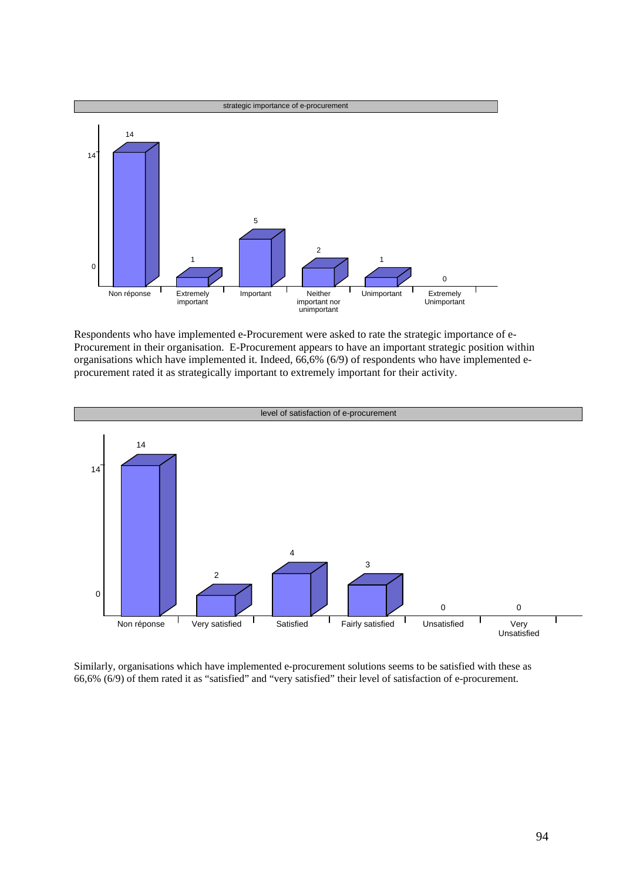

Respondents who have implemented e-Procurement were asked to rate the strategic importance of e-Procurement in their organisation. E-Procurement appears to have an important strategic position within organisations which have implemented it. Indeed, 66,6% (6/9) of respondents who have implemented eprocurement rated it as strategically important to extremely important for their activity.



Similarly, organisations which have implemented e-procurement solutions seems to be satisfied with these as 66,6% (6/9) of them rated it as "satisfied" and "very satisfied" their level of satisfaction of e-procurement.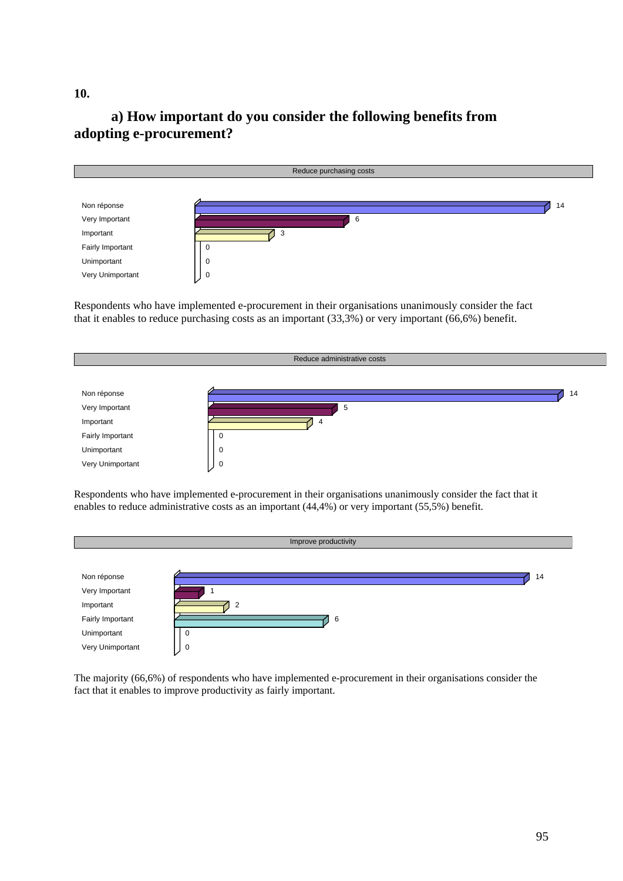## **a) How important do you consider the following benefits from adopting e-procurement?**



Respondents who have implemented e-procurement in their organisations unanimously consider the fact that it enables to reduce purchasing costs as an important (33,3%) or very important (66,6%) benefit.



Respondents who have implemented e-procurement in their organisations unanimously consider the fact that it enables to reduce administrative costs as an important (44,4%) or very important (55,5%) benefit.



The majority (66,6%) of respondents who have implemented e-procurement in their organisations consider the fact that it enables to improve productivity as fairly important.

**10.**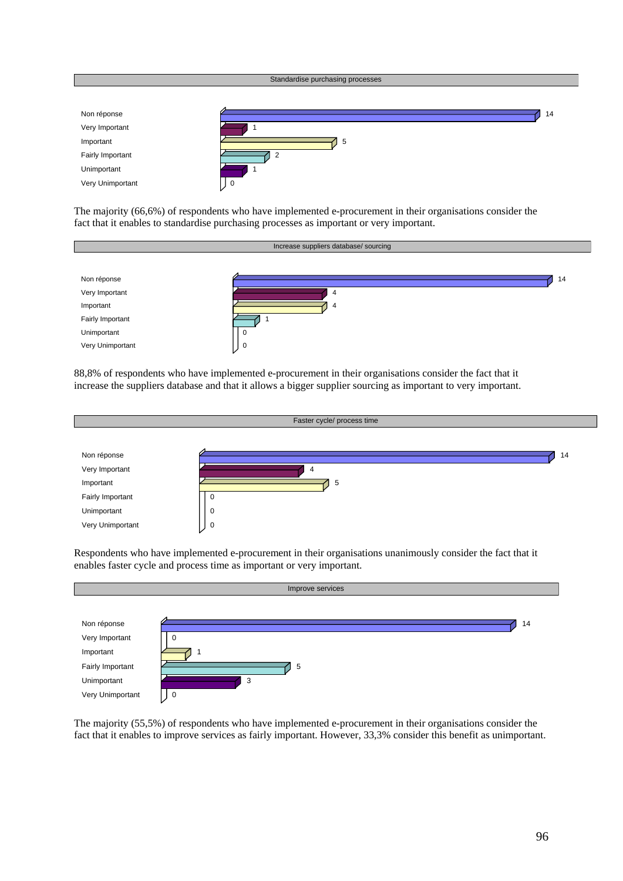

The majority (66,6%) of respondents who have implemented e-procurement in their organisations consider the fact that it enables to standardise purchasing processes as important or very important.



88,8% of respondents who have implemented e-procurement in their organisations consider the fact that it increase the suppliers database and that it allows a bigger supplier sourcing as important to very important.



Respondents who have implemented e-procurement in their organisations unanimously consider the fact that it enables faster cycle and process time as important or very important.



The majority (55,5%) of respondents who have implemented e-procurement in their organisations consider the fact that it enables to improve services as fairly important. However, 33,3% consider this benefit as unimportant.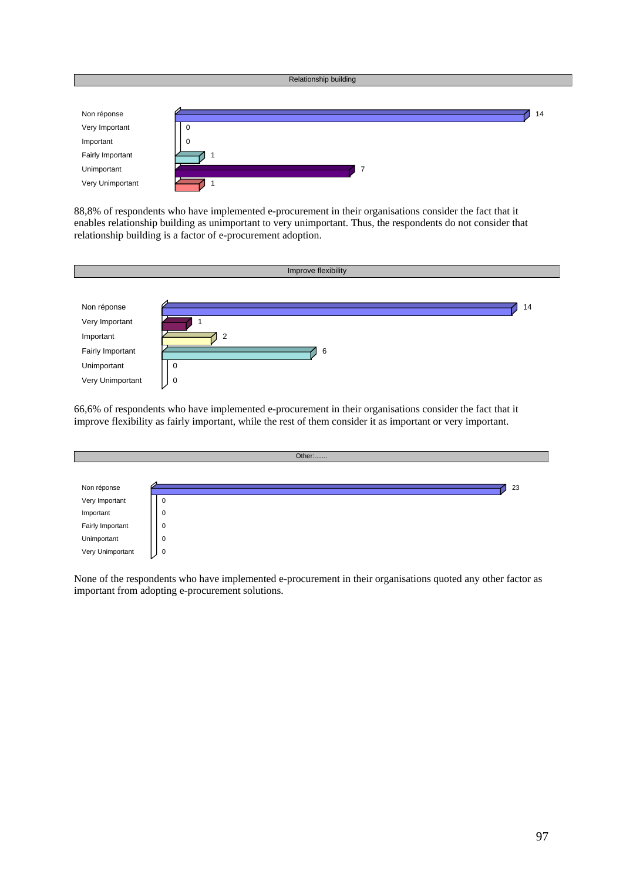|                  | Relationship building |
|------------------|-----------------------|
|                  |                       |
| Non réponse      | 14                    |
| Very Important   | 0                     |
| Important        | $\mathbf 0$           |
| Fairly Important | - 1                   |
| Unimportant      | -7                    |
| Very Unimportant |                       |

88,8% of respondents who have implemented e-procurement in their organisations consider the fact that it enables relationship building as unimportant to very unimportant. Thus, the respondents do not consider that relationship building is a factor of e-procurement adoption.



66,6% of respondents who have implemented e-procurement in their organisations consider the fact that it improve flexibility as fairly important, while the rest of them consider it as important or very important.



None of the respondents who have implemented e-procurement in their organisations quoted any other factor as important from adopting e-procurement solutions.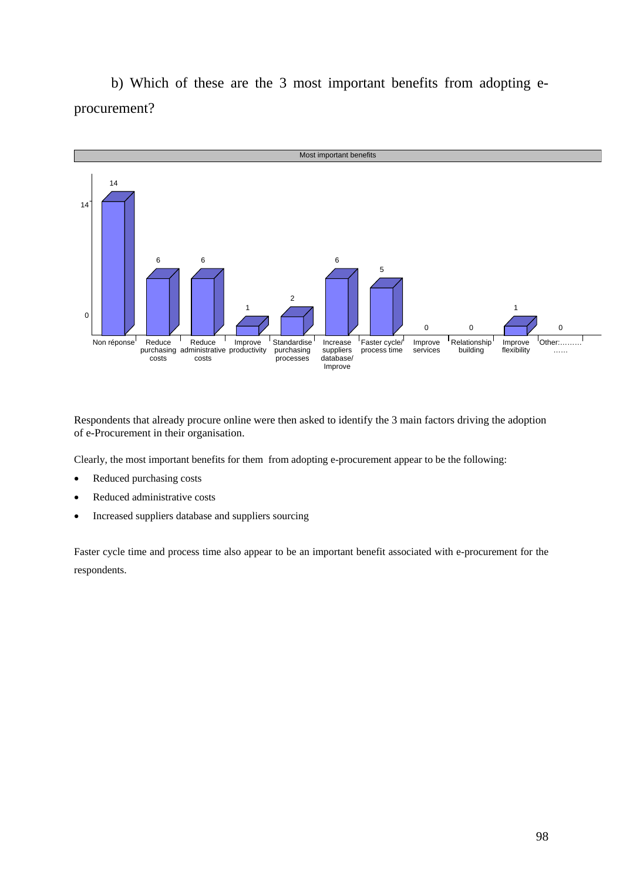b) Which of these are the 3 most important benefits from adopting eprocurement?



Respondents that already procure online were then asked to identify the 3 main factors driving the adoption of e-Procurement in their organisation.

Clearly, the most important benefits for them from adopting e-procurement appear to be the following:

- Reduced purchasing costs
- Reduced administrative costs
- Increased suppliers database and suppliers sourcing

Faster cycle time and process time also appear to be an important benefit associated with e-procurement for the respondents.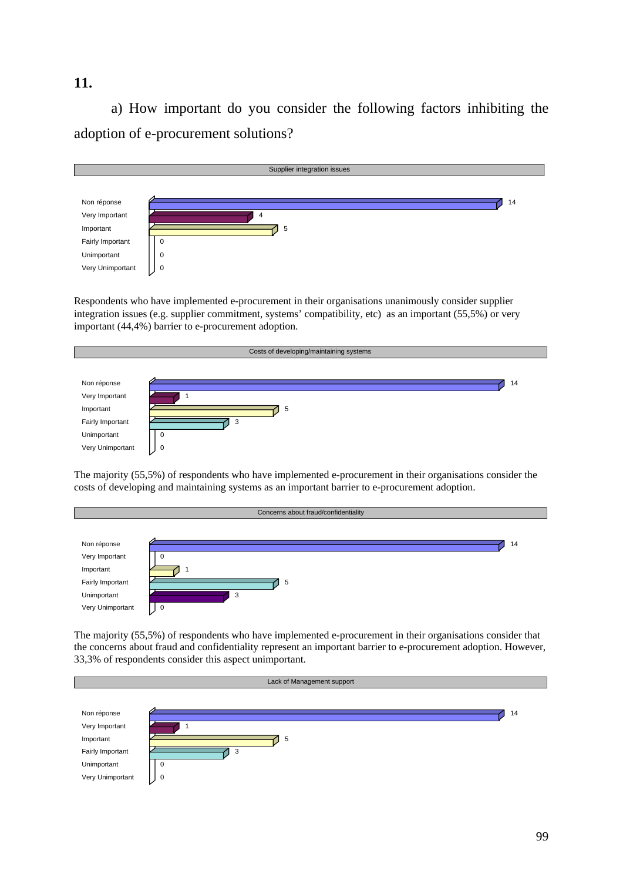#### **11.**

 a) How important do you consider the following factors inhibiting the adoption of e-procurement solutions?



Respondents who have implemented e-procurement in their organisations unanimously consider supplier integration issues (e.g. supplier commitment, systems' compatibility, etc) as an important (55,5%) or very important (44,4%) barrier to e-procurement adoption.



The majority (55,5%) of respondents who have implemented e-procurement in their organisations consider the costs of developing and maintaining systems as an important barrier to e-procurement adoption.



The majority (55,5%) of respondents who have implemented e-procurement in their organisations consider that the concerns about fraud and confidentiality represent an important barrier to e-procurement adoption. However, 33,3% of respondents consider this aspect unimportant.

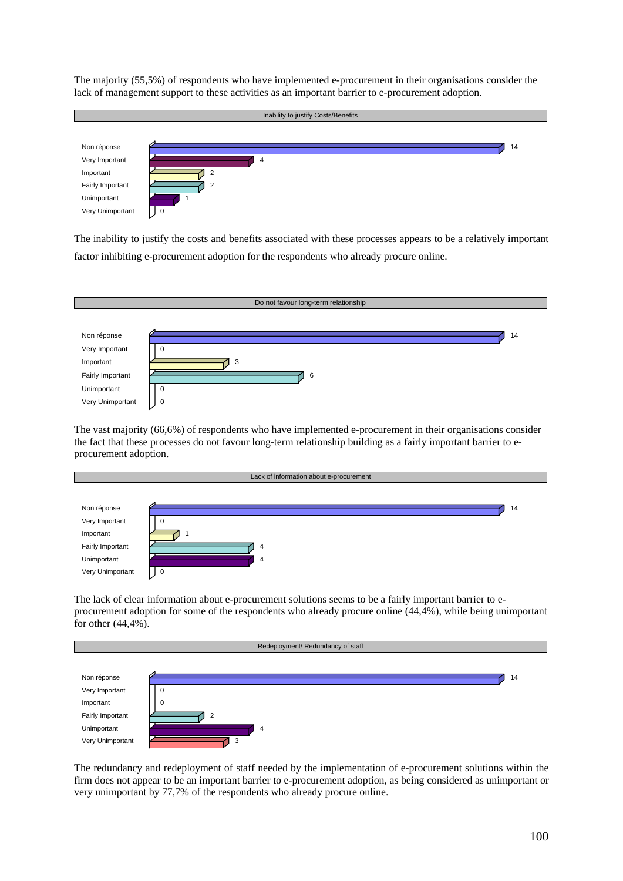The majority (55,5%) of respondents who have implemented e-procurement in their organisations consider the lack of management support to these activities as an important barrier to e-procurement adoption.



The inability to justify the costs and benefits associated with these processes appears to be a relatively important factor inhibiting e-procurement adoption for the respondents who already procure online.



The vast majority (66,6%) of respondents who have implemented e-procurement in their organisations consider the fact that these processes do not favour long-term relationship building as a fairly important barrier to eprocurement adoption.

|                  | Lack of information about e-procurement |  |  |  |  |  |  |
|------------------|-----------------------------------------|--|--|--|--|--|--|
|                  |                                         |  |  |  |  |  |  |
| Non réponse      | 14                                      |  |  |  |  |  |  |
| Very Important   | $\Omega$                                |  |  |  |  |  |  |
| Important        |                                         |  |  |  |  |  |  |
| Fairly Important | 4                                       |  |  |  |  |  |  |
| Unimportant      | -4                                      |  |  |  |  |  |  |
| Very Unimportant | 0                                       |  |  |  |  |  |  |

The lack of clear information about e-procurement solutions seems to be a fairly important barrier to eprocurement adoption for some of the respondents who already procure online (44,4%), while being unimportant for other (44,4%).



The redundancy and redeployment of staff needed by the implementation of e-procurement solutions within the firm does not appear to be an important barrier to e-procurement adoption, as being considered as unimportant or very unimportant by 77,7% of the respondents who already procure online.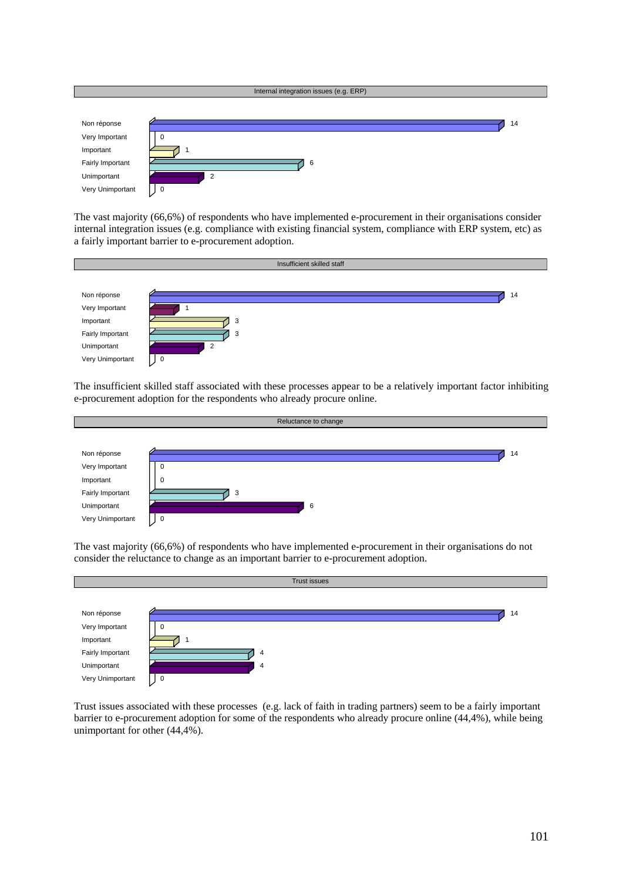

The vast majority (66,6%) of respondents who have implemented e-procurement in their organisations consider internal integration issues (e.g. compliance with existing financial system, compliance with ERP system, etc) as a fairly important barrier to e-procurement adoption.



The insufficient skilled staff associated with these processes appear to be a relatively important factor inhibiting e-procurement adoption for the respondents who already procure online.



The vast majority (66,6%) of respondents who have implemented e-procurement in their organisations do not consider the reluctance to change as an important barrier to e-procurement adoption.



Trust issues associated with these processes (e.g. lack of faith in trading partners) seem to be a fairly important barrier to e-procurement adoption for some of the respondents who already procure online (44,4%), while being unimportant for other (44,4%).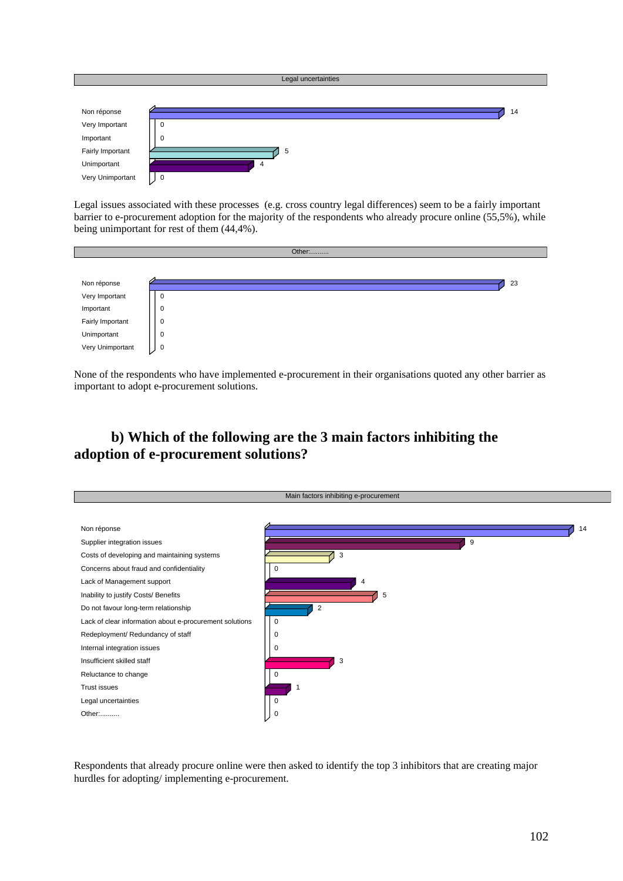

Legal issues associated with these processes (e.g. cross country legal differences) seem to be a fairly important barrier to e-procurement adoption for the majority of the respondents who already procure online (55,5%), while being unimportant for rest of them (44,4%).



None of the respondents who have implemented e-procurement in their organisations quoted any other barrier as important to adopt e-procurement solutions.

## **b) Which of the following are the 3 main factors inhibiting the adoption of e-procurement solutions?**



Respondents that already procure online were then asked to identify the top 3 inhibitors that are creating major hurdles for adopting/ implementing e-procurement.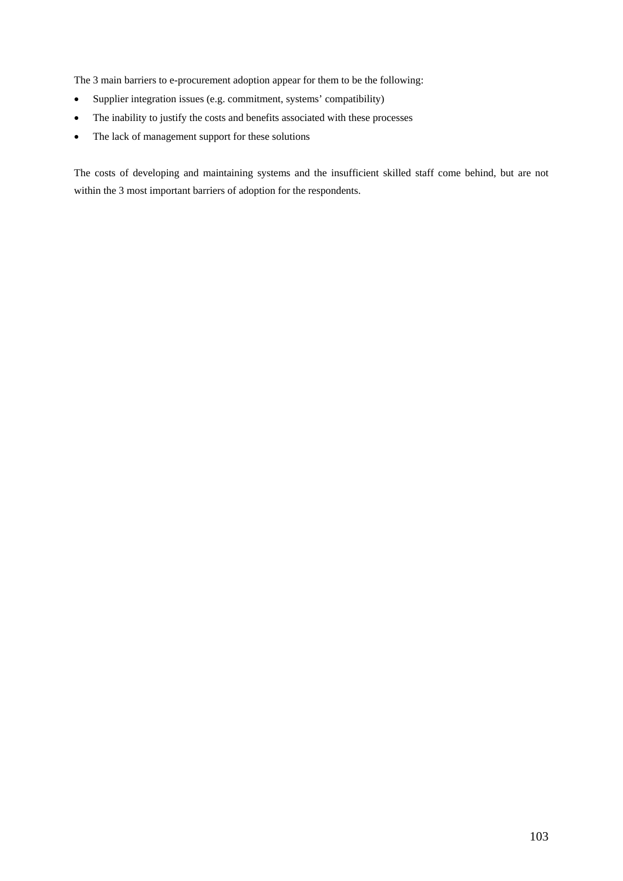The 3 main barriers to e-procurement adoption appear for them to be the following:

- Supplier integration issues (e.g. commitment, systems' compatibility)
- The inability to justify the costs and benefits associated with these processes
- The lack of management support for these solutions

The costs of developing and maintaining systems and the insufficient skilled staff come behind, but are not within the 3 most important barriers of adoption for the respondents.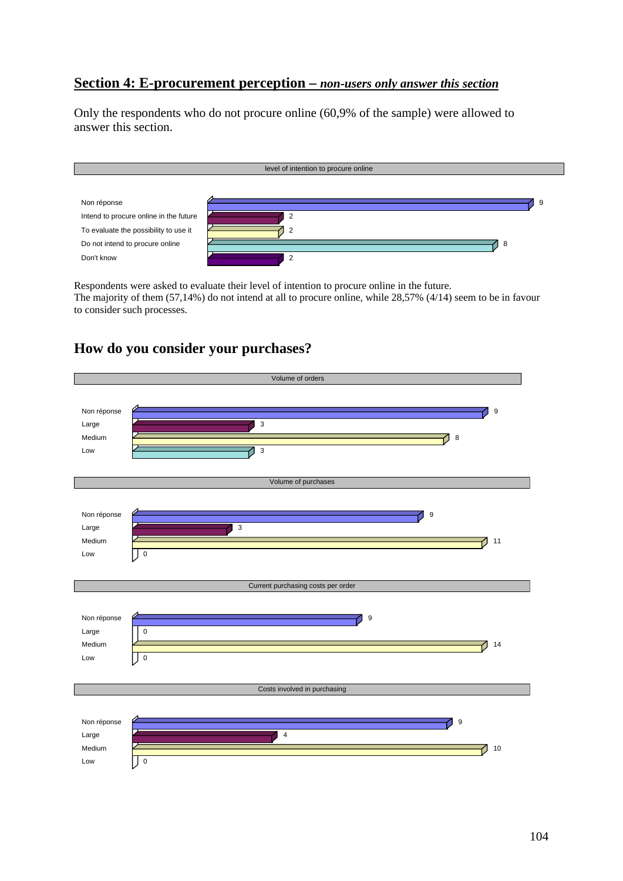## **Section 4: E-procurement perception –** *non***-***users only answer this section*

Only the respondents who do not procure online (60,9% of the sample) were allowed to answer this section.

| level of intention to procure online   |                |  |  |  |  |  |
|----------------------------------------|----------------|--|--|--|--|--|
|                                        |                |  |  |  |  |  |
| Non réponse                            | -9             |  |  |  |  |  |
| Intend to procure online in the future | $\overline{2}$ |  |  |  |  |  |
| To evaluate the possibility to use it  |                |  |  |  |  |  |
| Do not intend to procure online        | -8             |  |  |  |  |  |
| Don't know                             | $\overline{2}$ |  |  |  |  |  |

Respondents were asked to evaluate their level of intention to procure online in the future. The majority of them (57,14%) do not intend at all to procure online, while 28,57% (4/14) seem to be in favour to consider such processes.

## **How do you consider your purchases?**

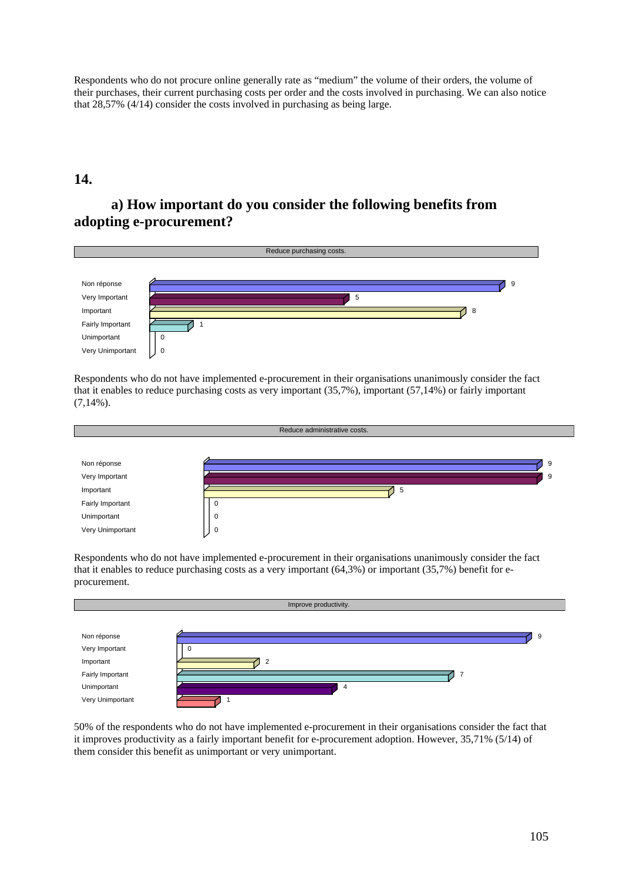Respondents who do not procure online generally rate as "medium" the volume of their orders, the volume of their purchases, their current purchasing costs per order and the costs involved in purchasing. We can also notice that 28,57% (4/14) consider the costs involved in purchasing as being large.

#### **14.**

## **a) How important do you consider the following benefits from adopting e-procurement?**



Respondents who do not have implemented e-procurement in their organisations unanimously consider the fact that it enables to reduce purchasing costs as very important (35,7%), important (57,14%) or fairly important (7,14%).



Respondents who do not have implemented e-procurement in their organisations unanimously consider the fact that it enables to reduce purchasing costs as a very important (64,3%) or important (35,7%) benefit for eprocurement.



50% of the respondents who do not have implemented e-procurement in their organisations consider the fact that it improves productivity as a fairly important benefit for e-procurement adoption. However, 35,71% (5/14) of them consider this benefit as unimportant or very unimportant.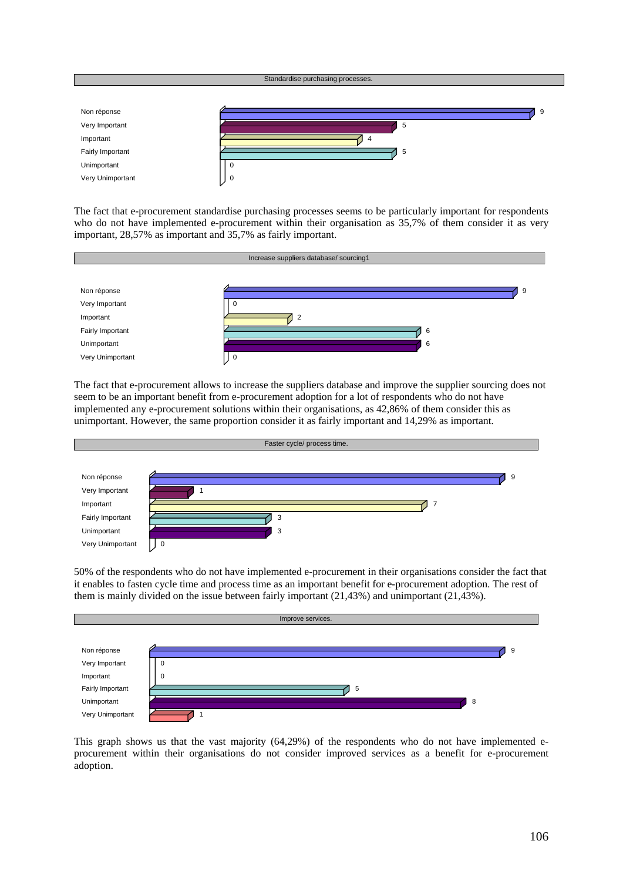

The fact that e-procurement standardise purchasing processes seems to be particularly important for respondents who do not have implemented e-procurement within their organisation as 35,7% of them consider it as very important, 28,57% as important and 35,7% as fairly important.



The fact that e-procurement allows to increase the suppliers database and improve the supplier sourcing does not seem to be an important benefit from e-procurement adoption for a lot of respondents who do not have implemented any e-procurement solutions within their organisations, as 42,86% of them consider this as unimportant. However, the same proportion consider it as fairly important and 14,29% as important.



50% of the respondents who do not have implemented e-procurement in their organisations consider the fact that it enables to fasten cycle time and process time as an important benefit for e-procurement adoption. The rest of them is mainly divided on the issue between fairly important (21,43%) and unimportant (21,43%).



This graph shows us that the vast majority (64,29%) of the respondents who do not have implemented eprocurement within their organisations do not consider improved services as a benefit for e-procurement adoption.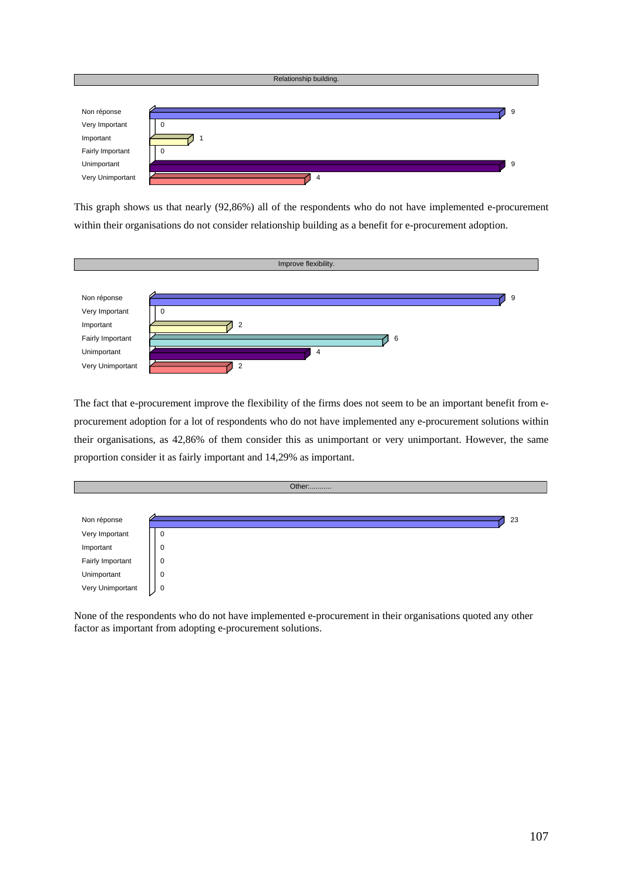

This graph shows us that nearly (92,86%) all of the respondents who do not have implemented e-procurement within their organisations do not consider relationship building as a benefit for e-procurement adoption.



The fact that e-procurement improve the flexibility of the firms does not seem to be an important benefit from eprocurement adoption for a lot of respondents who do not have implemented any e-procurement solutions within their organisations, as 42,86% of them consider this as unimportant or very unimportant. However, the same proportion consider it as fairly important and 14,29% as important.

|                  |             |  | Other: |  |  |    |
|------------------|-------------|--|--------|--|--|----|
|                  |             |  |        |  |  |    |
| Non réponse      |             |  |        |  |  | 23 |
| Very Important   | U           |  |        |  |  |    |
| Important        | $\mathbf 0$ |  |        |  |  |    |
| Fairly Important | $\mathbf 0$ |  |        |  |  |    |
| Unimportant      | $\mathbf 0$ |  |        |  |  |    |
| Very Unimportant | 0           |  |        |  |  |    |

None of the respondents who do not have implemented e-procurement in their organisations quoted any other factor as important from adopting e-procurement solutions.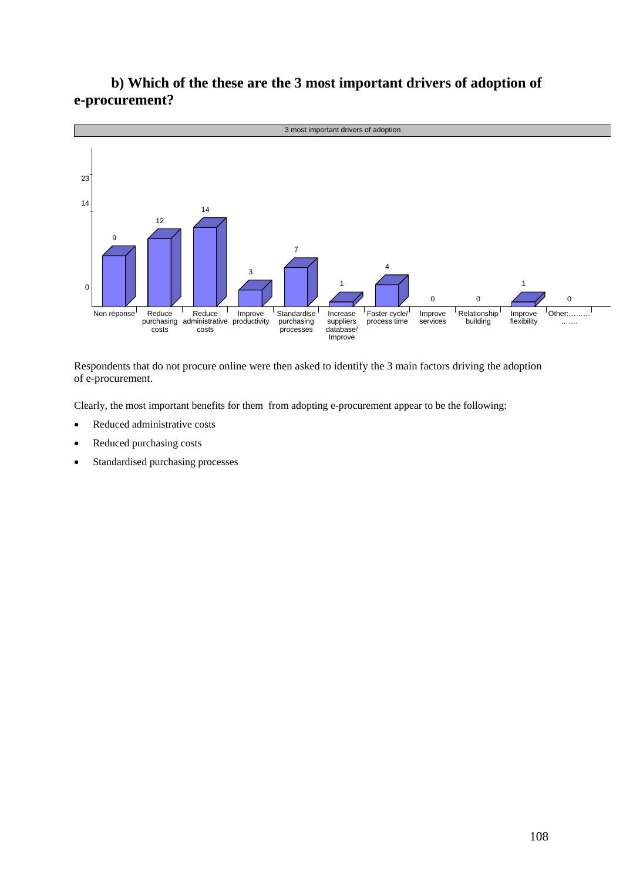

## **b) Which of the these are the 3 most important drivers of adoption of e-procurement?**

Respondents that do not procure online were then asked to identify the 3 main factors driving the adoption of e-procurement.

Clearly, the most important benefits for them from adopting e-procurement appear to be the following:

- Reduced administrative costs
- Reduced purchasing costs
- Standardised purchasing processes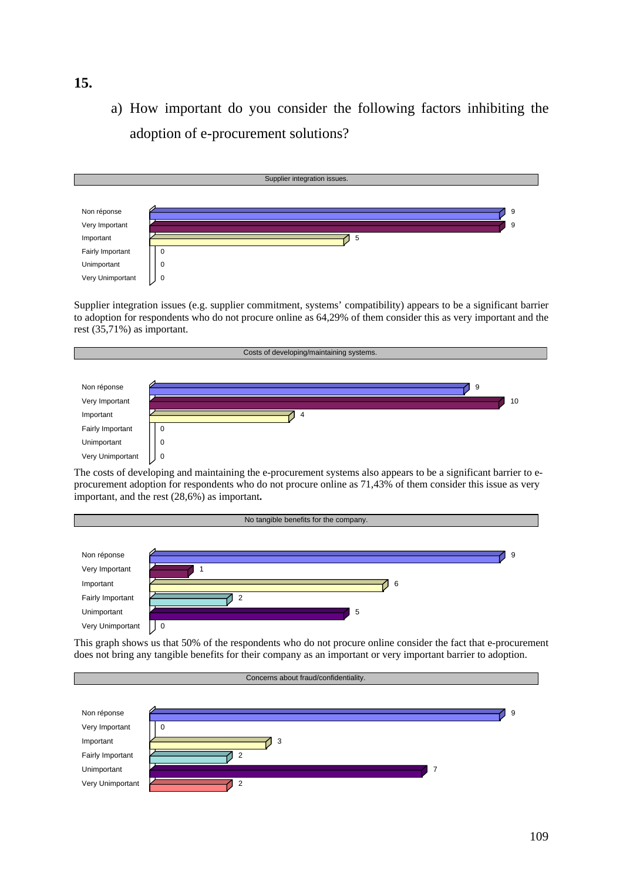a) How important do you consider the following factors inhibiting the adoption of e-procurement solutions?



Supplier integration issues (e.g. supplier commitment, systems' compatibility) appears to be a significant barrier to adoption for respondents who do not procure online as 64,29% of them consider this as very important and the rest (35,71%) as important.



The costs of developing and maintaining the e-procurement systems also appears to be a significant barrier to eprocurement adoption for respondents who do not procure online as 71,43% of them consider this issue as very important, and the rest (28,6%) as important**.** 



This graph shows us that 50% of the respondents who do not procure online consider the fact that e-procurement does not bring any tangible benefits for their company as an important or very important barrier to adoption.



## **15.**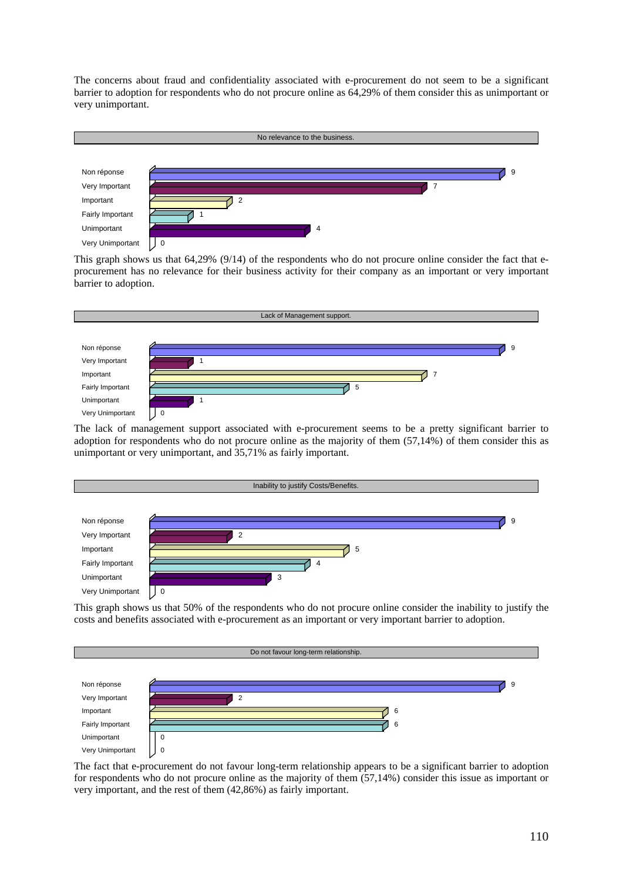The concerns about fraud and confidentiality associated with e-procurement do not seem to be a significant barrier to adoption for respondents who do not procure online as 64,29% of them consider this as unimportant or very unimportant.



This graph shows us that 64,29% (9/14) of the respondents who do not procure online consider the fact that eprocurement has no relevance for their business activity for their company as an important or very important barrier to adoption.



The lack of management support associated with e-procurement seems to be a pretty significant barrier to adoption for respondents who do not procure online as the majority of them (57,14%) of them consider this as unimportant or very unimportant, and 35,71% as fairly important.



This graph shows us that 50% of the respondents who do not procure online consider the inability to justify the costs and benefits associated with e-procurement as an important or very important barrier to adoption.



The fact that e-procurement do not favour long-term relationship appears to be a significant barrier to adoption for respondents who do not procure online as the majority of them (57,14%) consider this issue as important or very important, and the rest of them (42,86%) as fairly important.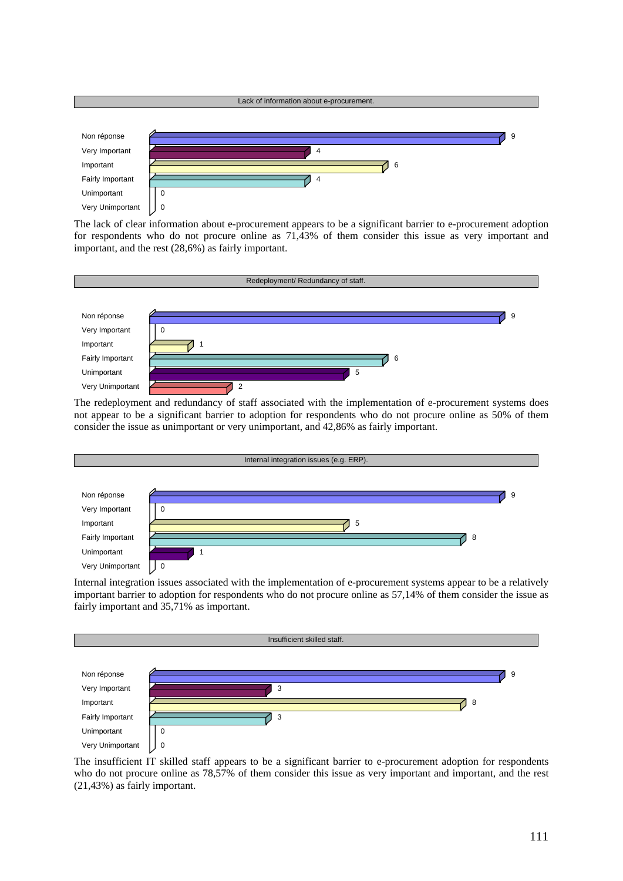

The lack of clear information about e-procurement appears to be a significant barrier to e-procurement adoption for respondents who do not procure online as 71,43% of them consider this issue as very important and important, and the rest (28,6%) as fairly important.



The redeployment and redundancy of staff associated with the implementation of e-procurement systems does not appear to be a significant barrier to adoption for respondents who do not procure online as 50% of them consider the issue as unimportant or very unimportant, and 42,86% as fairly important.



Internal integration issues associated with the implementation of e-procurement systems appear to be a relatively important barrier to adoption for respondents who do not procure online as 57,14% of them consider the issue as fairly important and 35,71% as important.



The insufficient IT skilled staff appears to be a significant barrier to e-procurement adoption for respondents who do not procure online as  $78,57\%$  of them consider this issue as very important and important, and the rest (21,43%) as fairly important.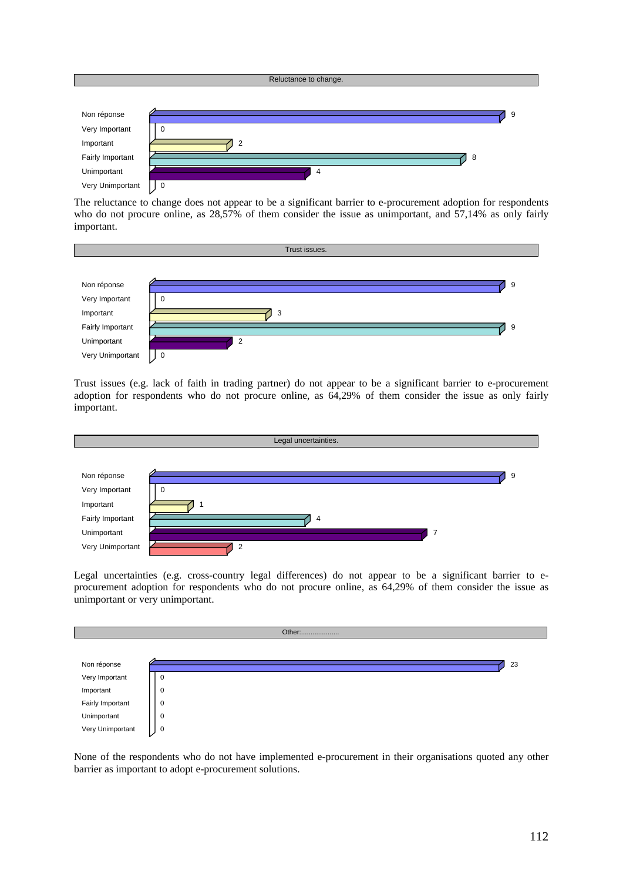

The reluctance to change does not appear to be a significant barrier to e-procurement adoption for respondents who do not procure online, as 28,57% of them consider the issue as unimportant, and 57,14% as only fairly important.



Trust issues (e.g. lack of faith in trading partner) do not appear to be a significant barrier to e-procurement adoption for respondents who do not procure online, as 64,29% of them consider the issue as only fairly important.



Legal uncertainties (e.g. cross-country legal differences) do not appear to be a significant barrier to eprocurement adoption for respondents who do not procure online, as 64,29% of them consider the issue as unimportant or very unimportant.



None of the respondents who do not have implemented e-procurement in their organisations quoted any other barrier as important to adopt e-procurement solutions.